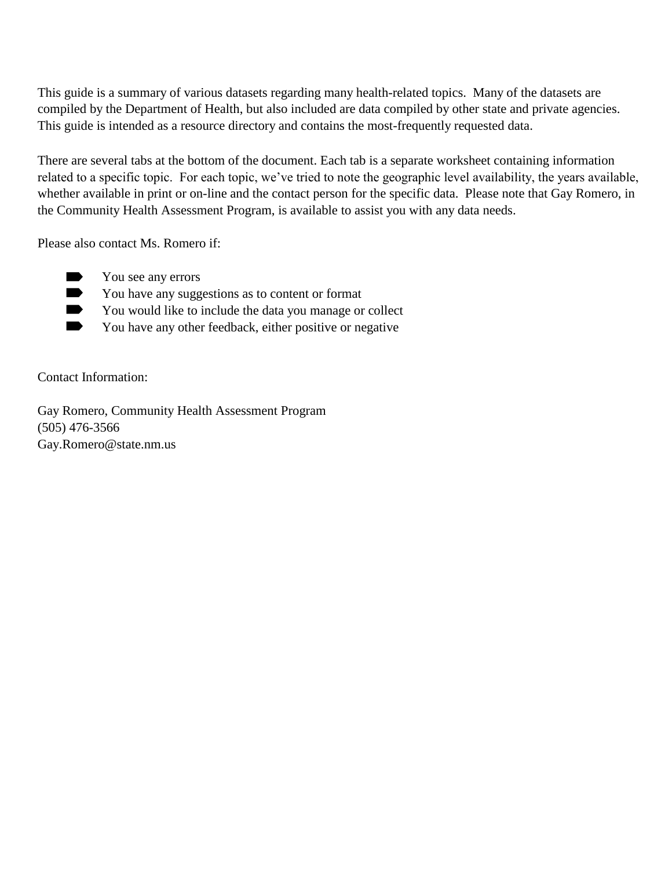This guide is a summary of various datasets regarding many health-related topics. Many of the datasets are compiled by the Department of Health, but also included are data compiled by other state and private agencies. This guide is intended as a resource directory and contains the most-frequently requested data.

There are several tabs at the bottom of the document. Each tab is a separate worksheet containing information related to a specific topic. For each topic, we've tried to note the geographic level availability, the years available, whether available in print or on-line and the contact person for the specific data. Please note that Gay Romero, in the Community Health Assessment Program, is available to assist you with any data needs.

Please also contact Ms. Romero if:

- $\blacksquare$ You see any errors
- $\blacksquare$ You have any suggestions as to content or format
- $\blacksquare$ You would like to include the data you manage or collect
- $\blacksquare$ You have any other feedback, either positive or negative

Contact Information:

Gay Romero, Community Health Assessment Program (505) 476-3566 Gay.Romero@state.nm.us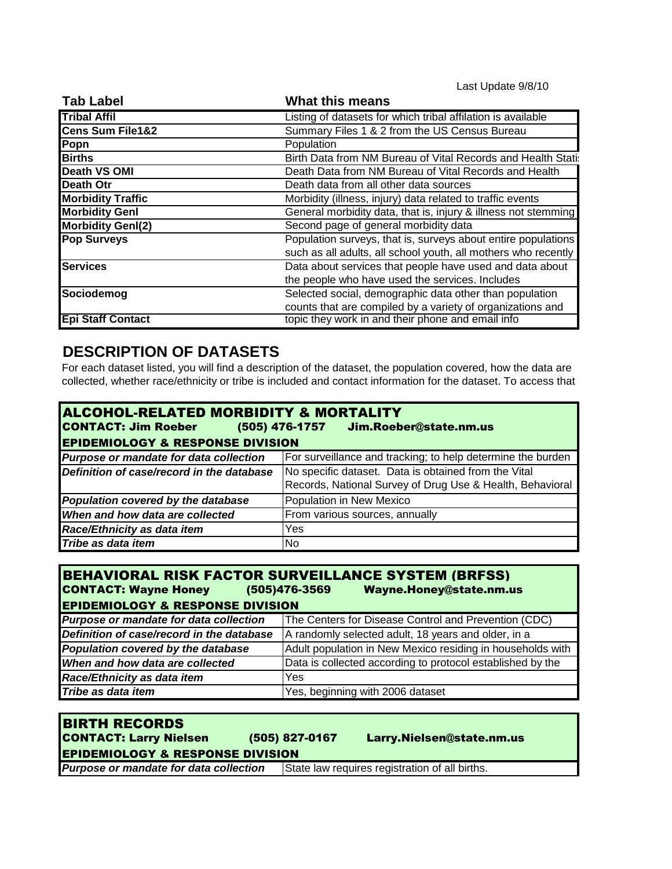Last Update 9/8/10

| <b>Tab Label</b>            | <b>What this means</b>                                         |
|-----------------------------|----------------------------------------------------------------|
| <b>Tribal Affil</b>         | Listing of datasets for which tribal affilation is available   |
| <b>Cens Sum File1&amp;2</b> | Summary Files 1 & 2 from the US Census Bureau                  |
| Popn                        | Population                                                     |
| <b>Births</b>               | Birth Data from NM Bureau of Vital Records and Health Stati:   |
| <b>Death VS OMI</b>         | Death Data from NM Bureau of Vital Records and Health          |
| Death Otr                   | Death data from all other data sources                         |
| <b>Morbidity Traffic</b>    | Morbidity (illness, injury) data related to traffic events     |
| <b>Morbidity Genl</b>       | General morbidity data, that is, injury & illness not stemming |
| <b>Morbidity Genl(2)</b>    | Second page of general morbidity data                          |
| <b>Pop Surveys</b>          | Population surveys, that is, surveys about entire populations  |
|                             | such as all adults, all school youth, all mothers who recently |
| <b>Services</b>             | Data about services that people have used and data about       |
|                             | the people who have used the services. Includes                |
| Sociodemog                  | Selected social, demographic data other than population        |
|                             | counts that are compiled by a variety of organizations and     |
| <b>Epi Staff Contact</b>    | topic they work in and their phone and email info              |

# **DESCRIPTION OF DATASETS**

For each dataset listed, you will find a description of the dataset, the population covered, how the data are collected, whether race/ethnicity or tribe is included and contact information for the dataset. To access that

| <b>ALCOHOL-RELATED MORBIDITY &amp; MORTALITY</b><br><b>CONTACT: Jim Roeber</b><br>(505) 476-1757 Jim.Roeber@state.nm.us<br><b>EPIDEMIOLOGY &amp; RESPONSE DIVISION</b> |                                                             |  |
|------------------------------------------------------------------------------------------------------------------------------------------------------------------------|-------------------------------------------------------------|--|
| Purpose or mandate for data collection                                                                                                                                 | For surveillance and tracking; to help determine the burden |  |
| Definition of case/record in the database                                                                                                                              | No specific dataset. Data is obtained from the Vital        |  |
|                                                                                                                                                                        | Records, National Survey of Drug Use & Health, Behavioral   |  |
| Population covered by the database                                                                                                                                     | Population in New Mexico                                    |  |
| When and how data are collected                                                                                                                                        | From various sources, annually                              |  |
| Race/Ethnicity as data item                                                                                                                                            | Yes                                                         |  |
| Tribe as data item                                                                                                                                                     | No.                                                         |  |

| <b>BEHAVIORAL RISK FACTOR SURVEILLANCE SYSTEM (BRFSS)</b><br><b>CONTACT: Wayne Honey</b><br>(505)476-3569<br>Wayne.Honey@state.nm.us<br><b>EPIDEMIOLOGY &amp; RESPONSE DIVISION</b> |                                                            |  |
|-------------------------------------------------------------------------------------------------------------------------------------------------------------------------------------|------------------------------------------------------------|--|
| Purpose or mandate for data collection                                                                                                                                              | The Centers for Disease Control and Prevention (CDC)       |  |
| Definition of case/record in the database                                                                                                                                           | A randomly selected adult, 18 years and older, in a        |  |
| Population covered by the database                                                                                                                                                  | Adult population in New Mexico residing in households with |  |
| When and how data are collected                                                                                                                                                     | Data is collected according to protocol established by the |  |
| Race/Ethnicity as data item                                                                                                                                                         | Yes                                                        |  |
| Tribe as data item                                                                                                                                                                  | Yes, beginning with 2006 dataset                           |  |

| <b>BIRTH RECORDS</b><br><b>CONTACT: Larry Nielsen</b> | (505) 827-0167 | Larry.Nielsen@state.nm.us                      |
|-------------------------------------------------------|----------------|------------------------------------------------|
| <b>EPIDEMIOLOGY &amp; RESPONSE DIVISION</b>           |                |                                                |
| Purpose or mandate for data collection                |                | State law requires registration of all births. |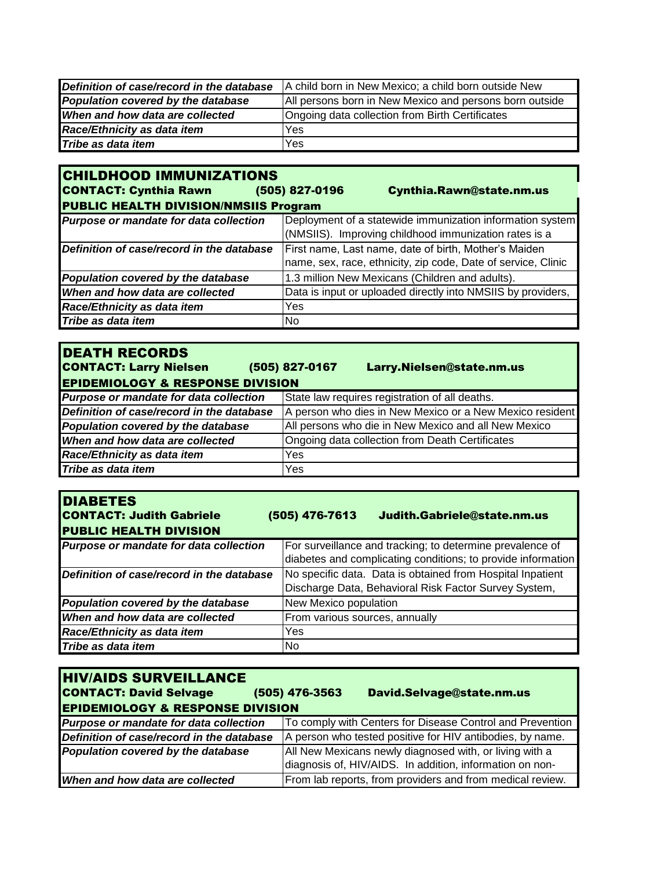| Definition of case/record in the database | A child born in New Mexico; a child born outside New    |
|-------------------------------------------|---------------------------------------------------------|
| Population covered by the database        | All persons born in New Mexico and persons born outside |
| When and how data are collected           | Ongoing data collection from Birth Certificates         |
| Race/Ethnicity as data item               | Yes                                                     |
| Tribe as data item                        | Yes                                                     |

| <b>CHILDHOOD IMMUNIZATIONS</b>               |                                                               |
|----------------------------------------------|---------------------------------------------------------------|
| <b>CONTACT: Cynthia Rawn</b>                 | (505) 827-0196<br>Cynthia.Rawn@state.nm.us                    |
| <b>PUBLIC HEALTH DIVISION/NMSIIS Program</b> |                                                               |
| Purpose or mandate for data collection       | Deployment of a statewide immunization information system     |
|                                              | (NMSIIS). Improving childhood immunization rates is a         |
| Definition of case/record in the database    | First name, Last name, date of birth, Mother's Maiden         |
|                                              | name, sex, race, ethnicity, zip code, Date of service, Clinic |
| Population covered by the database           | 1.3 million New Mexicans (Children and adults).               |
| When and how data are collected              | Data is input or uploaded directly into NMSIIS by providers,  |
| Race/Ethnicity as data item                  | Yes                                                           |
| Tribe as data item                           | No                                                            |

| <b>DEATH RECORDS</b>                        |                                                          |
|---------------------------------------------|----------------------------------------------------------|
| <b>CONTACT: Larry Nielsen</b>               | (505) 827-0167<br>Larry.Nielsen@state.nm.us              |
| <b>EPIDEMIOLOGY &amp; RESPONSE DIVISION</b> |                                                          |
| Purpose or mandate for data collection      | State law requires registration of all deaths.           |
| Definition of case/record in the database   | A person who dies in New Mexico or a New Mexico resident |
| Population covered by the database          | All persons who die in New Mexico and all New Mexico     |
| When and how data are collected             | Ongoing data collection from Death Certificates          |
| Race/Ethnicity as data item                 | Yes                                                      |
| Tribe as data item                          | Yes                                                      |

| <b>DIABETES</b><br><b>CONTACT: Judith Gabriele</b><br><b>PUBLIC HEALTH DIVISION</b> | (505) 476-7613<br>Judith.Gabriele@state.nm.us                                                                             |
|-------------------------------------------------------------------------------------|---------------------------------------------------------------------------------------------------------------------------|
| Purpose or mandate for data collection                                              | For surveillance and tracking; to determine prevalence of<br>diabetes and complicating conditions; to provide information |
| Definition of case/record in the database                                           | No specific data. Data is obtained from Hospital Inpatient<br>Discharge Data, Behavioral Risk Factor Survey System,       |
| Population covered by the database                                                  | New Mexico population                                                                                                     |
| When and how data are collected                                                     | From various sources, annually                                                                                            |
| Race/Ethnicity as data item                                                         | Yes                                                                                                                       |
| Tribe as data item                                                                  | No.                                                                                                                       |

| <b>HIV/AIDS SURVEILLANCE</b><br><b>CONTACT: David Selvage</b><br><b>EPIDEMIOLOGY &amp; RESPONSE DIVISION</b> | (505) 476-3563<br>David.Selvage@state.nm.us               |
|--------------------------------------------------------------------------------------------------------------|-----------------------------------------------------------|
| Purpose or mandate for data collection                                                                       | To comply with Centers for Disease Control and Prevention |
| Definition of case/record in the database                                                                    | A person who tested positive for HIV antibodies, by name. |
| Population covered by the database                                                                           | All New Mexicans newly diagnosed with, or living with a   |
|                                                                                                              | diagnosis of, HIV/AIDS. In addition, information on non-  |
| When and how data are collected                                                                              | From lab reports, from providers and from medical review. |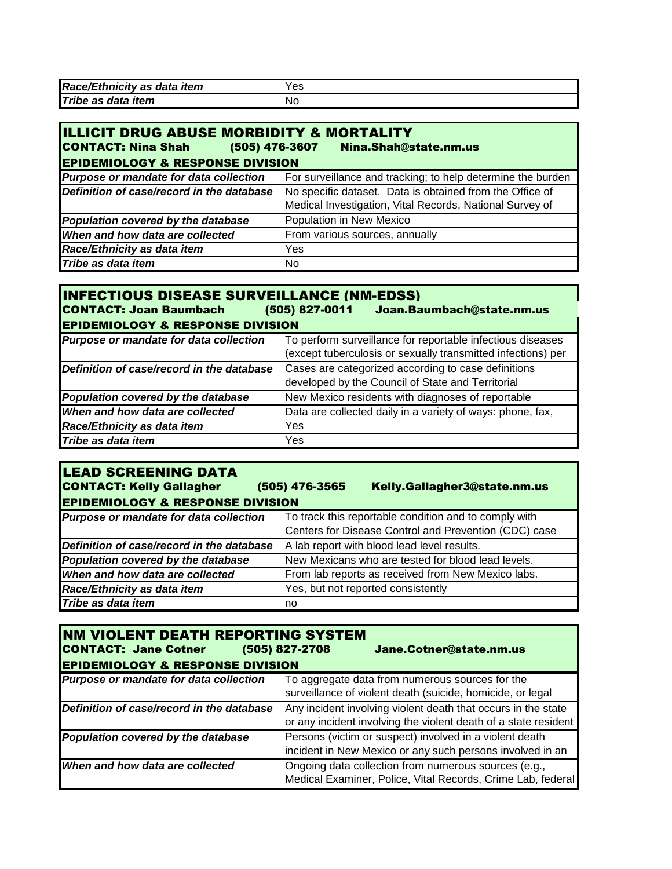| Race/Ethnicity as data item | Yes |
|-----------------------------|-----|
| Tribe as data item          | 'No |

| <b>IILLICIT DRUG ABUSE MORBIDITY &amp; MORTALITY</b><br><b>CONTACT: Nina Shah</b><br>(505) 476-3607<br>Nina.Shah@state.nm.us<br><b>EPIDEMIOLOGY &amp; RESPONSE DIVISION</b> |                                                             |
|-----------------------------------------------------------------------------------------------------------------------------------------------------------------------------|-------------------------------------------------------------|
| Purpose or mandate for data collection                                                                                                                                      | For surveillance and tracking; to help determine the burden |
| Definition of case/record in the database                                                                                                                                   | No specific dataset. Data is obtained from the Office of    |
|                                                                                                                                                                             | Medical Investigation, Vital Records, National Survey of    |
| Population covered by the database                                                                                                                                          | Population in New Mexico                                    |
| When and how data are collected                                                                                                                                             | From various sources, annually                              |
| Race/Ethnicity as data item                                                                                                                                                 | Yes                                                         |
| Tribe as data item                                                                                                                                                          | No.                                                         |

| <b>INFECTIOUS DISEASE SURVEILLANCE (NM-EDSS)</b><br><b>CONTACT: Joan Baumbach</b><br>(505) 827-0011<br>Joan.Baumbach@state.nm.us |                                                                                                                            |  |
|----------------------------------------------------------------------------------------------------------------------------------|----------------------------------------------------------------------------------------------------------------------------|--|
| <b>EPIDEMIOLOGY &amp; RESPONSE DIVISION</b>                                                                                      |                                                                                                                            |  |
| Purpose or mandate for data collection                                                                                           | To perform surveillance for reportable infectious diseases<br>(except tuberculosis or sexually transmitted infections) per |  |
| Definition of case/record in the database                                                                                        | Cases are categorized according to case definitions<br>developed by the Council of State and Territorial                   |  |
| Population covered by the database                                                                                               | New Mexico residents with diagnoses of reportable                                                                          |  |
| When and how data are collected                                                                                                  | Data are collected daily in a variety of ways: phone, fax,                                                                 |  |
| Race/Ethnicity as data item                                                                                                      | Yes                                                                                                                        |  |
| Tribe as data item                                                                                                               | Yes                                                                                                                        |  |

| <b>LEAD SCREENING DATA</b><br><b>CONTACT: Kelly Gallagher</b><br><b>EPIDEMIOLOGY &amp; RESPONSE DIVISION</b> | (505) 476-3565<br>Kelly.Gallagher3@state.nm.us        |  |
|--------------------------------------------------------------------------------------------------------------|-------------------------------------------------------|--|
| Purpose or mandate for data collection                                                                       | To track this reportable condition and to comply with |  |
|                                                                                                              | Centers for Disease Control and Prevention (CDC) case |  |
| Definition of case/record in the database                                                                    | A lab report with blood lead level results.           |  |
| Population covered by the database                                                                           | New Mexicans who are tested for blood lead levels.    |  |
| When and how data are collected                                                                              | From lab reports as received from New Mexico labs.    |  |
| Race/Ethnicity as data item                                                                                  | Yes, but not reported consistently                    |  |
| Tribe as data item                                                                                           | no                                                    |  |

| <b>INM VIOLENT DEATH REPORTING SYSTEM</b><br><b>CONTACT: Jane Cotner</b> | Jane.Cotner@state.nm.us<br>(505) 827-2708                       |  |  |
|--------------------------------------------------------------------------|-----------------------------------------------------------------|--|--|
| <b>EPIDEMIOLOGY &amp; RESPONSE DIVISION</b>                              |                                                                 |  |  |
| Purpose or mandate for data collection                                   | To aggregate data from numerous sources for the                 |  |  |
|                                                                          | surveillance of violent death (suicide, homicide, or legal      |  |  |
| Definition of case/record in the database                                | Any incident involving violent death that occurs in the state   |  |  |
|                                                                          | or any incident involving the violent death of a state resident |  |  |
| Population covered by the database                                       | Persons (victim or suspect) involved in a violent death         |  |  |
|                                                                          | incident in New Mexico or any such persons involved in an       |  |  |
| When and how data are collected                                          | Ongoing data collection from numerous sources (e.g.,            |  |  |
|                                                                          | Medical Examiner, Police, Vital Records, Crime Lab, federal     |  |  |
|                                                                          |                                                                 |  |  |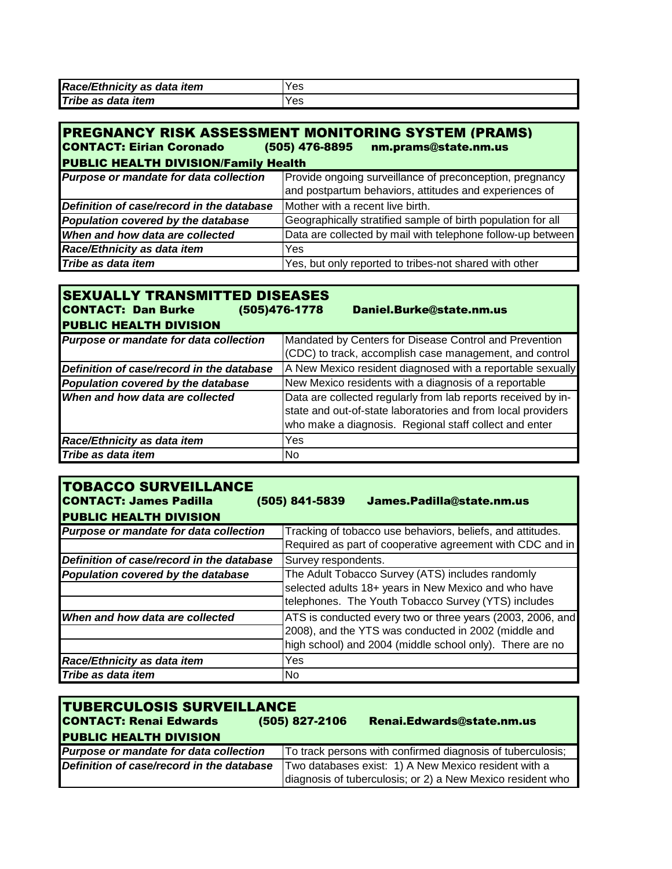| Race/Ethnicity as data item | Yes |
|-----------------------------|-----|
| Tribe as data item          | Yes |

| <b>PREGNANCY RISK ASSESSMENT MONITORING SYSTEM (PRAMS)</b><br><b>CONTACT: Eirian Coronado</b><br>(505) 476-8895<br>nm.prams@state.nm.us<br><b>PUBLIC HEALTH DIVISION/Family Health</b> |                                                                                                                    |  |  |
|----------------------------------------------------------------------------------------------------------------------------------------------------------------------------------------|--------------------------------------------------------------------------------------------------------------------|--|--|
| Purpose or mandate for data collection                                                                                                                                                 | Provide ongoing surveillance of preconception, pregnancy<br>and postpartum behaviors, attitudes and experiences of |  |  |
| Definition of case/record in the database                                                                                                                                              | Mother with a recent live birth.                                                                                   |  |  |
| Population covered by the database                                                                                                                                                     | Geographically stratified sample of birth population for all                                                       |  |  |
| When and how data are collected                                                                                                                                                        | Data are collected by mail with telephone follow-up between                                                        |  |  |
| Race/Ethnicity as data item                                                                                                                                                            | Yes                                                                                                                |  |  |
| Tribe as data item                                                                                                                                                                     | Yes, but only reported to tribes-not shared with other                                                             |  |  |
|                                                                                                                                                                                        |                                                                                                                    |  |  |

| <b>SEXUALLY TRANSMITTED DISEASES</b><br><b>CONTACT: Dan Burke</b><br>(505)476-1778 | Daniel.Burke@state.nm.us                                                                                                                                                                |  |
|------------------------------------------------------------------------------------|-----------------------------------------------------------------------------------------------------------------------------------------------------------------------------------------|--|
| <b>PUBLIC HEALTH DIVISION</b>                                                      |                                                                                                                                                                                         |  |
| Purpose or mandate for data collection                                             | Mandated by Centers for Disease Control and Prevention                                                                                                                                  |  |
|                                                                                    | (CDC) to track, accomplish case management, and control                                                                                                                                 |  |
| Definition of case/record in the database                                          | A New Mexico resident diagnosed with a reportable sexually                                                                                                                              |  |
| Population covered by the database                                                 | New Mexico residents with a diagnosis of a reportable                                                                                                                                   |  |
| When and how data are collected                                                    | Data are collected regularly from lab reports received by in-<br>state and out-of-state laboratories and from local providers<br>who make a diagnosis. Regional staff collect and enter |  |
| Race/Ethnicity as data item                                                        | Yes                                                                                                                                                                                     |  |
| Tribe as data item                                                                 | No.                                                                                                                                                                                     |  |

| <b>TOBACCO SURVEILLANCE</b><br><b>CONTACT: James Padilla</b><br><b>PUBLIC HEALTH DIVISION</b> | (505) 841-5839<br>James.Padilla@state.nm.us                |  |  |
|-----------------------------------------------------------------------------------------------|------------------------------------------------------------|--|--|
| Purpose or mandate for data collection                                                        | Tracking of tobacco use behaviors, beliefs, and attitudes. |  |  |
|                                                                                               | Required as part of cooperative agreement with CDC and in  |  |  |
| Definition of case/record in the database                                                     | Survey respondents.                                        |  |  |
| Population covered by the database                                                            | The Adult Tobacco Survey (ATS) includes randomly           |  |  |
|                                                                                               | selected adults 18+ years in New Mexico and who have       |  |  |
|                                                                                               | telephones. The Youth Tobacco Survey (YTS) includes        |  |  |
| When and how data are collected                                                               | ATS is conducted every two or three years (2003, 2006, and |  |  |
|                                                                                               | 2008), and the YTS was conducted in 2002 (middle and       |  |  |
|                                                                                               | high school) and 2004 (middle school only). There are no   |  |  |
| Race/Ethnicity as data item                                                                   | Yes                                                        |  |  |
| Tribe as data item                                                                            | No                                                         |  |  |

| <b>TUBERCULOSIS SURVEILLANCE</b><br><b>CONTACT: Renai Edwards</b><br><b>PUBLIC HEALTH DIVISION</b> | (505) 827-2106                                                                                                     | <b>Renai.Edwards@state.nm.us</b>                           |
|----------------------------------------------------------------------------------------------------|--------------------------------------------------------------------------------------------------------------------|------------------------------------------------------------|
| Purpose or mandate for data collection                                                             |                                                                                                                    | To track persons with confirmed diagnosis of tuberculosis; |
| Definition of case/record in the database                                                          | Two databases exist: 1) A New Mexico resident with a<br>diagnosis of tuberculosis; or 2) a New Mexico resident who |                                                            |
|                                                                                                    |                                                                                                                    |                                                            |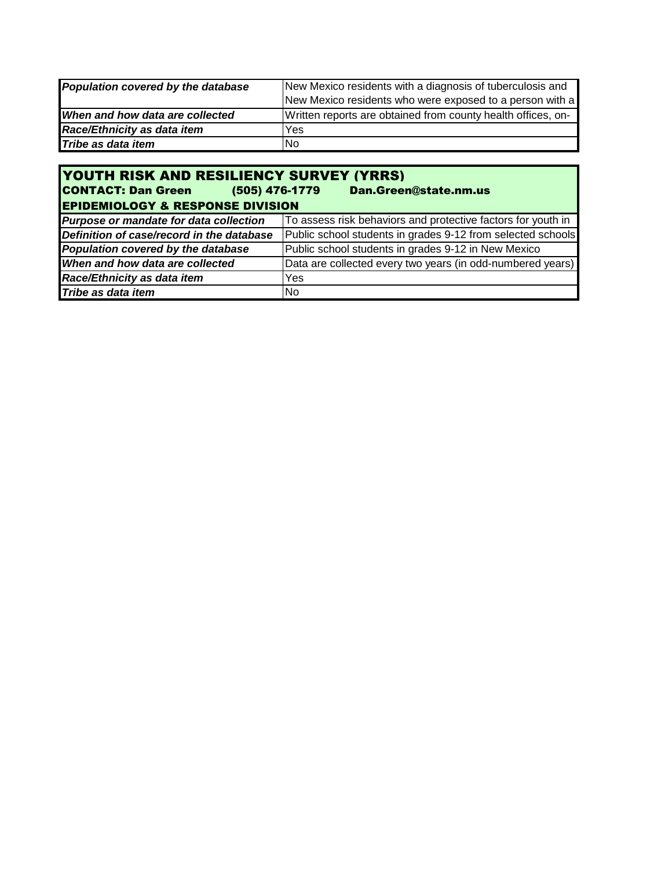| Population covered by the database | New Mexico residents with a diagnosis of tuberculosis and    |  |
|------------------------------------|--------------------------------------------------------------|--|
|                                    | New Mexico residents who were exposed to a person with a     |  |
| When and how data are collected    | Written reports are obtained from county health offices, on- |  |
| Race/Ethnicity as data item        | Yes                                                          |  |
| Tribe as data item                 | No                                                           |  |

| <b>YOUTH RISK AND RESILIENCY SURVEY (YRRS)</b><br><b>CONTACT: Dan Green</b> (505) 476-1779<br><b>Dan.Green@state.nm.us</b><br><b>EPIDEMIOLOGY &amp; RESPONSE DIVISION</b> |                                                              |  |  |  |
|---------------------------------------------------------------------------------------------------------------------------------------------------------------------------|--------------------------------------------------------------|--|--|--|
| Purpose or mandate for data collection                                                                                                                                    | To assess risk behaviors and protective factors for youth in |  |  |  |
| Definition of case/record in the database                                                                                                                                 | Public school students in grades 9-12 from selected schools  |  |  |  |
| Population covered by the database                                                                                                                                        | Public school students in grades 9-12 in New Mexico          |  |  |  |
| When and how data are collected                                                                                                                                           | Data are collected every two years (in odd-numbered years)   |  |  |  |
| Race/Ethnicity as data item                                                                                                                                               | Yes                                                          |  |  |  |
| Tribe as data item                                                                                                                                                        | No.                                                          |  |  |  |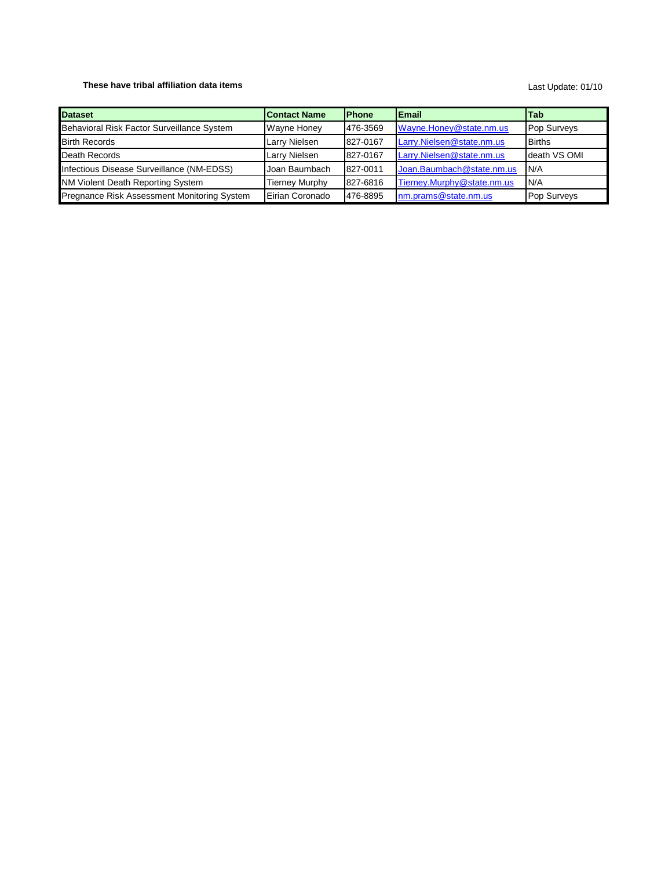### **These have tribal affiliation data items**

#### Last Update: 01/10

| <b>Dataset</b>                              | <b>Contact Name</b> | <b>IPhone</b> | Email                      | l Tab         |
|---------------------------------------------|---------------------|---------------|----------------------------|---------------|
| Behavioral Risk Factor Surveillance System  | Wayne Honey         | 1476-3569     | Wayne.Honey@state.nm.us    | Pop Surveys   |
| <b>Birth Records</b>                        | Larry Nielsen       | 827-0167      | Larry.Nielsen@state.nm.us  | <b>Births</b> |
| Death Records                               | Larry Nielsen       | 827-0167      | Larry.Nielsen@state.nm.us  | death VS OMI  |
| Infectious Disease Surveillance (NM-EDSS)   | Joan Baumbach       | 827-0011      | Joan.Baumbach@state.nm.us  | IN/A          |
| NM Violent Death Reporting System           | Tierney Murphy      | 827-6816      | Tierney.Murphy@state.nm.us | N/A           |
| Pregnance Risk Assessment Monitoring System | Eirian Coronado     | 1476-8895     | nm.prams@state.nm.us       | Pop Surveys   |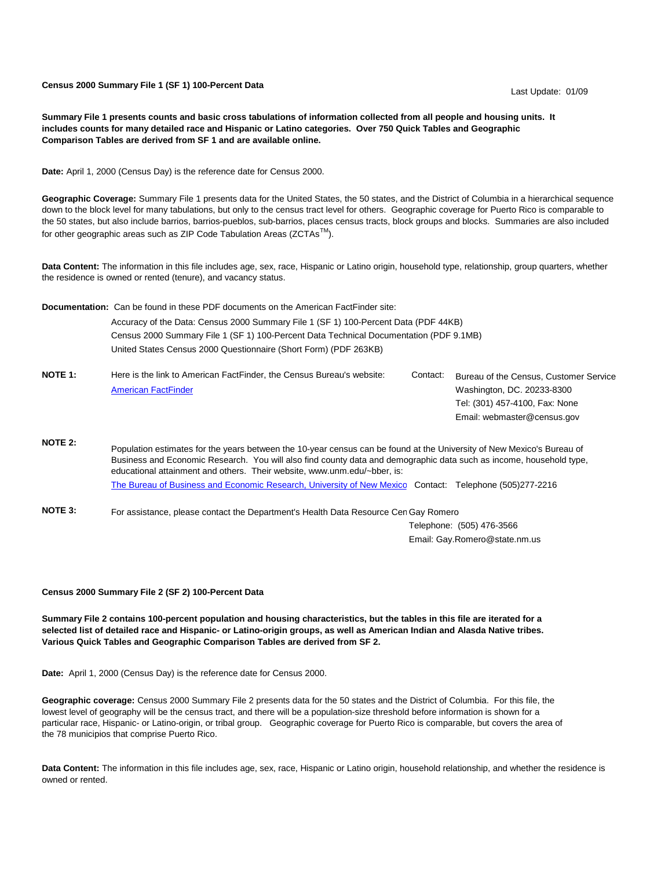**Census 2000 Summary File 1 (SF 1) 100-Percent Data** 

Last Update: 01/09

**Summary File 1 presents counts and basic cross tabulations of information collected from all people and housing units. It includes counts for many detailed race and Hispanic or Latino categories. Over 750 Quick Tables and Geographic Comparison Tables are derived from SF 1 and are available online.**

**Date:** April 1, 2000 (Census Day) is the reference date for Census 2000.

**Geographic Coverage:** Summary File 1 presents data for the United States, the 50 states, and the District of Columbia in a hierarchical sequence down to the block level for many tabulations, but only to the census tract level for others. Geographic coverage for Puerto Rico is comparable to the 50 states, but also include barrios, barrios-pueblos, sub-barrios, places census tracts, block groups and blocks. Summaries are also included for other geographic areas such as ZIP Code Tabulation Areas (ZCTAs<sup>TM</sup>).

**Data Content:** The information in this file includes age, sex, race, Hispanic or Latino origin, household type, relationship, group quarters, whether the residence is owned or rented (tenure), and vacancy status.

**Documentation:** Can be found in these PDF documents on the American FactFinder site: Accuracy of the Data: Census 2000 Summary File 1 (SF 1) 100-Percent Data (PDF 44KB) Census 2000 Summary File 1 (SF 1) 100-Percent Data Technical Documentation (PDF 9.1MB) United States Census 2000 Questionnaire (Short Form) (PDF 263KB)

| Bureau of the Census, Customer Service                        |
|---------------------------------------------------------------|
|                                                               |
|                                                               |
|                                                               |
| Tel: (301) 457-4100, Fax: None<br>Email: webmaster@census.gov |

**NOTE 2:** [The Bureau of Business and Economic Research, University of New Mexico](http://www.unm.edu/~bber/) Contact: Telephone (505)277-2216 Population estimates for the years between the 10-year census can be found at the University of New Mexico's Bureau of Business and Economic Research. You will also find county data and demographic data such as income, household type, educational attainment and others. Their website, www.unm.edu/~bber, is:

NOTE 3: For assistance, please contact the Department's Health Data Resource Cen Gay Romero

Telephone: (505) 476-3566 Email: Gay.Romero@state.nm.us

#### **Census 2000 Summary File 2 (SF 2) 100-Percent Data**

**Summary File 2 contains 100-percent population and housing characteristics, but the tables in this file are iterated for a selected list of detailed race and Hispanic- or Latino-origin groups, as well as American Indian and Alasda Native tribes. Various Quick Tables and Geographic Comparison Tables are derived from SF 2.**

**Date:** April 1, 2000 (Census Day) is the reference date for Census 2000.

**Geographic coverage:** Census 2000 Summary File 2 presents data for the 50 states and the District of Columbia. For this file, the lowest level of geography will be the census tract, and there will be a population-size threshold before information is shown for a particular race, Hispanic- or Latino-origin, or tribal group. Geographic coverage for Puerto Rico is comparable, but covers the area of the 78 municipios that comprise Puerto Rico.

**Data Content:** The information in this file includes age, sex, race, Hispanic or Latino origin, household relationship, and whether the residence is owned or rented.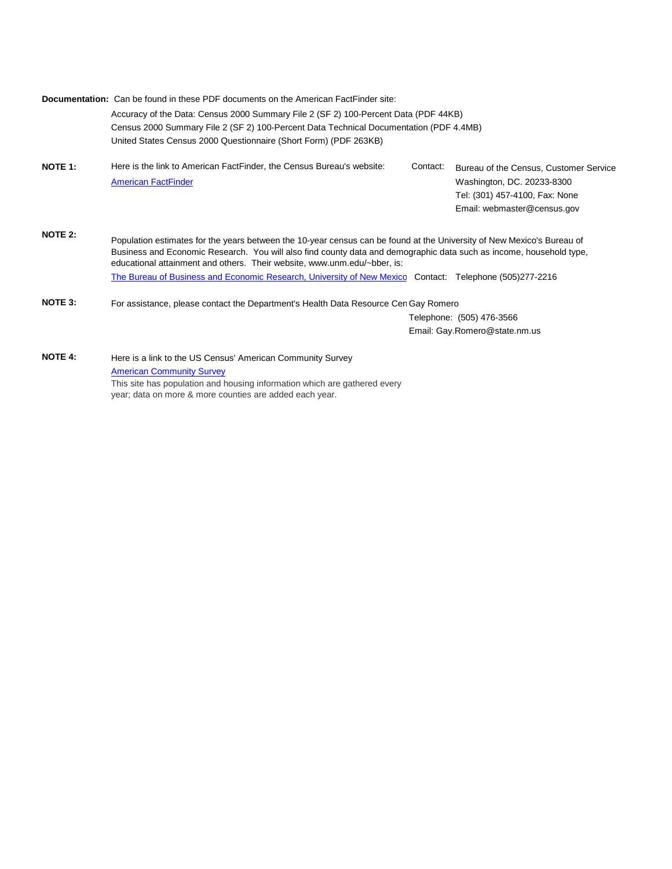|                | Documentation: Can be found in these PDF documents on the American FactFinder site:                                                                                                                                                                                                                                       |          |                                                                                                                                       |  |
|----------------|---------------------------------------------------------------------------------------------------------------------------------------------------------------------------------------------------------------------------------------------------------------------------------------------------------------------------|----------|---------------------------------------------------------------------------------------------------------------------------------------|--|
|                | Accuracy of the Data: Census 2000 Summary File 2 (SF 2) 100-Percent Data (PDF 44KB)<br>Census 2000 Summary File 2 (SF 2) 100-Percent Data Technical Documentation (PDF 4.4MB)                                                                                                                                             |          |                                                                                                                                       |  |
|                | United States Census 2000 Questionnaire (Short Form) (PDF 263KB)                                                                                                                                                                                                                                                          |          |                                                                                                                                       |  |
| <b>NOTE 1:</b> | Here is the link to American FactFinder, the Census Bureau's website:<br><b>American FactFinder</b>                                                                                                                                                                                                                       | Contact: | Bureau of the Census, Customer Service<br>Washington, DC. 20233-8300<br>Tel: (301) 457-4100, Fax: None<br>Email: webmaster@census.gov |  |
| <b>NOTE 2:</b> | Population estimates for the years between the 10-year census can be found at the University of New Mexico's Bureau of<br>Business and Economic Research. You will also find county data and demographic data such as income, household type,<br>educational attainment and others. Their website, www.unm.edu/~bber, is: |          |                                                                                                                                       |  |
|                | The Bureau of Business and Economic Research, University of New Mexico Contact: Telephone (505)277-2216                                                                                                                                                                                                                   |          |                                                                                                                                       |  |
| <b>NOTE 3:</b> | For assistance, please contact the Department's Health Data Resource Cen Gay Romero                                                                                                                                                                                                                                       |          |                                                                                                                                       |  |
|                |                                                                                                                                                                                                                                                                                                                           |          | Telephone: (505) 476-3566                                                                                                             |  |
|                |                                                                                                                                                                                                                                                                                                                           |          | Email: Gay.Romero@state.nm.us                                                                                                         |  |
| <b>NOTE 4:</b> | Here is a link to the US Census' American Community Survey                                                                                                                                                                                                                                                                |          |                                                                                                                                       |  |
|                | <b>American Community Survey</b>                                                                                                                                                                                                                                                                                          |          |                                                                                                                                       |  |

This site has population and housing information which are gathered every year; data on more & more counties are added each year.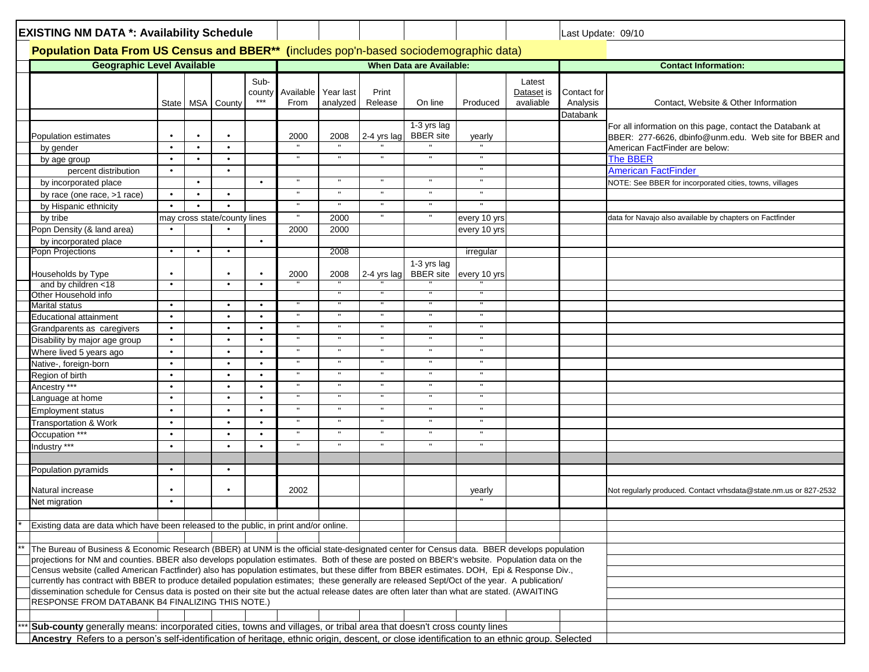| <b>EXISTING NM DATA *: Availability Schedule</b>                                                                                             |           |           |                              |           | Last Update: 09/10<br>Population Data From US Census and BBER** (includes pop'n-based sociodemographic data)                                                                                                                                                                               |              |                |                                 |                              |            |             |                                                                  |
|----------------------------------------------------------------------------------------------------------------------------------------------|-----------|-----------|------------------------------|-----------|--------------------------------------------------------------------------------------------------------------------------------------------------------------------------------------------------------------------------------------------------------------------------------------------|--------------|----------------|---------------------------------|------------------------------|------------|-------------|------------------------------------------------------------------|
|                                                                                                                                              |           |           |                              |           |                                                                                                                                                                                                                                                                                            |              |                |                                 |                              |            |             |                                                                  |
| <b>Geographic Level Available</b>                                                                                                            |           |           |                              |           |                                                                                                                                                                                                                                                                                            |              |                | <b>When Data are Available:</b> |                              |            |             | <b>Contact Information:</b>                                      |
|                                                                                                                                              |           |           |                              | Sub-      |                                                                                                                                                                                                                                                                                            |              |                |                                 |                              | Latest     |             |                                                                  |
|                                                                                                                                              |           |           |                              | county    | Available                                                                                                                                                                                                                                                                                  | Year last    | Print          |                                 |                              | Dataset is | Contact for |                                                                  |
|                                                                                                                                              |           | State MSA | County                       | $***$     | From                                                                                                                                                                                                                                                                                       | analyzed     | Release        | On line                         | Produced                     | avaliable  | Analysis    | Contact, Website & Other Information                             |
|                                                                                                                                              |           |           |                              |           |                                                                                                                                                                                                                                                                                            |              |                |                                 |                              |            | Databank    |                                                                  |
|                                                                                                                                              |           |           |                              |           |                                                                                                                                                                                                                                                                                            |              |                | 1-3 yrs lag                     |                              |            |             | For all information on this page, contact the Databank at        |
| Population estimates                                                                                                                         |           |           |                              |           | 2000                                                                                                                                                                                                                                                                                       | 2008         | 2-4 yrs lag    | <b>BBER</b> site                | yearly                       |            |             | BBER: 277-6626, dbinfo@unm.edu. Web site for BBER and            |
| by gender                                                                                                                                    | $\bullet$ | $\bullet$ | $\bullet$                    |           |                                                                                                                                                                                                                                                                                            |              |                |                                 |                              |            |             | American FactFinder are below:                                   |
| by age group                                                                                                                                 | $\bullet$ | $\bullet$ | $\bullet$                    |           | $\mathbf{u}$                                                                                                                                                                                                                                                                               | $\mathbf{u}$ | $\mathbf{u}$   | $\mathbf{u}$                    | $\mathbf{H}$                 |            |             | <b>The BBER</b>                                                  |
| percent distribution                                                                                                                         | $\bullet$ |           | $\bullet$                    |           |                                                                                                                                                                                                                                                                                            |              |                |                                 |                              |            |             | <b>American FactFinder</b>                                       |
| by incorporated place                                                                                                                        |           | $\bullet$ |                              | $\bullet$ | $\mathbf{u}$                                                                                                                                                                                                                                                                               | $\mathbf{H}$ | $\mathbf{H}$ . | $\mathbf{u}$                    | $\mathbf{H}$                 |            |             | NOTE: See BBER for incorporated cities, towns, villages          |
| by race (one race, >1 race)                                                                                                                  | $\bullet$ | $\bullet$ | $\bullet$                    |           |                                                                                                                                                                                                                                                                                            |              | $\mathbf{H}$   | $\mathbf{H}$                    |                              |            |             |                                                                  |
| by Hispanic ethnicity                                                                                                                        | $\bullet$ | $\bullet$ |                              |           |                                                                                                                                                                                                                                                                                            |              | $\mathbf{u}$   |                                 |                              |            |             |                                                                  |
| by tribe                                                                                                                                     |           |           | may cross state/county lines |           |                                                                                                                                                                                                                                                                                            | 2000         | $\mathbf{u}$   |                                 | every 10 yrs                 |            |             | data for Navajo also available by chapters on Factfinder         |
| Popn Density (& land area)                                                                                                                   |           |           |                              |           | 2000                                                                                                                                                                                                                                                                                       | 2000         |                |                                 | every 10 yrs                 |            |             |                                                                  |
| by incorporated place                                                                                                                        |           |           |                              | $\bullet$ |                                                                                                                                                                                                                                                                                            |              |                |                                 |                              |            |             |                                                                  |
| Popn Projections                                                                                                                             | $\bullet$ | $\bullet$ | $\bullet$                    |           |                                                                                                                                                                                                                                                                                            | 2008         |                |                                 | irregular                    |            |             |                                                                  |
| Households by Type                                                                                                                           |           |           |                              | $\bullet$ | 2000                                                                                                                                                                                                                                                                                       | 2008         | 2-4 yrs lag    | 1-3 yrs lag<br><b>BBER</b> site | every 10 yrs                 |            |             |                                                                  |
| and by children <18                                                                                                                          | $\bullet$ |           | $\bullet$                    | $\bullet$ |                                                                                                                                                                                                                                                                                            |              |                |                                 |                              |            |             |                                                                  |
| Other Household info                                                                                                                         |           |           |                              |           |                                                                                                                                                                                                                                                                                            |              |                |                                 |                              |            |             |                                                                  |
| Marital status                                                                                                                               | $\bullet$ |           | $\bullet$                    | $\bullet$ |                                                                                                                                                                                                                                                                                            |              |                |                                 | $\mathbf{H}$                 |            |             |                                                                  |
| Educational attainment                                                                                                                       | $\bullet$ |           | $\bullet$                    | $\bullet$ |                                                                                                                                                                                                                                                                                            | $\mathbf{u}$ | $\mathbf{u}$   |                                 |                              |            |             |                                                                  |
| Grandparents as caregivers                                                                                                                   | $\bullet$ |           | $\bullet$                    | $\bullet$ |                                                                                                                                                                                                                                                                                            |              | $\mathbf{u}$   |                                 | $\mathbf{H}$                 |            |             |                                                                  |
| Disability by major age group                                                                                                                | $\bullet$ |           | $\bullet$                    | $\bullet$ | $\mathbf{u}$                                                                                                                                                                                                                                                                               | ш            | $\mathbf{H}$   | $\mathbf{u}$                    | $\mathbf H$                  |            |             |                                                                  |
| Where lived 5 years ago                                                                                                                      | $\bullet$ |           | $\bullet$                    | $\bullet$ |                                                                                                                                                                                                                                                                                            |              |                |                                 | $\mathbf{H}$                 |            |             |                                                                  |
| Native-, foreign-born                                                                                                                        | $\bullet$ |           | $\bullet$                    | $\bullet$ |                                                                                                                                                                                                                                                                                            |              | $\mathbf H$    |                                 | $\mathbf{H}$                 |            |             |                                                                  |
| Region of birth                                                                                                                              | $\bullet$ |           | $\bullet$                    | $\bullet$ |                                                                                                                                                                                                                                                                                            |              |                |                                 | $\mathbf H$                  |            |             |                                                                  |
| Ancestry ***                                                                                                                                 |           |           | $\bullet$                    | $\bullet$ |                                                                                                                                                                                                                                                                                            | $\mathbf{u}$ | $\mathbf{u}$   | $\mathbf{u}$                    | $\mathbf{H}$<br>$\mathbf{H}$ |            |             |                                                                  |
| anguage at home                                                                                                                              | $\bullet$ |           | $\bullet$                    | $\bullet$ |                                                                                                                                                                                                                                                                                            |              | $\mathbf{u}$   |                                 | $\mathbf{H}$                 |            |             |                                                                  |
| <b>Employment status</b>                                                                                                                     | $\bullet$ |           | $\bullet$                    | $\bullet$ |                                                                                                                                                                                                                                                                                            |              |                |                                 |                              |            |             |                                                                  |
| <b>Transportation &amp; Work</b>                                                                                                             | $\bullet$ |           | $\bullet$                    | $\bullet$ |                                                                                                                                                                                                                                                                                            |              | $\mathbf{u}$   |                                 | $\mathbf{H}$                 |            |             |                                                                  |
| Occupation ***                                                                                                                               | $\bullet$ |           | $\bullet$                    | $\bullet$ |                                                                                                                                                                                                                                                                                            |              |                |                                 | $\mathbf{H}$                 |            |             |                                                                  |
| Industry ***                                                                                                                                 |           |           |                              | $\bullet$ |                                                                                                                                                                                                                                                                                            | $\mathbf{u}$ | $\mathbf{u}$   | $\mathbf{u}$                    | $\mathbf{H}$                 |            |             |                                                                  |
|                                                                                                                                              | $\bullet$ |           | $\bullet$                    |           |                                                                                                                                                                                                                                                                                            |              |                |                                 |                              |            |             |                                                                  |
| Population pyramids                                                                                                                          |           |           |                              |           |                                                                                                                                                                                                                                                                                            |              |                |                                 |                              |            |             |                                                                  |
| Natural increase                                                                                                                             |           |           |                              |           | 2002                                                                                                                                                                                                                                                                                       |              |                |                                 | yearly                       |            |             | Not regularly produced. Contact vrhsdata@state.nm.us or 827-2532 |
| Net migration                                                                                                                                | $\bullet$ |           |                              |           |                                                                                                                                                                                                                                                                                            |              |                |                                 |                              |            |             |                                                                  |
|                                                                                                                                              |           |           |                              |           |                                                                                                                                                                                                                                                                                            |              |                |                                 |                              |            |             |                                                                  |
| Existing data are data which have been released to the public, in print and/or online.                                                       |           |           |                              |           |                                                                                                                                                                                                                                                                                            |              |                |                                 |                              |            |             |                                                                  |
|                                                                                                                                              |           |           |                              |           |                                                                                                                                                                                                                                                                                            |              |                |                                 |                              |            |             |                                                                  |
| The Bureau of Business & Economic Research (BBER) at UNM is the official state-designated center for Census data. BBER develops population   |           |           |                              |           |                                                                                                                                                                                                                                                                                            |              |                |                                 |                              |            |             |                                                                  |
|                                                                                                                                              |           |           |                              |           |                                                                                                                                                                                                                                                                                            |              |                |                                 |                              |            |             |                                                                  |
|                                                                                                                                              |           |           |                              |           | projections for NM and counties. BBER also develops population estimates. Both of these are posted on BBER's website. Population data on the<br>Census website (called American Factfinder) also has population estimates, but these differ from BBER estimates. DOH, Epi & Response Div., |              |                |                                 |                              |            |             |                                                                  |
| currently has contract with BBER to produce detailed population estimates; these generally are released Sept/Oct of the year. A publication/ |           |           |                              |           |                                                                                                                                                                                                                                                                                            |              |                |                                 |                              |            |             |                                                                  |
| dissemination schedule for Census data is posted on their site but the actual release dates are often later than what are stated. (AWAITING  |           |           |                              |           |                                                                                                                                                                                                                                                                                            |              |                |                                 |                              |            |             |                                                                  |
| RESPONSE FROM DATABANK B4 FINALIZING THIS NOTE.)                                                                                             |           |           |                              |           |                                                                                                                                                                                                                                                                                            |              |                |                                 |                              |            |             |                                                                  |
|                                                                                                                                              |           |           |                              |           |                                                                                                                                                                                                                                                                                            |              |                |                                 |                              |            |             |                                                                  |
| Sub-county generally means: incorporated cities, towns and villages, or tribal area that doesn't cross county lines                          |           |           |                              |           |                                                                                                                                                                                                                                                                                            |              |                |                                 |                              |            |             |                                                                  |
| Ancestry Refers to a person's self-identification of heritage, ethnic origin, descent, or close identification to an ethnic group. Selected  |           |           |                              |           |                                                                                                                                                                                                                                                                                            |              |                |                                 |                              |            |             |                                                                  |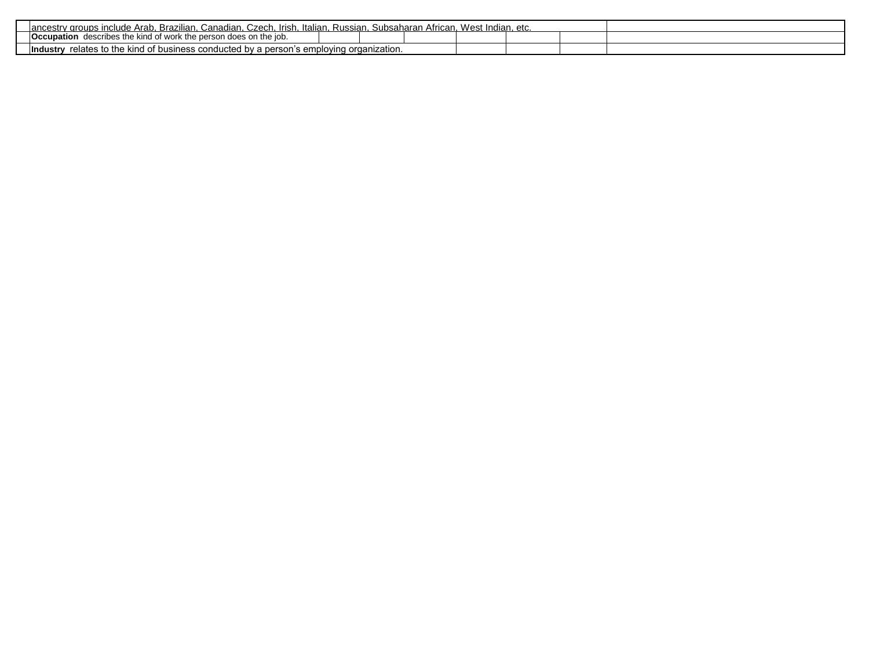| Czech<br>Brazilian.<br>Canadian.<br>. Irish<br>Russian.<br><sup>,</sup> aroups include Arab.<br>Subsaharan<br>Italian.<br>African.<br>lancestry | West | lndian. etc. |  |
|-------------------------------------------------------------------------------------------------------------------------------------------------|------|--------------|--|
| <b>Occupation</b><br>describes the kind of work the person does on the job.                                                                     |      |              |  |
| relates to the kind of business conducted by a person's em<br>nplovina<br>i organization.<br>∣Industr∖                                          |      |              |  |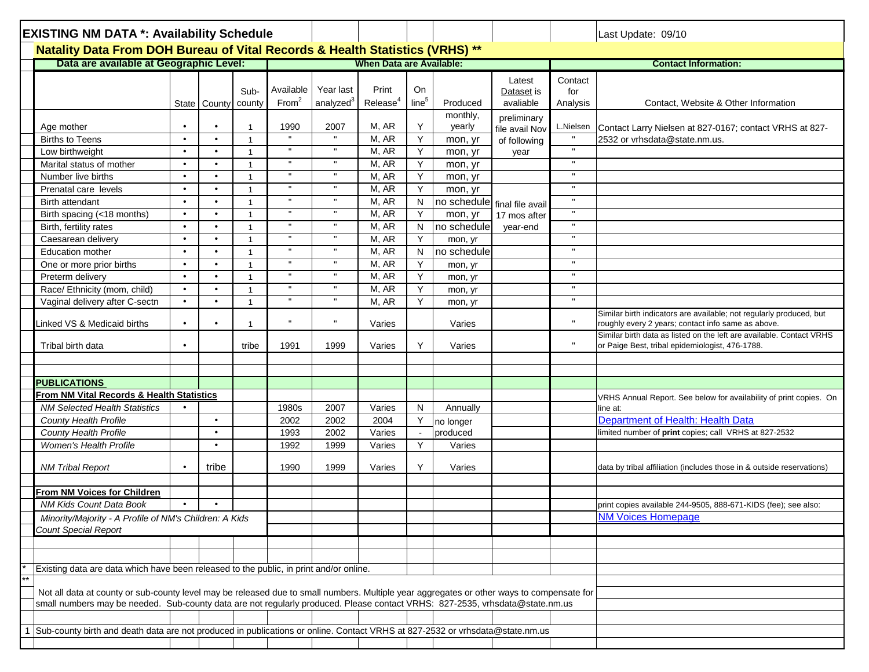| <b>EXISTING NM DATA *: Availability Schedule</b>                                                                                          |                        |                        |                |                   |                       |                                 |                   |                        |                  |              | Last Update: 09/10                                                                                                         |
|-------------------------------------------------------------------------------------------------------------------------------------------|------------------------|------------------------|----------------|-------------------|-----------------------|---------------------------------|-------------------|------------------------|------------------|--------------|----------------------------------------------------------------------------------------------------------------------------|
| Natality Data From DOH Bureau of Vital Records & Health Statistics (VRHS) **                                                              |                        |                        |                |                   |                       |                                 |                   |                        |                  |              |                                                                                                                            |
| Data are available at Geographic Level:                                                                                                   |                        |                        |                |                   |                       | <b>When Data are Available:</b> |                   |                        |                  |              | <b>Contact Information:</b>                                                                                                |
|                                                                                                                                           |                        |                        |                |                   |                       |                                 |                   |                        | Latest           | Contact      |                                                                                                                            |
|                                                                                                                                           |                        |                        | Sub-           | Available         | Year last             | Print                           | On                |                        | Dataset is       | for          |                                                                                                                            |
|                                                                                                                                           |                        | State County           | county         | From <sup>2</sup> | analyzed <sup>3</sup> | Release <sup>4</sup>            | line <sup>5</sup> | Produced               | avaliable        | Analysis     | Contact, Website & Other Information                                                                                       |
|                                                                                                                                           |                        |                        |                |                   |                       |                                 |                   | monthly,               | preliminary      |              |                                                                                                                            |
| Age mother                                                                                                                                | $\bullet$              | ٠                      |                | 1990              | 2007                  | M, AR                           | Y                 | yearly                 | file avail Nov   | L.Nielsen    | Contact Larry Nielsen at 827-0167; contact VRHS at 827-                                                                    |
| <b>Births to Teens</b>                                                                                                                    | $\bullet$              | $\bullet$              |                |                   | $\mathbf{H}$          | M, AR                           | Y                 | mon, yr                | of following     | $\mathbf{u}$ | 2532 or vrhsdata@state.nm.us.                                                                                              |
| Low birthweight                                                                                                                           | $\bullet$              | $\bullet$              | $\mathbf{1}$   | $\mathbf{u}$      | $\mathbf{H}$          | M, AR                           | Y                 | mon, yr                | year             | $\mathbf{u}$ |                                                                                                                            |
| Marital status of mother                                                                                                                  | $\bullet$              | $\bullet$              | $\mathbf{1}$   | $\blacksquare$    | $\mathbf{H}$          | M, AR                           | Y                 | mon, yr                |                  | $\mathbf H$  |                                                                                                                            |
| Number live births                                                                                                                        | $\bullet$<br>$\bullet$ | $\bullet$<br>$\bullet$ | $\overline{1}$ | $\mathbf H$       | $\mathbf H$           | M, AR                           | Y                 | mon, yr                |                  | $\mathbf H$  |                                                                                                                            |
| Prenatal care levels                                                                                                                      | $\bullet$              | $\bullet$              |                | $\mathbf{u}$      | $\mathbf{H}$          | M, AR<br>M, AR                  | Υ                 | mon, yr                |                  | $\mathbf{u}$ |                                                                                                                            |
| Birth attendant                                                                                                                           | $\bullet$              | $\bullet$              |                | $\mathbf H$       | $\mathbf{H}$          |                                 | N                 | no schedule            | final file avail | $\mathbf{H}$ |                                                                                                                            |
| Birth spacing (<18 months)                                                                                                                | $\bullet$              | $\bullet$              | $\overline{1}$ |                   |                       | M, AR                           | Y<br>N            | mon, yr                | 17 mos after     | $\mathbf{H}$ |                                                                                                                            |
| Birth, fertility rates                                                                                                                    | $\bullet$              | $\bullet$              |                |                   |                       | M, AR<br>M, AR                  | Y                 | no schedule            | year-end         | $\mathbf{H}$ |                                                                                                                            |
| Caesarean delivery<br><b>Education mother</b>                                                                                             | $\bullet$              | $\bullet$              | $\overline{1}$ |                   |                       | M, AR                           | N                 | mon, yr<br>no schedule |                  | л            |                                                                                                                            |
|                                                                                                                                           | $\bullet$              | $\bullet$              |                |                   | $\mathbf{H}$          | M, AR                           | Y                 |                        |                  | $\mathbf{u}$ |                                                                                                                            |
| One or more prior births                                                                                                                  | $\bullet$              | $\bullet$              | $\overline{1}$ |                   |                       | M, AR                           | Y                 | mon, yr                |                  | $\mathbf{H}$ |                                                                                                                            |
| Preterm delivery<br>Race/ Ethnicity (mom, child)                                                                                          | $\bullet$              | $\bullet$              | $\overline{1}$ |                   | $\mathbf{H}$          | M, AR                           | Y                 | mon, yr                |                  | $\mathbf{u}$ |                                                                                                                            |
| Vaginal delivery after C-sectn                                                                                                            | $\bullet$              | $\bullet$              | $\mathbf{1}$   | $\mathbf H$       | $\mathbf{H}$          | M, AR                           | Y                 | mon, yr                |                  | $\mathbf{H}$ |                                                                                                                            |
|                                                                                                                                           |                        |                        |                |                   |                       |                                 |                   | mon, yr                |                  |              | Similar birth indicators are available; not regularly produced, but                                                        |
| Linked VS & Medicaid births                                                                                                               | $\bullet$              | ٠                      |                |                   | $\mathbf{u}$          | Varies                          |                   | Varies                 |                  | $\mathbf{H}$ | roughly every 2 years; contact info same as above.<br>Similar birth data as listed on the left are available. Contact VRHS |
| Tribal birth data                                                                                                                         | $\bullet$              |                        | tribe          | 1991              | 1999                  | Varies                          | Y                 | Varies                 |                  | $\mathbf H$  | or Paige Best, tribal epidemiologist, 476-1788.                                                                            |
|                                                                                                                                           |                        |                        |                |                   |                       |                                 |                   |                        |                  |              |                                                                                                                            |
| <b>PUBLICATIONS</b>                                                                                                                       |                        |                        |                |                   |                       |                                 |                   |                        |                  |              |                                                                                                                            |
| From NM Vital Records & Health Statistics                                                                                                 |                        |                        |                |                   |                       |                                 |                   |                        |                  |              |                                                                                                                            |
| <b>NM Selected Health Statistics</b>                                                                                                      |                        |                        |                | 1980s             | 2007                  | Varies                          | N                 | Annually               |                  |              | VRHS Annual Report. See below for availability of print copies. On<br>line at:                                             |
| County Health Profile                                                                                                                     |                        | $\bullet$              |                | 2002              | 2002                  | 2004                            | Υ                 |                        |                  |              | Department of Health: Health Data                                                                                          |
| <b>County Health Profile</b>                                                                                                              |                        | $\bullet$              |                | 1993              | 2002                  | Varies                          | $\sim$            | no longer<br>produced  |                  |              | limited number of print copies; call VRHS at 827-2532                                                                      |
| <b>Women's Health Profile</b>                                                                                                             |                        | $\bullet$              |                | 1992              | 1999                  | Varies                          | Y                 | Varies                 |                  |              |                                                                                                                            |
|                                                                                                                                           |                        |                        |                |                   |                       |                                 |                   |                        |                  |              |                                                                                                                            |
| <b>NM Tribal Report</b>                                                                                                                   | $\bullet$              | tribe                  |                | 1990              | 1999                  | Varies                          | Y                 | Varies                 |                  |              | data by tribal affiliation (includes those in & outside reservations)                                                      |
|                                                                                                                                           |                        |                        |                |                   |                       |                                 |                   |                        |                  |              |                                                                                                                            |
| From NM Voices for Children                                                                                                               |                        |                        |                |                   |                       |                                 |                   |                        |                  |              |                                                                                                                            |
| NM Kids Count Data Book                                                                                                                   | $\bullet$              | $\bullet$              |                |                   |                       |                                 |                   |                        |                  |              | print copies available 244-9505, 888-671-KIDS (fee); see also:                                                             |
| Minority/Majority - A Profile of NM's Children: A Kids                                                                                    |                        |                        |                |                   |                       |                                 |                   |                        |                  |              | <b>NM Voices Homepage</b>                                                                                                  |
| <b>Count Special Report</b>                                                                                                               |                        |                        |                |                   |                       |                                 |                   |                        |                  |              |                                                                                                                            |
|                                                                                                                                           |                        |                        |                |                   |                       |                                 |                   |                        |                  |              |                                                                                                                            |
|                                                                                                                                           |                        |                        |                |                   |                       |                                 |                   |                        |                  |              |                                                                                                                            |
| Existing data are data which have been released to the public, in print and/or online.                                                    |                        |                        |                |                   |                       |                                 |                   |                        |                  |              |                                                                                                                            |
|                                                                                                                                           |                        |                        |                |                   |                       |                                 |                   |                        |                  |              |                                                                                                                            |
| Not all data at county or sub-county level may be released due to small numbers. Multiple year aggregates or other ways to compensate for |                        |                        |                |                   |                       |                                 |                   |                        |                  |              |                                                                                                                            |
| small numbers may be needed. Sub-county data are not regularly produced. Please contact VRHS: 827-2535, vrhsdata@state.nm.us              |                        |                        |                |                   |                       |                                 |                   |                        |                  |              |                                                                                                                            |
|                                                                                                                                           |                        |                        |                |                   |                       |                                 |                   |                        |                  |              |                                                                                                                            |
| Sub-county birth and death data are not produced in publications or online. Contact VRHS at 827-2532 or vrhsdata@state.nm.us              |                        |                        |                |                   |                       |                                 |                   |                        |                  |              |                                                                                                                            |
|                                                                                                                                           |                        |                        |                |                   |                       |                                 |                   |                        |                  |              |                                                                                                                            |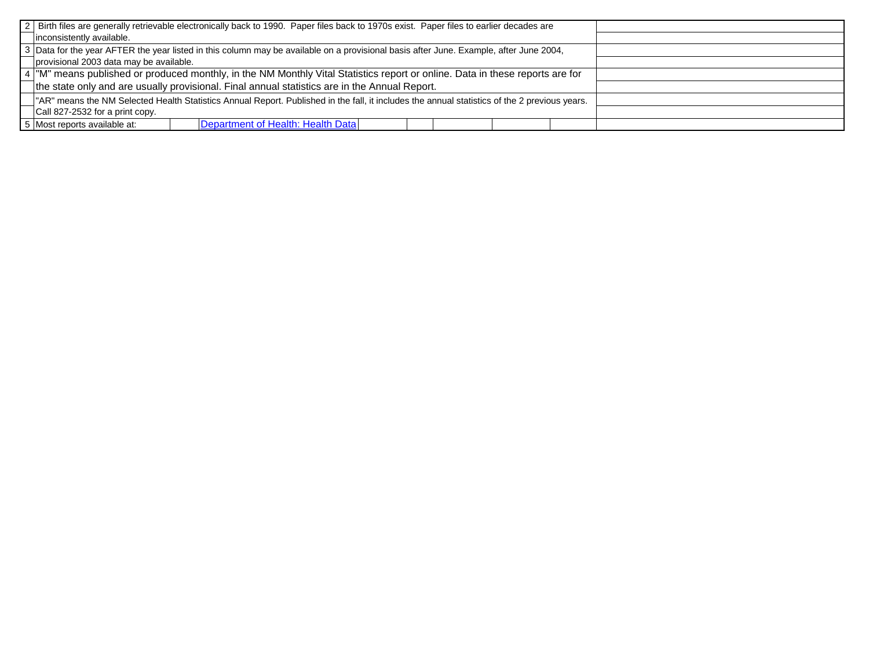|                                         | 2   Birth files are generally retrievable electronically back to 1990. Paper files back to 1970s exist. Paper files to earlier decades are    |  |  |
|-----------------------------------------|-----------------------------------------------------------------------------------------------------------------------------------------------|--|--|
| inconsistently available.               |                                                                                                                                               |  |  |
|                                         | 3 Data for the year AFTER the year listed in this column may be available on a provisional basis after June. Example, after June 2004,        |  |  |
| provisional 2003 data may be available. |                                                                                                                                               |  |  |
|                                         | 4  "M" means published or produced monthly, in the NM Monthly Vital Statistics report or online. Data in these reports are for                |  |  |
|                                         | the state only and are usually provisional. Final annual statistics are in the Annual Report.                                                 |  |  |
|                                         | "AR" means the NM Selected Health Statistics Annual Report. Published in the fall, it includes the annual statistics of the 2 previous years. |  |  |
| Call 827-2532 for a print copy.         |                                                                                                                                               |  |  |
| 5 Most reports available at:            | Department of Health: Health Data                                                                                                             |  |  |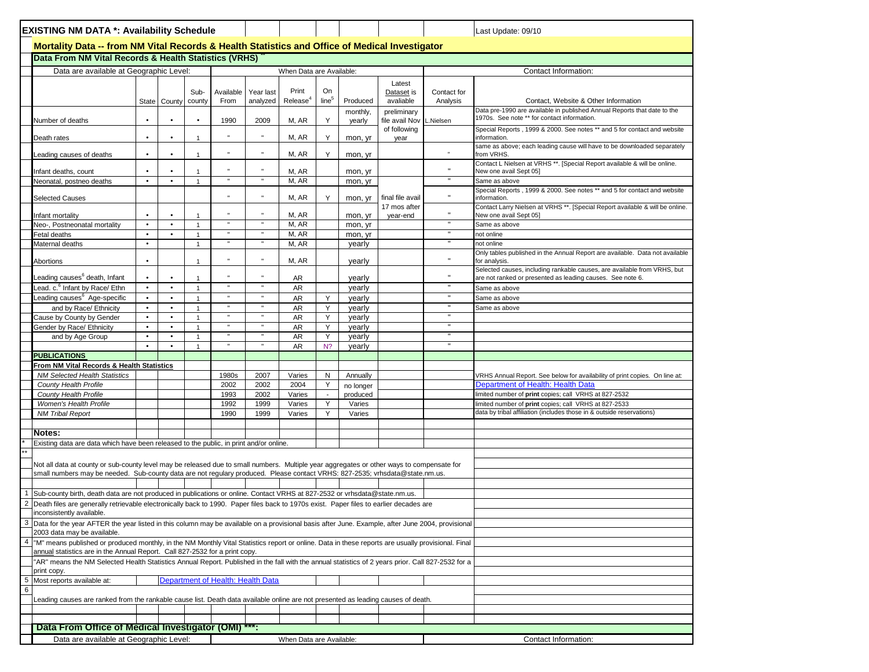| <b>EXISTING NM DATA *: Availability Schedule</b>                                                                                                                                                                                                                          |                        |                        |                              |                |                                   |                          |                         |                      |                                            |              | Last Update: 09/10                                                                                                                                              |
|---------------------------------------------------------------------------------------------------------------------------------------------------------------------------------------------------------------------------------------------------------------------------|------------------------|------------------------|------------------------------|----------------|-----------------------------------|--------------------------|-------------------------|----------------------|--------------------------------------------|--------------|-----------------------------------------------------------------------------------------------------------------------------------------------------------------|
| Mortality Data -- from NM Vital Records & Health Statistics and Office of Medical Investigator                                                                                                                                                                            |                        |                        |                              |                |                                   |                          |                         |                      |                                            |              |                                                                                                                                                                 |
| Data From NM Vital Records & Health Statistics (VRHS)                                                                                                                                                                                                                     |                        |                        |                              |                |                                   |                          |                         |                      |                                            |              |                                                                                                                                                                 |
| Data are available at Geographic Level:                                                                                                                                                                                                                                   |                        |                        |                              |                |                                   | When Data are Available: |                         |                      |                                            |              | Contact Information:                                                                                                                                            |
|                                                                                                                                                                                                                                                                           |                        |                        | Sub-                         | Available      | Year last                         | Print                    | On<br>line <sup>5</sup> |                      | Latest<br>Dataset is                       | Contact for  |                                                                                                                                                                 |
|                                                                                                                                                                                                                                                                           | State<br>$\bullet$     | County                 | county<br>$\bullet$          | From           | analyzed                          | Release <sup>4</sup>     |                         | Produced<br>monthly, | avaliable<br>preliminary<br>file avail Nov | Analysis     | Contact, Website & Other Information<br>Data pre-1990 are available in published Annual Reports that date to the<br>1970s. See note ** for contact information. |
| Number of deaths<br>Death rates                                                                                                                                                                                                                                           | $\bullet$              | $\bullet$              | $\overline{1}$               | 1990           | 2009<br>$\mathbf{u}$              | M, AR<br>M, AR           | Y<br>Y                  | yearly<br>mon, yr    | of following<br>year                       | .Nielsen     | Special Reports, 1999 & 2000. See notes ** and 5 for contact and website<br>information.                                                                        |
| eading causes of deaths                                                                                                                                                                                                                                                   | $\bullet$              | $\bullet$              | $\mathbf{1}$                 | $\blacksquare$ | n                                 | M, AR                    | Y                       | mon, yr              |                                            | $\mathbf{u}$ | same as above; each leading cause will have to be downloaded separately<br>from VRHS.                                                                           |
| Infant deaths, count                                                                                                                                                                                                                                                      | $\bullet$              |                        |                              |                |                                   | M, AR                    |                         | mon, yr              |                                            |              | Contact L Nielsen at VRHS **. [Special Report available & will be online.<br>New one avail Sept 05]                                                             |
| Neonatal, postneo deaths                                                                                                                                                                                                                                                  | $\bullet$              | $\bullet$              | $\overline{1}$               |                |                                   | M, AR                    |                         | mon, yr              |                                            |              | Same as above                                                                                                                                                   |
| <b>Selected Causes</b>                                                                                                                                                                                                                                                    |                        |                        |                              |                |                                   | M, AR                    | Y                       | mon, yr              | final file avail                           |              | Special Reports , 1999 & 2000. See notes ** and 5 for contact and website<br>information.                                                                       |
| Infant mortality                                                                                                                                                                                                                                                          | $\bullet$              |                        | -1                           |                |                                   | M, AR                    |                         | mon, yr              | 17 mos after<br>year-end                   |              | Contact Larry Nielsen at VRHS **. [Special Report available & will be online.<br>New one avail Sept 05]                                                         |
| Neo-, Postneonatal mortality                                                                                                                                                                                                                                              | $\bullet$              | $\bullet$              | $\mathbf{1}$                 |                |                                   | M, AR                    |                         | mon, yr              |                                            |              | Same as above                                                                                                                                                   |
| Fetal deaths                                                                                                                                                                                                                                                              | $\bullet$<br>$\bullet$ |                        | $\overline{1}$               |                |                                   | M, AR                    |                         | mon, yr              |                                            |              | not online                                                                                                                                                      |
| Maternal deaths                                                                                                                                                                                                                                                           |                        |                        |                              |                |                                   | M, AR                    |                         | yearly               |                                            |              | not online<br>Only tables published in the Annual Report are available. Data not available                                                                      |
| Abortions                                                                                                                                                                                                                                                                 |                        |                        | $\overline{1}$               |                |                                   | M, AR                    |                         | yearly               |                                            |              | for analysis.<br>Selected causes, including rankable causes, are available from VRHS, but                                                                       |
| Leading causes <sup>6</sup> death, Infant                                                                                                                                                                                                                                 | $\bullet$              | $\bullet$              | $\mathbf{1}$                 |                |                                   | AR                       |                         | yearly               |                                            |              | are not ranked or presented as leading causes. See note 6.                                                                                                      |
| Lead. c. <sup>6</sup> Infant by Race/ Ethn                                                                                                                                                                                                                                | $\bullet$              | $\bullet$              | $\mathbf{1}$                 |                |                                   | <b>AR</b>                |                         | yearly               |                                            | $\mathbf{H}$ | Same as above                                                                                                                                                   |
| Leading causes <sup>6</sup> Age-specific<br>and by Race/ Ethnicity                                                                                                                                                                                                        | $\bullet$<br>$\bullet$ | $\bullet$<br>$\bullet$ | $\mathbf{1}$                 |                |                                   | <b>AR</b>                | Y<br>Y                  | yearly               |                                            |              | Same as above                                                                                                                                                   |
| Cause by County by Gender                                                                                                                                                                                                                                                 | $\bullet$              | $\bullet$              | $\mathbf{1}$<br>$\mathbf{1}$ |                |                                   | AR<br>AR                 | Υ                       | yearly<br>yearly     |                                            |              | Same as above                                                                                                                                                   |
| Gender by Race/ Ethnicity                                                                                                                                                                                                                                                 | $\bullet$              | $\bullet$              | $\mathbf{1}$                 |                |                                   | AR                       | Υ                       | yearly               |                                            |              |                                                                                                                                                                 |
| and by Age Group                                                                                                                                                                                                                                                          | $\bullet$              | $\bullet$              | $\mathbf{1}$                 |                |                                   | <b>AR</b>                | Υ                       | yearly               |                                            |              |                                                                                                                                                                 |
|                                                                                                                                                                                                                                                                           |                        |                        |                              |                |                                   | <b>AR</b>                | N <sub>2</sub>          | yearly               |                                            | $\mathbf{u}$ |                                                                                                                                                                 |
| <b>PUBLICATIONS</b>                                                                                                                                                                                                                                                       |                        |                        |                              |                |                                   |                          |                         |                      |                                            |              |                                                                                                                                                                 |
| From NM Vital Records & Health Statistics                                                                                                                                                                                                                                 |                        |                        |                              |                |                                   |                          |                         |                      |                                            |              |                                                                                                                                                                 |
| <b>NM Selected Health Statistics</b>                                                                                                                                                                                                                                      |                        |                        |                              | 1980s          | 2007                              | Varies                   | N                       | Annually             |                                            |              | VRHS Annual Report. See below for availability of print copies. On line at:                                                                                     |
| County Health Profile                                                                                                                                                                                                                                                     |                        |                        |                              | 2002           | 2002                              | 2004                     | Υ                       | no longer            |                                            |              | Department of Health: Health Data                                                                                                                               |
| County Health Profile                                                                                                                                                                                                                                                     |                        |                        |                              | 1993           | 2002                              | Varies                   | $\sim$                  | produced             |                                            |              | limited number of print copies; call VRHS at 827-2532                                                                                                           |
| Women's Health Profile                                                                                                                                                                                                                                                    |                        |                        |                              | 1992           | 1999                              | Varies                   | Y                       | Varies               |                                            |              | limited number of print copies; call VRHS at 827-2533                                                                                                           |
| <b>NM Tribal Report</b>                                                                                                                                                                                                                                                   |                        |                        |                              | 1990           | 1999                              | Varies                   | Υ                       | Varies               |                                            |              | data by tribal affiliation (includes those in & outside reservations)                                                                                           |
| Notes:                                                                                                                                                                                                                                                                    |                        |                        |                              |                |                                   |                          |                         |                      |                                            |              |                                                                                                                                                                 |
| Existing data are data which have been released to the public, in print and/or online.                                                                                                                                                                                    |                        |                        |                              |                |                                   |                          |                         |                      |                                            |              |                                                                                                                                                                 |
|                                                                                                                                                                                                                                                                           |                        |                        |                              |                |                                   |                          |                         |                      |                                            |              |                                                                                                                                                                 |
| Not all data at county or sub-county level may be released due to small numbers. Multiple year aggregates or other ways to compensate for<br>small numbers may be needed. Sub-county data are not regulary produced. Please contact VRHS: 827-2535; vrhsdata@state.nm.us. |                        |                        |                              |                |                                   |                          |                         |                      |                                            |              |                                                                                                                                                                 |
|                                                                                                                                                                                                                                                                           |                        |                        |                              |                |                                   |                          |                         |                      |                                            |              |                                                                                                                                                                 |
| Sub-county birth, death data are not produced in publications or online. Contact VRHS at 827-2532 or vrhsdata@state.nm.us.                                                                                                                                                |                        |                        |                              |                |                                   |                          |                         |                      |                                            |              |                                                                                                                                                                 |
| Death files are generally retrievable electronically back to 1990. Paper files back to 1970s exist. Paper files to earlier decades are<br>inconsistently available.                                                                                                       |                        |                        |                              |                |                                   |                          |                         |                      |                                            |              |                                                                                                                                                                 |
| Data for the year AFTER the year listed in this column may be available on a provisional basis after June. Example, after June 2004, provisional                                                                                                                          |                        |                        |                              |                |                                   |                          |                         |                      |                                            |              |                                                                                                                                                                 |
| 2003 data may be available.<br>"M" means published or produced monthly, in the NM Monthly Vital Statistics report or online. Data in these reports are usually provisional. Final                                                                                         |                        |                        |                              |                |                                   |                          |                         |                      |                                            |              |                                                                                                                                                                 |
| annual statistics are in the Annual Report. Call 827-2532 for a print copy.                                                                                                                                                                                               |                        |                        |                              |                |                                   |                          |                         |                      |                                            |              |                                                                                                                                                                 |
| "AR" means the NM Selected Health Statistics Annual Report. Published in the fall with the annual statistics of 2 years prior. Call 827-2532 for a                                                                                                                        |                        |                        |                              |                |                                   |                          |                         |                      |                                            |              |                                                                                                                                                                 |
| print copy.<br>Most reports available at:                                                                                                                                                                                                                                 |                        |                        |                              |                | Department of Health: Health Data |                          |                         |                      |                                            |              |                                                                                                                                                                 |
|                                                                                                                                                                                                                                                                           |                        |                        |                              |                |                                   |                          |                         |                      |                                            |              |                                                                                                                                                                 |
| Leading causes are ranked from the rankable cause list. Death data available online are not presented as leading causes of death.                                                                                                                                         |                        |                        |                              |                |                                   |                          |                         |                      |                                            |              |                                                                                                                                                                 |
|                                                                                                                                                                                                                                                                           |                        |                        |                              |                |                                   |                          |                         |                      |                                            |              |                                                                                                                                                                 |
|                                                                                                                                                                                                                                                                           |                        |                        |                              |                |                                   |                          |                         |                      |                                            |              |                                                                                                                                                                 |
| Data From Office of Medical Investigator (OMI)                                                                                                                                                                                                                            |                        |                        |                              |                |                                   |                          |                         |                      |                                            |              |                                                                                                                                                                 |
| Data are available at Geographic Level:                                                                                                                                                                                                                                   |                        |                        |                              |                |                                   | When Data are Available: |                         |                      |                                            |              | Contact Information:                                                                                                                                            |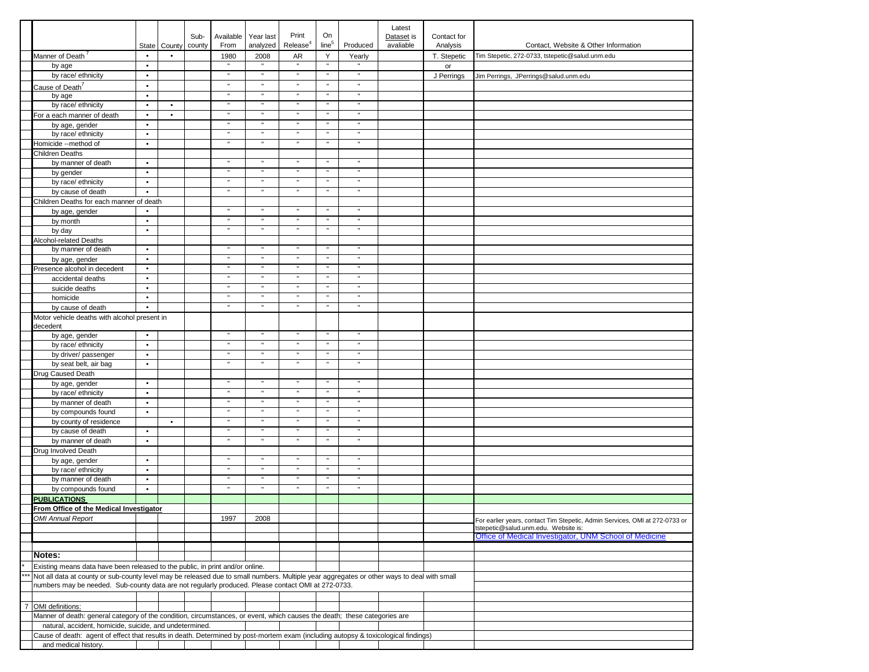|                |                                                                                                                                            | State                  | County    | Sub-<br>county | Available<br>From | Year last<br>analyzed | Print<br>Release <sup>4</sup> | On<br>line <sup>5</sup> | Produced       | Latest<br>Dataset is<br>avaliable | Contact for<br>Analysis | Contact, Website & Other Information                                                           |
|----------------|--------------------------------------------------------------------------------------------------------------------------------------------|------------------------|-----------|----------------|-------------------|-----------------------|-------------------------------|-------------------------|----------------|-----------------------------------|-------------------------|------------------------------------------------------------------------------------------------|
|                | Manner of Death                                                                                                                            | $\bullet$              | $\bullet$ |                | 1980              | 2008                  | AR                            | Y                       | Yearly         |                                   | T. Stepetic             | Tim Stepetic, 272-0733, tstepetic@salud.unm.edu                                                |
|                | by age                                                                                                                                     | $\bullet$              |           |                |                   |                       | $\mathbf{u}$                  | $\mathfrak n$           | <b>H</b>       |                                   | or                      |                                                                                                |
|                | by race/ ethnicity                                                                                                                         | $\bullet$              |           |                | $\mathfrak n$     | $\mathbf{u}$          | $\mathbf{u}$                  | $\mathfrak n$           | $\mathbf{u}$   |                                   | J Perrings              | Jim Perrings, JPerrings@salud.unm.edu                                                          |
|                | Cause of Death <sup>7</sup>                                                                                                                | $\bullet$              |           |                | $\mathbf{u}$      | n                     | $\mathbf{u}$                  | $\mathfrak n$           | n              |                                   |                         |                                                                                                |
|                | by age                                                                                                                                     | $\bullet$              |           |                | $\mathbf{u}$      | $\mathbf{u}$          | $\mathbf{u}$                  | $\mathbf{u}$            | $\mathbf{u}$   |                                   |                         |                                                                                                |
|                | by race/ ethnicity                                                                                                                         | $\bullet$              | $\bullet$ |                | $\mathbf{u}$      |                       | $\mathbf{u}$                  | $\mathbf{u}$            | $\mathbf{u}$   |                                   |                         |                                                                                                |
|                | For a each manner of death                                                                                                                 | $\bullet$              | $\bullet$ |                | $\mathbf{u}$      | ×                     | $\mathbf{u}$                  | $\mathfrak n$           | $\mathbf{u}$   |                                   |                         |                                                                                                |
|                | by age, gender                                                                                                                             | $\bullet$              |           |                |                   |                       | $\mathbf{u}$                  | $\mathbf{u}$            |                |                                   |                         |                                                                                                |
|                | by race/ ethnicity                                                                                                                         | $\bullet$              |           |                |                   |                       | $\mathbf{u}$                  | $\mathfrak n$           | $\mathbf{u}$   |                                   |                         |                                                                                                |
|                | Homicide --method of                                                                                                                       | $\bullet$              |           |                |                   |                       | $\mathbf{u}$                  | $\mathfrak n$           | $\mathbf{u}$   |                                   |                         |                                                                                                |
|                | Children Deaths                                                                                                                            |                        |           |                |                   |                       | $\mathbf{u}$                  | $\mathbf{u}$            | $\mathbf{u}$   |                                   |                         |                                                                                                |
|                | by manner of death                                                                                                                         | $\bullet$              |           |                | $\mathbf{u}$      | $\mathbf{u}$          | $\mathbf{u}$                  | $\mathfrak n$           | $\blacksquare$ |                                   |                         |                                                                                                |
|                | by gender                                                                                                                                  | $\bullet$              |           |                |                   |                       | $\mathbf{u}$                  | $\mathbf{u}$            |                |                                   |                         |                                                                                                |
|                | by race/ ethnicity                                                                                                                         | $\bullet$<br>$\bullet$ |           |                |                   |                       | $\mathbf{u}$                  | $\mathfrak n$           | $\mathbf{u}$   |                                   |                         |                                                                                                |
|                | by cause of death                                                                                                                          |                        |           |                |                   |                       |                               |                         |                |                                   |                         |                                                                                                |
|                | Children Deaths for each manner of death                                                                                                   | $\bullet$              |           |                | $\mathbf{u}$      |                       | $\mathbf{u}$                  | $\mathbf{u}$            | $\mathbf{u}$   |                                   |                         |                                                                                                |
|                | by age, gender                                                                                                                             | $\bullet$              |           |                | $\mathbf{u}$      | $\mathbf{u}$          | $\mathbf{u}$                  | $\mathbf{u}$            | $\mathbf{u}$   |                                   |                         |                                                                                                |
|                | by month                                                                                                                                   | $\bullet$              |           |                | $\mathbf{u}$      |                       | $\mathbf{u}$                  | $\mathbf{u}$            | $\mathbf{u}$   |                                   |                         |                                                                                                |
|                | by day                                                                                                                                     |                        |           |                |                   |                       |                               |                         |                |                                   |                         |                                                                                                |
|                | Alcohol-related Deaths<br>by manner of death                                                                                               | $\bullet$              |           |                |                   |                       |                               |                         | $\mathbf{u}$   |                                   |                         |                                                                                                |
|                |                                                                                                                                            | $\bullet$              |           |                |                   |                       | $\mathbf{u}$                  | $\mathfrak n$           | $\mathbf{u}$   |                                   |                         |                                                                                                |
|                | by age, gender<br>Presence alcohol in decedent                                                                                             | $\bullet$              |           |                | $\mathbf{u}$      |                       | $\mathbf{u}$                  | $\mathbf{u}$            | $\mathbf{u}$   |                                   |                         |                                                                                                |
|                | accidental deaths                                                                                                                          | $\bullet$              |           |                | $\mathbf{u}$      | $\mathbf{u}$          | $\mathbf{u}$                  | $\mathbf{u}$            | $\mathbf{u}$   |                                   |                         |                                                                                                |
|                | suicide deaths                                                                                                                             | $\bullet$              |           |                |                   |                       | $\mathbf{u}$                  | $\mathbf{u}$            | $\mathbf{u}$   |                                   |                         |                                                                                                |
|                | homicide                                                                                                                                   | $\bullet$              |           |                | $\mathbf{u}$      |                       | $\mathbf{u}$                  | $\mathbf{u}$            | $\mathbf{u}$   |                                   |                         |                                                                                                |
|                | by cause of death                                                                                                                          | $\bullet$              |           |                | $\mathbf{u}$      | $\mathbf{u}$          | $\mathbf{u}$                  | $\mathbf{u}$            | $\mathbf{u}$   |                                   |                         |                                                                                                |
|                | Motor vehicle deaths with alcohol present in                                                                                               |                        |           |                |                   |                       |                               |                         |                |                                   |                         |                                                                                                |
|                | decedent                                                                                                                                   |                        |           |                |                   |                       |                               |                         |                |                                   |                         |                                                                                                |
|                | by age, gender                                                                                                                             | $\bullet$              |           |                | $\mathbf{u}$      |                       | $\mathbf{u}$                  | $\mathbf{u}$            | $\mathbf{u}$   |                                   |                         |                                                                                                |
|                | by race/ ethnicity                                                                                                                         | $\bullet$              |           |                | $\mathbf{u}$      |                       | $\mathbf{u}$                  | $\mathfrak n$           |                |                                   |                         |                                                                                                |
|                | by driver/ passenger                                                                                                                       | $\bullet$              |           |                |                   |                       |                               |                         |                |                                   |                         |                                                                                                |
|                | by seat belt, air bag                                                                                                                      | $\bullet$              |           |                | $\mathbf{u}$      |                       | $\mathbf{u}$                  | $\mathbf{u}$            | $\mathbf{u}$   |                                   |                         |                                                                                                |
|                | Drug Caused Death                                                                                                                          |                        |           |                |                   |                       |                               |                         |                |                                   |                         |                                                                                                |
|                | by age, gender                                                                                                                             | $\bullet$              |           |                |                   |                       | $\mathbf{u}$                  | $\mathbf{u}$            | $\mathbf{u}$   |                                   |                         |                                                                                                |
|                | by race/ ethnicity                                                                                                                         | $\bullet$              |           |                | $\mathbf{u}$      | $\mathbf{a}$          | $\mathbf{u}$                  | $\mathbf{u}$            |                |                                   |                         |                                                                                                |
|                | by manner of death                                                                                                                         | $\bullet$              |           |                |                   |                       | $\mathbf{u}$                  | $\mathbf{u}$            | $\mathbf{u}$   |                                   |                         |                                                                                                |
|                | by compounds found                                                                                                                         | $\bullet$              |           |                | $\mathbf{u}$      | $\mathbf{u}$          | $\mathbf{u}$                  | $\mathbf{u}$            | $\mathbf{u}$   |                                   |                         |                                                                                                |
|                | by county of residence                                                                                                                     |                        | $\bullet$ |                | $\blacksquare$    |                       | $\mathbf{u}$                  | $\mathbf{u}$            | $\mathbf{u}$   |                                   |                         |                                                                                                |
|                | by cause of death                                                                                                                          | $\bullet$              |           |                | $\mathbf{u}$      | $\mathbf{u}$          | $\mathbf{m}_\perp$            | $\mathbf{u}$            | $\mathbf{u}$   |                                   |                         |                                                                                                |
|                | by manner of death                                                                                                                         | $\bullet$              |           |                | $\mathbf{u}$      |                       | $\mathbf{u}$                  | $\mathbf{u}$            | $\mathbf{u}$   |                                   |                         |                                                                                                |
|                | Drug Involved Death                                                                                                                        |                        |           |                |                   |                       |                               |                         |                |                                   |                         |                                                                                                |
|                | by age, gender                                                                                                                             | $\bullet$              |           |                | $\blacksquare$    |                       | $\mathbf{u}$                  | $\mathbf{u}$            | $\mathbf{u}$   |                                   |                         |                                                                                                |
|                | by race/ ethnicity                                                                                                                         | $\bullet$              |           |                |                   |                       | $\mathbf{u}$                  | $\mathfrak n$           | $\mathbf{u}$   |                                   |                         |                                                                                                |
|                | by manner of death                                                                                                                         | $\bullet$              |           |                | $\mathbf{u}$      |                       | $\mathbf{u}$                  | $\mathbf{u}$            | $\mathbf{u}$   |                                   |                         |                                                                                                |
|                | by compounds found                                                                                                                         | $\bullet$              |           |                |                   |                       | $\mathbf{u}$                  | $\mathbf{u}$            | $\mathbf{u}$   |                                   |                         |                                                                                                |
|                | <b>PUBLICATIONS</b>                                                                                                                        |                        |           |                |                   |                       |                               |                         |                |                                   |                         |                                                                                                |
|                | From Office of the Medical Investigator                                                                                                    |                        |           |                |                   |                       |                               |                         |                |                                   |                         |                                                                                                |
|                | <b>OMI Annual Report</b>                                                                                                                   |                        |           |                | 1997              | 2008                  |                               |                         |                |                                   |                         | For earlier years, contact Tim Stepetic, Admin Services, OMI at 272-0733 or                    |
|                |                                                                                                                                            |                        |           |                |                   |                       |                               |                         |                |                                   |                         | tstepetic@salud.unm.edu. Website is:<br>Office of Medical Investigator, UNM School of Medicine |
|                |                                                                                                                                            |                        |           |                |                   |                       |                               |                         |                |                                   |                         |                                                                                                |
|                | Notes:                                                                                                                                     |                        |           |                |                   |                       |                               |                         |                |                                   |                         |                                                                                                |
|                | Existing means data have been released to the public, in print and/or online.                                                              |                        |           |                |                   |                       |                               |                         |                |                                   |                         |                                                                                                |
|                | Not all data at county or sub-county level may be released due to small numbers. Multiple year aggregates or other ways to deal with small |                        |           |                |                   |                       |                               |                         |                |                                   |                         |                                                                                                |
|                | numbers may be needed. Sub-county data are not regularly produced. Please contact OMI at 272-0733.                                         |                        |           |                |                   |                       |                               |                         |                |                                   |                         |                                                                                                |
|                |                                                                                                                                            |                        |           |                |                   |                       |                               |                         |                |                                   |                         |                                                                                                |
| $\overline{7}$ | OMI definitions:                                                                                                                           |                        |           |                |                   |                       |                               |                         |                |                                   |                         |                                                                                                |
|                | Manner of death: general category of the condition, circumstances, or event, which causes the death; these categories are                  |                        |           |                |                   |                       |                               |                         |                |                                   |                         |                                                                                                |
|                | natural, accident, homicide, suicide, and undetermined.                                                                                    |                        |           |                |                   |                       |                               |                         |                |                                   |                         |                                                                                                |
|                | Cause of death: agent of effect that results in death. Determined by post-mortem exam (including autopsy & toxicological findings)         |                        |           |                |                   |                       |                               |                         |                |                                   |                         |                                                                                                |
|                | and medical history.                                                                                                                       |                        |           |                |                   |                       |                               |                         |                |                                   |                         |                                                                                                |
|                |                                                                                                                                            |                        |           |                |                   |                       |                               |                         |                |                                   |                         |                                                                                                |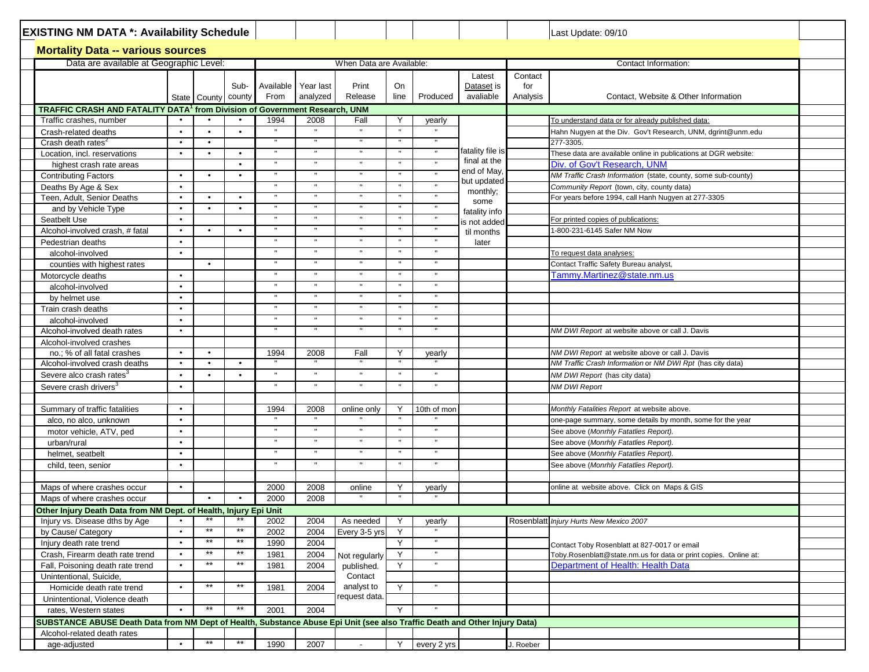|                                                                  | <b>EXISTING NM DATA *: Availability Schedule</b><br><b>Mortality Data -- various sources</b><br>Data are available at Geographic Level:<br>State County<br>TRAFFIC CRASH AND FATALITY DATA <sup>1</sup> from Division of Government Research, UNM<br>$\bullet$<br>$\bullet$<br>$\bullet$<br>highest crash rate areas<br>$\bullet$<br>$\bullet$<br>Teen, Adult, Senior Deaths<br>$\bullet$<br>and by Vehicle Type<br>٠<br>Seatbelt Use<br>$\bullet$<br>Alcohol-involved crash, # fatal<br>$\bullet$<br>$\bullet$<br>alcohol-involved<br>$\bullet$<br>counties with highest rates<br>Motorcycle deaths<br>٠<br>alcohol-involved<br>$\bullet$<br>by helmet use<br>٠<br>Train crash deaths<br>٠<br>$\bullet$ |                        |                |                              |                       |                          |                   |                              |                                   |                            | Last Update: 09/10                                                                                            |  |
|------------------------------------------------------------------|----------------------------------------------------------------------------------------------------------------------------------------------------------------------------------------------------------------------------------------------------------------------------------------------------------------------------------------------------------------------------------------------------------------------------------------------------------------------------------------------------------------------------------------------------------------------------------------------------------------------------------------------------------------------------------------------------------|------------------------|----------------|------------------------------|-----------------------|--------------------------|-------------------|------------------------------|-----------------------------------|----------------------------|---------------------------------------------------------------------------------------------------------------|--|
|                                                                  |                                                                                                                                                                                                                                                                                                                                                                                                                                                                                                                                                                                                                                                                                                          |                        |                |                              |                       |                          |                   |                              |                                   |                            |                                                                                                               |  |
|                                                                  |                                                                                                                                                                                                                                                                                                                                                                                                                                                                                                                                                                                                                                                                                                          |                        |                |                              |                       | When Data are Available: |                   |                              |                                   |                            | Contact Information:                                                                                          |  |
|                                                                  |                                                                                                                                                                                                                                                                                                                                                                                                                                                                                                                                                                                                                                                                                                          |                        | Sub-<br>county | Available<br>From            | Year last<br>analyzed | Print<br>Release         | On<br>line        | Produced                     | Latest<br>Dataset is<br>avaliable | Contact<br>for<br>Analysis | Contact, Website & Other Information                                                                          |  |
|                                                                  |                                                                                                                                                                                                                                                                                                                                                                                                                                                                                                                                                                                                                                                                                                          |                        |                |                              |                       |                          |                   |                              |                                   |                            |                                                                                                               |  |
| Traffic crashes, number                                          |                                                                                                                                                                                                                                                                                                                                                                                                                                                                                                                                                                                                                                                                                                          |                        |                | 1994                         | 2008                  | Fall                     | Y                 | yearly                       |                                   |                            | To understand data or for already published data:                                                             |  |
| Crash-related deaths                                             |                                                                                                                                                                                                                                                                                                                                                                                                                                                                                                                                                                                                                                                                                                          | $\bullet$              | $\bullet$      |                              |                       |                          | $\mathbf{u}$      |                              |                                   |                            | Hahn Nugyen at the Div. Gov't Research, UNM, dgrint@unm.edu                                                   |  |
| Crash death rates <sup>2</sup>                                   |                                                                                                                                                                                                                                                                                                                                                                                                                                                                                                                                                                                                                                                                                                          | $\bullet$              |                | $\mathbf H$                  |                       |                          |                   | $\mathbf{H}$                 |                                   |                            | 277-3305.                                                                                                     |  |
| Location, incl. reservations                                     |                                                                                                                                                                                                                                                                                                                                                                                                                                                                                                                                                                                                                                                                                                          | $\bullet$              | $\bullet$      | $\mathbf{H}$                 |                       |                          |                   |                              | fatality file is                  |                            | These data are available online in publications at DGR website:                                               |  |
|                                                                  |                                                                                                                                                                                                                                                                                                                                                                                                                                                                                                                                                                                                                                                                                                          |                        | $\bullet$      | $\mathbf{H}$                 | $\mathbf{H}$          |                          |                   |                              | final at the<br>end of May,       |                            | Div. of Gov't Research, UNM                                                                                   |  |
| <b>Contributing Factors</b>                                      |                                                                                                                                                                                                                                                                                                                                                                                                                                                                                                                                                                                                                                                                                                          | $\bullet$              | $\bullet$      | $\mathbf{H}$                 | $\mathbf{u}$          |                          | $\mathbf{u}$      |                              | but updated                       |                            | NM Traffic Crash Information (state, county, some sub-county)                                                 |  |
| Deaths By Age & Sex                                              |                                                                                                                                                                                                                                                                                                                                                                                                                                                                                                                                                                                                                                                                                                          |                        |                |                              |                       |                          |                   |                              | monthly;                          |                            | Community Report (town, city, county data)                                                                    |  |
|                                                                  |                                                                                                                                                                                                                                                                                                                                                                                                                                                                                                                                                                                                                                                                                                          | $\bullet$              | $\bullet$      |                              |                       |                          |                   |                              | some                              |                            | For years before 1994, call Hanh Nugyen at 277-3305                                                           |  |
|                                                                  |                                                                                                                                                                                                                                                                                                                                                                                                                                                                                                                                                                                                                                                                                                          | $\bullet$              | $\bullet$      |                              |                       |                          |                   |                              | fatality info                     |                            |                                                                                                               |  |
|                                                                  |                                                                                                                                                                                                                                                                                                                                                                                                                                                                                                                                                                                                                                                                                                          |                        |                |                              |                       |                          |                   |                              | is not added                      |                            | For printed copies of publications:                                                                           |  |
|                                                                  |                                                                                                                                                                                                                                                                                                                                                                                                                                                                                                                                                                                                                                                                                                          | $\bullet$              | $\bullet$      | $\mathbf{u}$                 |                       |                          |                   |                              | til months                        |                            | -800-231-6145 Safer NM Now                                                                                    |  |
| Pedestrian deaths                                                |                                                                                                                                                                                                                                                                                                                                                                                                                                                                                                                                                                                                                                                                                                          |                        |                | $\mathbf{H}$<br>$\mathbf{u}$ | $\mathbf{H}$          |                          | $\mathbf{u}$      | $\mathbf{H}$<br>$\mathbf{u}$ | later                             |                            |                                                                                                               |  |
|                                                                  |                                                                                                                                                                                                                                                                                                                                                                                                                                                                                                                                                                                                                                                                                                          |                        |                |                              |                       |                          |                   |                              |                                   |                            | To request data analyses:                                                                                     |  |
|                                                                  |                                                                                                                                                                                                                                                                                                                                                                                                                                                                                                                                                                                                                                                                                                          | $\bullet$              |                | $\mathbf{H}$                 | $\mathbf{H}$          |                          | $\mathbf{u}$      | $\mathbf{H}$                 |                                   |                            | Contact Traffic Safety Bureau analyst,                                                                        |  |
|                                                                  |                                                                                                                                                                                                                                                                                                                                                                                                                                                                                                                                                                                                                                                                                                          |                        |                | $\mathbf{u}$                 |                       |                          |                   |                              |                                   |                            | Tammy.Martinez@state.nm.us                                                                                    |  |
|                                                                  |                                                                                                                                                                                                                                                                                                                                                                                                                                                                                                                                                                                                                                                                                                          |                        |                |                              |                       |                          |                   | $\mathbf{u}$                 |                                   |                            |                                                                                                               |  |
|                                                                  |                                                                                                                                                                                                                                                                                                                                                                                                                                                                                                                                                                                                                                                                                                          |                        |                | $\mathbf{u}$<br>$\mathbf{H}$ |                       |                          |                   | $\mathbf{u}$                 |                                   |                            |                                                                                                               |  |
|                                                                  |                                                                                                                                                                                                                                                                                                                                                                                                                                                                                                                                                                                                                                                                                                          |                        |                |                              |                       |                          | $\mathbf{u}$      |                              |                                   |                            |                                                                                                               |  |
| alcohol-involved                                                 |                                                                                                                                                                                                                                                                                                                                                                                                                                                                                                                                                                                                                                                                                                          |                        |                |                              |                       |                          |                   |                              |                                   |                            |                                                                                                               |  |
| Alcohol-involved death rates                                     | ٠                                                                                                                                                                                                                                                                                                                                                                                                                                                                                                                                                                                                                                                                                                        |                        |                |                              |                       |                          |                   |                              |                                   |                            | NM DWI Report at website above or call J. Davis                                                               |  |
| Alcohol-involved crashes                                         | $\bullet$                                                                                                                                                                                                                                                                                                                                                                                                                                                                                                                                                                                                                                                                                                |                        |                |                              |                       |                          |                   |                              |                                   |                            |                                                                                                               |  |
| no.; % of all fatal crashes<br>Alcohol-involved crash deaths     | $\bullet$                                                                                                                                                                                                                                                                                                                                                                                                                                                                                                                                                                                                                                                                                                | $\bullet$<br>$\bullet$ | $\bullet$      | 1994                         | 2008                  | Fall                     | $\mathsf{Y}$      | yearly                       |                                   |                            | NM DWI Report at website above or call J. Davis<br>NM Traffic Crash Information or NM DWI Rpt (has city data) |  |
|                                                                  |                                                                                                                                                                                                                                                                                                                                                                                                                                                                                                                                                                                                                                                                                                          | $\bullet$              |                | $\mathbf{u}$                 |                       |                          |                   | $\mathbf{u}$                 |                                   |                            |                                                                                                               |  |
| Severe alco crash rates <sup>3</sup>                             | $\bullet$                                                                                                                                                                                                                                                                                                                                                                                                                                                                                                                                                                                                                                                                                                |                        |                | $\mathbf H$                  | $\mathbf{H}$          |                          | $\mathbf{u}$      | $\mathbf H$                  |                                   |                            | NM DWI Report (has city data)                                                                                 |  |
| Severe crash drivers <sup>3</sup>                                | $\bullet$                                                                                                                                                                                                                                                                                                                                                                                                                                                                                                                                                                                                                                                                                                |                        |                |                              |                       |                          |                   |                              |                                   |                            | <b>NM DWI Report</b>                                                                                          |  |
|                                                                  | $\bullet$                                                                                                                                                                                                                                                                                                                                                                                                                                                                                                                                                                                                                                                                                                |                        |                |                              |                       |                          |                   |                              |                                   |                            |                                                                                                               |  |
| Summary of traffic fatalities                                    |                                                                                                                                                                                                                                                                                                                                                                                                                                                                                                                                                                                                                                                                                                          |                        |                | 1994<br>$\mathbf{H}$         | 2008                  | online only              | Y<br>$\mathbf{u}$ | 10th of mon                  |                                   |                            | Monthly Fatalities Report at website above.                                                                   |  |
| alco, no alco, unknown<br>motor vehicle, ATV, ped                | $\bullet$                                                                                                                                                                                                                                                                                                                                                                                                                                                                                                                                                                                                                                                                                                |                        |                |                              |                       |                          |                   |                              |                                   |                            | one-page summary, some details by month, some for the year<br>See above (Monrhly Fatatlies Report).           |  |
| urban/rural                                                      | ٠                                                                                                                                                                                                                                                                                                                                                                                                                                                                                                                                                                                                                                                                                                        |                        |                |                              |                       |                          |                   |                              |                                   |                            | See above (Monrhly Fatatlies Report).                                                                         |  |
|                                                                  | ٠                                                                                                                                                                                                                                                                                                                                                                                                                                                                                                                                                                                                                                                                                                        |                        |                | $\mathbf H$                  | $\mathbf{u}$          |                          | $\mathbf{u}$      | $\mathbf{u}$                 |                                   |                            | See above (Monrhly Fatatlies Report).                                                                         |  |
| helmet, seatbelt<br>child, teen, senior                          | $\bullet$                                                                                                                                                                                                                                                                                                                                                                                                                                                                                                                                                                                                                                                                                                |                        |                | $\mathbf H$                  | $\mathbf{H}$          |                          | $\mathbf{u}$      | $\mathbf{H}$                 |                                   |                            | See above (Monrhly Fatatlies Report).                                                                         |  |
|                                                                  |                                                                                                                                                                                                                                                                                                                                                                                                                                                                                                                                                                                                                                                                                                          |                        |                |                              |                       |                          |                   |                              |                                   |                            |                                                                                                               |  |
| Maps of where crashes occur                                      | $\bullet$                                                                                                                                                                                                                                                                                                                                                                                                                                                                                                                                                                                                                                                                                                |                        |                | 2000                         | 2008                  | online                   | Y                 | yearly                       |                                   |                            | online at website above. Click on Maps & GIS                                                                  |  |
| Maps of where crashes occur                                      |                                                                                                                                                                                                                                                                                                                                                                                                                                                                                                                                                                                                                                                                                                          |                        |                | 2000                         | 2008                  |                          |                   |                              |                                   |                            |                                                                                                               |  |
| Other Injury Death Data from NM Dept. of Health, Injury Epi Unit |                                                                                                                                                                                                                                                                                                                                                                                                                                                                                                                                                                                                                                                                                                          |                        |                |                              |                       |                          |                   |                              |                                   |                            |                                                                                                               |  |
| Injury vs. Disease dths by Age                                   | $\bullet$                                                                                                                                                                                                                                                                                                                                                                                                                                                                                                                                                                                                                                                                                                | $***$                  |                | 2002                         | 2004                  | As needed                | Y                 | yearly                       |                                   |                            | Rosenblatt Injury Hurts New Mexico 2007                                                                       |  |
| by Cause/ Category                                               | $\bullet$                                                                                                                                                                                                                                                                                                                                                                                                                                                                                                                                                                                                                                                                                                | $**$                   | **             | 2002                         | 2004                  | Every 3-5 yrs            | Y                 |                              |                                   |                            |                                                                                                               |  |
| Injury death rate trend                                          | $\bullet$                                                                                                                                                                                                                                                                                                                                                                                                                                                                                                                                                                                                                                                                                                | $^{\star\star}$        | $***$          | 1990                         | 2004                  |                          | Y                 | $\blacksquare$               |                                   |                            | Contact Toby Rosenblatt at 827-0017 or email                                                                  |  |
| Crash, Firearm death rate trend                                  | $\bullet$                                                                                                                                                                                                                                                                                                                                                                                                                                                                                                                                                                                                                                                                                                | $\star\star$           | $\star\star$   | 1981                         | 2004                  | Not regularly            | Y                 | $\mathbf{H}$                 |                                   |                            | Toby.Rosenblatt@state.nm.us for data or print copies. Online at:                                              |  |
| Fall, Poisoning death rate trend                                 |                                                                                                                                                                                                                                                                                                                                                                                                                                                                                                                                                                                                                                                                                                          | $***$                  | $***$          | 1981                         | 2004                  | published.               | Y                 | $\mathbf{H}$                 |                                   |                            | Department of Health: Health Data                                                                             |  |
| Unintentional, Suicide,                                          |                                                                                                                                                                                                                                                                                                                                                                                                                                                                                                                                                                                                                                                                                                          |                        |                |                              |                       | Contact                  |                   |                              |                                   |                            |                                                                                                               |  |
| Homicide death rate trend                                        | $\bullet$                                                                                                                                                                                                                                                                                                                                                                                                                                                                                                                                                                                                                                                                                                | $**$                   | $***$          | 1981                         | 2004                  | analyst to               | Y                 |                              |                                   |                            |                                                                                                               |  |
| Unintentional, Violence death                                    |                                                                                                                                                                                                                                                                                                                                                                                                                                                                                                                                                                                                                                                                                                          |                        |                |                              |                       | request data.            |                   |                              |                                   |                            |                                                                                                               |  |
| $***$<br>$***$<br>rates, Western states<br>$\bullet$             |                                                                                                                                                                                                                                                                                                                                                                                                                                                                                                                                                                                                                                                                                                          |                        |                | 2001                         | 2004                  |                          | Y                 |                              |                                   |                            |                                                                                                               |  |
|                                                                  |                                                                                                                                                                                                                                                                                                                                                                                                                                                                                                                                                                                                                                                                                                          |                        |                |                              |                       |                          |                   |                              |                                   |                            |                                                                                                               |  |
| Alcohol-related death rates                                      | SUBSTANCE ABUSE Death Data from NM Dept of Health, Substance Abuse Epi Unit (see also Traffic Death and Other Injury Data)                                                                                                                                                                                                                                                                                                                                                                                                                                                                                                                                                                               |                        |                |                              |                       |                          |                   |                              |                                   |                            |                                                                                                               |  |
| age-adjusted                                                     | $\bullet$                                                                                                                                                                                                                                                                                                                                                                                                                                                                                                                                                                                                                                                                                                | $***$                  | $**$           | 1990                         | 2007                  |                          | Y                 | every 2 yrs                  |                                   | J. Roeber                  |                                                                                                               |  |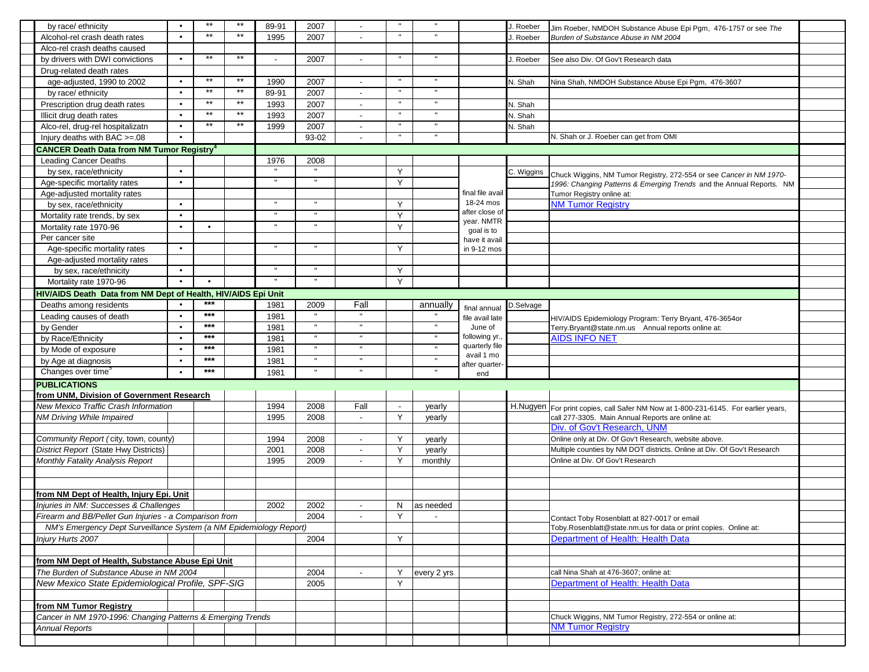| by race/ ethnicity                                                 | $\bullet$ | $***$        | $***$        | 89-91 | 2007         |                          |                          |             |                            | J. Roeber  | Jim Roeber, NMDOH Substance Abuse Epi Pgm, 476-1757 or see The                     |  |
|--------------------------------------------------------------------|-----------|--------------|--------------|-------|--------------|--------------------------|--------------------------|-------------|----------------------------|------------|------------------------------------------------------------------------------------|--|
| Alcohol-rel crash death rates                                      |           | $**$         | $**$         | 1995  | 2007         |                          |                          |             |                            | . Roeber   | Burden of Substance Abuse in NM 2004                                               |  |
| Alco-rel crash deaths caused                                       |           |              |              |       |              |                          |                          |             |                            |            |                                                                                    |  |
| by drivers with DWI convictions                                    |           | $***$        | $***$        |       | 2007         |                          |                          |             |                            | J. Roeber  | See also Div. Of Gov't Research data                                               |  |
| Drug-related death rates                                           |           |              |              |       |              |                          |                          |             |                            |            |                                                                                    |  |
| age-adjusted, 1990 to 2002                                         | $\bullet$ | $**$         | $**$         | 1990  | 2007         | $\overline{\phantom{a}}$ |                          |             |                            | N. Shah    |                                                                                    |  |
|                                                                    | $\bullet$ | $**$         | $**$         |       |              |                          |                          |             |                            |            | Nina Shah, NMDOH Substance Abuse Epi Pgm, 476-3607                                 |  |
| by race/ ethnicity                                                 |           | $\star\star$ | $\star\star$ | 89-91 | 2007         |                          |                          |             |                            |            |                                                                                    |  |
| Prescription drug death rates                                      | $\bullet$ | $**$         | $**$         | 1993  | 2007         | $\overline{a}$           |                          |             |                            | N. Shah    |                                                                                    |  |
| Illicit drug death rates                                           |           | $**$         |              | 1993  | 2007         | $\overline{\phantom{a}}$ |                          |             |                            | N. Shah    |                                                                                    |  |
| Alco-rel, drug-rel hospitalizatn                                   | $\bullet$ |              | $***$        | 1999  | 2007         | $\overline{\phantom{a}}$ |                          |             |                            | N. Shah    |                                                                                    |  |
| Injury deaths with BAC >=.08                                       | $\bullet$ |              |              |       | 93-02        |                          |                          |             |                            |            | N. Shah or J. Roeber can get from OMI                                              |  |
| <b>CANCER Death Data from NM Tumor Registry</b>                    |           |              |              |       |              |                          |                          |             |                            |            |                                                                                    |  |
| <b>Leading Cancer Deaths</b>                                       |           |              |              | 1976  | 2008         |                          |                          |             |                            |            |                                                                                    |  |
| by sex, race/ethnicity                                             | $\bullet$ |              |              |       |              |                          | Y                        |             |                            | C. Wiggins | Chuck Wiggins, NM Tumor Registry, 272-554 or see Cancer in NM 1970-                |  |
| Age-specific mortality rates                                       | $\bullet$ |              |              |       |              |                          | Y                        |             |                            |            | 1996: Changing Patterns & Emerging Trends and the Annual Reports. NM               |  |
| Age-adjusted mortality rates                                       |           |              |              |       |              |                          |                          |             | final file avail           |            | Tumor Registry online at:                                                          |  |
| by sex, race/ethnicity                                             | $\bullet$ |              |              |       |              |                          | Y                        |             | 18-24 mos                  |            | <b>NM Tumor Registry</b>                                                           |  |
| Mortality rate trends, by sex                                      | $\bullet$ |              |              |       |              |                          | Y                        |             | after close of             |            |                                                                                    |  |
| Mortality rate 1970-96                                             | $\bullet$ | $\bullet$    |              |       |              |                          | Y                        |             | year. NMTR<br>goal is to   |            |                                                                                    |  |
| Per cancer site                                                    |           |              |              |       |              |                          |                          |             | have it avail              |            |                                                                                    |  |
| Age-specific mortality rates                                       | $\bullet$ |              |              |       |              |                          | Y                        |             | in 9-12 mos                |            |                                                                                    |  |
| Age-adjusted mortality rates                                       |           |              |              |       |              |                          |                          |             |                            |            |                                                                                    |  |
| by sex, race/ethnicity                                             | $\bullet$ |              |              |       |              |                          | Y                        |             |                            |            |                                                                                    |  |
| Mortality rate 1970-96                                             | $\bullet$ | $\bullet$    |              |       |              |                          | Y                        |             |                            |            |                                                                                    |  |
| HIV/AIDS Death Data from NM Dept of Health, HIV/AIDS Epi Unit      |           |              |              |       |              |                          |                          |             |                            |            |                                                                                    |  |
| Deaths among residents                                             |           | $***$        |              | 1981  | 2009         | Fall                     |                          | annually    |                            | D.Selvage  |                                                                                    |  |
| Leading causes of death                                            |           | $***$        |              | 1981  |              |                          |                          |             | final annual               |            |                                                                                    |  |
|                                                                    |           | $***$        |              |       |              | $\mathbf{H}$             |                          |             | file avail late<br>June of |            | HIV/AIDS Epidemiology Program: Terry Bryant, 476-3654or                            |  |
| by Gender                                                          |           | $***$        |              | 1981  |              |                          |                          |             | following yr.              |            | Terry.Bryant@state.nm.us Annual reports online at:<br><b>AIDS INFO NET</b>         |  |
| by Race/Ethnicity                                                  | $\bullet$ | ***          |              | 1981  |              | $\mathbf{u}$             |                          |             | quarterly file             |            |                                                                                    |  |
| by Mode of exposure                                                | $\bullet$ | ***          |              | 1981  |              |                          |                          |             | avail 1 mo                 |            |                                                                                    |  |
| by Age at diagnosis                                                | $\bullet$ |              |              | 1981  |              |                          |                          |             | after quarter-             |            |                                                                                    |  |
| Changes over time <sup>5</sup>                                     |           | $***$        |              | 1981  | $\mathbf{u}$ | $\mathbf{u}$             |                          |             | end                        |            |                                                                                    |  |
| <b>PUBLICATIONS</b>                                                |           |              |              |       |              |                          |                          |             |                            |            |                                                                                    |  |
| from UNM, Division of Government Research                          |           |              |              |       |              |                          |                          |             |                            |            |                                                                                    |  |
| New Mexico Traffic Crash Information                               |           |              |              | 1994  | 2008         | Fall                     | $\overline{\phantom{a}}$ | yearly      |                            |            | H.Nugyen For print copies, call Safer NM Now at 1-800-231-6145. For earlier years, |  |
| NM Driving While Impaired                                          |           |              |              | 1995  | 2008         | $\blacksquare$           | Y                        | yearly      |                            |            | call 277-3305. Main Annual Reports are online at:                                  |  |
|                                                                    |           |              |              |       |              |                          |                          |             |                            |            | Div. of Gov't Research, UNM                                                        |  |
| Community Report (city, town, county)                              |           |              |              | 1994  | 2008         | $\blacksquare$           | Y                        | yearly      |                            |            | Online only at Div. Of Gov't Research, website above.                              |  |
| District Report (State Hwy Districts)                              |           |              |              | 2001  | 2008         | $\blacksquare$           | Y                        | yearly      |                            |            | Multiple counties by NM DOT districts. Online at Div. Of Gov't Research            |  |
| Monthly Fatality Analysis Report                                   |           |              |              | 1995  | 2009         | $\blacksquare$           | Y                        | monthly     |                            |            | Online at Div. Of Gov't Research                                                   |  |
|                                                                    |           |              |              |       |              |                          |                          |             |                            |            |                                                                                    |  |
|                                                                    |           |              |              |       |              |                          |                          |             |                            |            |                                                                                    |  |
| from NM Dept of Health, Injury Epi. Unit                           |           |              |              |       |              |                          |                          |             |                            |            |                                                                                    |  |
| Injuries in NM: Successes & Challenges                             |           |              |              | 2002  | 2002         | $\overline{\phantom{a}}$ | N                        | as needed   |                            |            |                                                                                    |  |
| Firearm and BB/Pellet Gun Injuries - a Comparison from             |           |              |              |       | 2004         | $\overline{\phantom{a}}$ | Y                        |             |                            |            | Contact Toby Rosenblatt at 827-0017 or email                                       |  |
| NM's Emergency Dept Surveillance System (a NM Epidemiology Report) |           |              |              |       |              |                          |                          |             |                            |            | Toby.Rosenblatt@state.nm.us for data or print copies. Online at:                   |  |
| Injury Hurts 2007                                                  |           |              |              |       | 2004         |                          | Y                        |             |                            |            | Department of Health: Health Data                                                  |  |
|                                                                    |           |              |              |       |              |                          |                          |             |                            |            |                                                                                    |  |
| from NM Dept of Health, Substance Abuse Epi Unit                   |           |              |              |       |              |                          |                          |             |                            |            |                                                                                    |  |
| The Burden of Substance Abuse in NM 2004                           |           |              |              |       | 2004         |                          | Υ                        | every 2 yrs |                            |            | call Nina Shah at 476-3607; online at:                                             |  |
| New Mexico State Epidemiological Profile, SPF-SIG                  |           |              |              |       | 2005         |                          | Y                        |             |                            |            | Department of Health: Health Data                                                  |  |
|                                                                    |           |              |              |       |              |                          |                          |             |                            |            |                                                                                    |  |
|                                                                    |           |              |              |       |              |                          |                          |             |                            |            |                                                                                    |  |
| from NM Tumor Registry                                             |           |              |              |       |              |                          |                          |             |                            |            |                                                                                    |  |
| Cancer in NM 1970-1996: Changing Patterns & Emerging Trends        |           |              |              |       |              |                          |                          |             |                            |            | Chuck Wiggins, NM Tumor Registry, 272-554 or online at:                            |  |
| <b>Annual Reports</b>                                              |           |              |              |       |              |                          |                          |             |                            |            | <b>NM Tumor Registry</b>                                                           |  |
|                                                                    |           |              |              |       |              |                          |                          |             |                            |            |                                                                                    |  |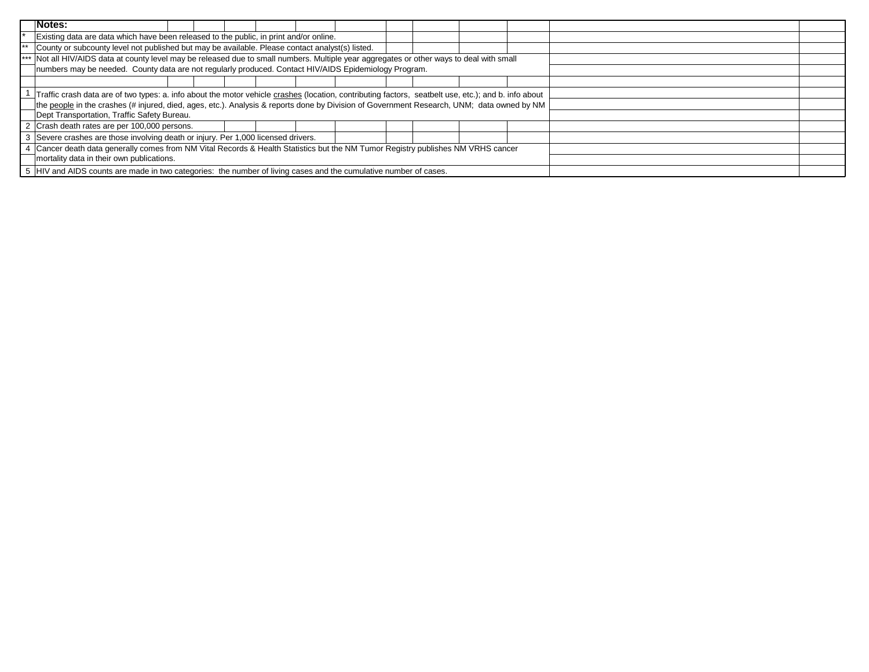| Notes:                                                                                                                                               |  |
|------------------------------------------------------------------------------------------------------------------------------------------------------|--|
| Existing data are data which have been released to the public, in print and/or online.                                                               |  |
| County or subcounty level not published but may be available. Please contact analyst(s) listed.                                                      |  |
| Not all HIV/AIDS data at county level may be released due to small numbers. Multiple year aggregates or other ways to deal with small<br>$***$       |  |
| numbers may be needed. County data are not regularly produced. Contact HIV/AIDS Epidemiology Program.                                                |  |
|                                                                                                                                                      |  |
| Traffic crash data are of two types: a. info about the motor vehicle crashes (location, contributing factors, seatbelt use, etc.); and b. info about |  |
| the people in the crashes (# injured, died, ages, etc.). Analysis & reports done by Division of Government Research, UNM; data owned by NM           |  |
| Dept Transportation, Traffic Safety Bureau.                                                                                                          |  |
| 2 Crash death rates are per 100,000 persons.                                                                                                         |  |
| 3 Severe crashes are those involving death or injury. Per 1,000 licensed drivers.                                                                    |  |
| Cancer death data generally comes from NM Vital Records & Health Statistics but the NM Tumor Registry publishes NM VRHS cancer                       |  |
| mortality data in their own publications.                                                                                                            |  |
| 5 HIV and AIDS counts are made in two categories: the number of living cases and the cumulative number of cases.                                     |  |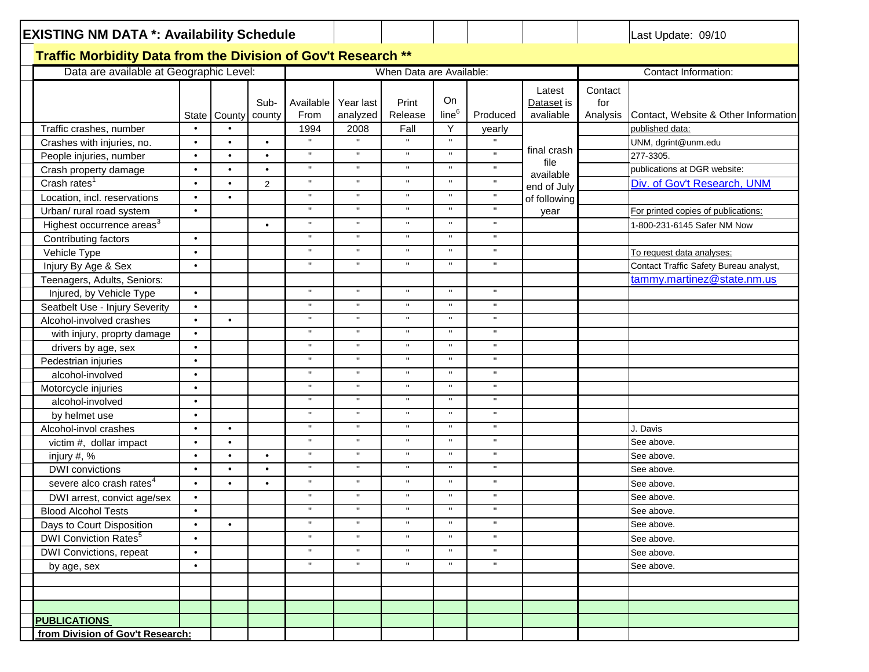| <b>EXISTING NM DATA *: Availability Schedule</b>              |           |                         |           |                     |                    |                          |                   |              |                      |                | Last Update: 09/10                     |
|---------------------------------------------------------------|-----------|-------------------------|-----------|---------------------|--------------------|--------------------------|-------------------|--------------|----------------------|----------------|----------------------------------------|
| Traffic Morbidity Data from the Division of Gov't Research ** |           |                         |           |                     |                    |                          |                   |              |                      |                |                                        |
| Data are available at Geographic Level:                       |           |                         |           |                     |                    | When Data are Available: |                   |              |                      |                | Contact Information:                   |
|                                                               |           |                         |           |                     |                    |                          |                   |              |                      |                |                                        |
|                                                               |           |                         | Sub-      | Available           | Year last          | Print                    | On                |              | Latest<br>Dataset is | Contact<br>for |                                        |
|                                                               |           | State   County   county |           | From                | analyzed           | Release                  | line <sup>6</sup> | Produced     | avaliable            | Analysis       | Contact, Website & Other Information   |
| Traffic crashes, number                                       | $\bullet$ |                         |           | 1994                | 2008               | Fall                     | Y                 | yearly       |                      |                | published data:                        |
| Crashes with injuries, no.                                    | $\bullet$ | $\bullet$               | $\bullet$ |                     | $\mathbf{u}$       | $\mathbf{u}$             | $\mathbf{u}$      |              |                      |                | UNM, dgrint@unm.edu                    |
| People injuries, number                                       | $\bullet$ | $\bullet$               | $\bullet$ | $\mathbf H$         | $\mathbf{H}$       | $\mathbf{H}$             | $\mathbf{H}$      | $\mathbf{H}$ | final crash          |                | 277-3305.                              |
| Crash property damage                                         | $\bullet$ | $\bullet$               | $\bullet$ | $\mathbf{H}$        | $\mathbf{H}$       | $\mathbf{H}$             | $\mathbf{H}$      | $\mathbf H$  | file                 |                | publications at DGR website:           |
| Crash rates $1$                                               | $\bullet$ | $\bullet$               |           | $\mathbf{u}$        | $\mathbf H$        | $\pmb{\mathsf{H}}$       | $\mathbf{H}$      | $\mathbf{H}$ | available            |                | Div. of Gov't Research, UNM            |
|                                                               | $\bullet$ | $\bullet$               | 2         | $\mathbf{u}$        | $\mathbf{H}$       | $\mathbf{H}$             | $\mathbf{u}$      | $\mathbf{H}$ | end of July          |                |                                        |
| Location, incl. reservations                                  |           |                         |           | $\mathbf{u}$        | $\mathbf{u}$       | $\mathbf{u}$             | $\mathbf{u}$      | $\mathbf{H}$ | of following         |                |                                        |
| Urban/ rural road system                                      | $\bullet$ |                         |           | $\mathbf{u}$        | $\mathbf{u}$       | $\mathbf{u}$             | $\mathbf{u}$      | $\mathbf{u}$ | year                 |                | For printed copies of publications:    |
| Highest occurrence areas <sup>3</sup>                         |           |                         | $\bullet$ | $\mathbf{u}$        | $\mathbf{H}$       | $\mathbf{u}$             | $\mathbf{H}$      | $\mathbf{u}$ |                      |                | 1-800-231-6145 Safer NM Now            |
| Contributing factors                                          | $\bullet$ |                         |           |                     |                    |                          |                   |              |                      |                |                                        |
| Vehicle Type                                                  | $\bullet$ |                         |           | $\mathbf{H}$        | $\pmb{\mathsf{H}}$ | $\mathbf{H}$             | $\mathbf{u}$      | $\mathbf{u}$ |                      |                | To request data analyses:              |
| Injury By Age & Sex                                           | $\bullet$ |                         |           | $\mathbf{H}$        | $\mathbf{H}$       | $\mathbf{H}$             | $\mathbf{H}$      | $\mathbf{H}$ |                      |                | Contact Traffic Safety Bureau analyst, |
| Teenagers, Adults, Seniors:                                   |           |                         |           |                     |                    |                          |                   |              |                      |                | tammy.martinez@state.nm.us             |
| Injured, by Vehicle Type                                      | $\bullet$ |                         |           | $\mathbf{u}$        | $\mathbf{H}$       | $\mathbf{u}$             | $\mathbf{u}$      | $\mathbf{H}$ |                      |                |                                        |
| Seatbelt Use - Injury Severity                                | $\bullet$ |                         |           | $\mathbf{H}$        | $\mathbf{H}$       | $\mathbf{H}$             | $\mathbf{u}$      | $\mathbf{u}$ |                      |                |                                        |
| Alcohol-involved crashes                                      | $\bullet$ | $\bullet$               |           | $\mathbf{H}$        | $\pmb{\mathsf{H}}$ | $\mathbf H$              | $\mathbf{u}$      | $\mathbf{u}$ |                      |                |                                        |
| with injury, proprty damage                                   | $\bullet$ |                         |           | $\mathbf{H}$        | $\mathbf{H}$       | $\pmb{\mathsf{H}}$       | $\mathbf{H}$      | $\mathbf H$  |                      |                |                                        |
| drivers by age, sex                                           | $\bullet$ |                         |           | $\mathbf H$         | $\mathbf H$        | $\pmb{\mathsf{H}}$       | $\mathbf{H}$      | $\mathbf H$  |                      |                |                                        |
| Pedestrian injuries                                           | $\bullet$ |                         |           | $\mathbf{H}$        | $\mathbf{H}$       | $\pmb{\mathsf{H}}$       | $\mathbf{H}$      | $\mathbf H$  |                      |                |                                        |
| alcohol-involved                                              | $\bullet$ |                         |           | $\mathbf{H}$        | $\pmb{\mathsf{H}}$ | $\mathbf H$              | $\mathbf H$       | $\mathbf{u}$ |                      |                |                                        |
| Motorcycle injuries                                           | $\bullet$ |                         |           | $\mathbf{H}$        | $\mathbf{H}$       | $\mathbf{H}$             | $\mathbf{u}$      | $\mathbf{u}$ |                      |                |                                        |
| alcohol-involved                                              | $\bullet$ |                         |           | $\mathbf{H}$        | $\pmb{\mathsf{H}}$ | $\mathbf H$              | $\mathbf{u}$      | $\mathbf{u}$ |                      |                |                                        |
| by helmet use                                                 | $\bullet$ |                         |           | $\mathbf{H}$        | $\mathbf{H}$       | $\mathbf{u}$             | $\mathbf{u}$      | $\mathbf{u}$ |                      |                |                                        |
| Alcohol-invol crashes                                         | $\bullet$ | $\bullet$               |           | $\mathbf{H}$        | $\mathbf{H}$       | $\mathbf{u}$             | $\mathbf{H}$      | $\mathbf{H}$ |                      |                | J. Davis                               |
| victim #, dollar impact                                       | $\bullet$ | $\bullet$               |           | $\mathbf{H}$        | $\mathbf{H}$       | $\mathbf{H}$             | $\mathbf H$       | $\mathbf{H}$ |                      |                | See above.                             |
| injury #, %                                                   | $\bullet$ | $\bullet$               | $\bullet$ | $\mathbf{H}$        | $\pmb{\mathsf{H}}$ | $\mathbf{u}$             | $\mathbf{H}$      | $\mathbf{H}$ |                      |                | See above.                             |
| <b>DWI</b> convictions                                        | $\bullet$ | $\bullet$               | $\bullet$ | $\mathbf{u}$        | $\mathbf H$        | $\mathbf{u}$             | $\mathbf{H}$      | $\mathbf{u}$ |                      |                | See above.                             |
| severe alco crash rates <sup>4</sup>                          | $\bullet$ | $\bullet$               | $\bullet$ | Ħ                   | $\mathbf{H}$       | $\mathbf{u}$             | $\mathbf{u}$      | $\mathbf{u}$ |                      |                | See above.                             |
| DWI arrest, convict age/sex                                   | $\bullet$ |                         |           | $\mathbf{H}$        | $\pmb{\mathsf{H}}$ | $\mathbf{u}$             | $\mathbf{u}$      | $\mathbf{H}$ |                      |                | See above.                             |
| <b>Blood Alcohol Tests</b>                                    | $\bullet$ |                         |           | $\mathbf{u}$        | $\mathbf{u}$       | $\mathbf{u}$             |                   | $\mathbf{u}$ |                      |                | See above.                             |
| Days to Court Disposition                                     | $\bullet$ | $\bullet$               |           | $\mathbf H$         | $\pmb{\mathsf{H}}$ |                          | $\mathbf H$       | $\mathbf{H}$ |                      |                | See above.                             |
| DWI Conviction Rates <sup>5</sup>                             | $\bullet$ |                         |           | $\mathbf{H}^{\top}$ | $\mathbf{H}$       | $\mathbf{H}$             | $\mathbf{H}$      | $\mathbf{H}$ |                      |                | See above.                             |
| DWI Convictions, repeat                                       | $\bullet$ |                         |           | П.                  | $\pmb{\mathsf{H}}$ | $\mathbf H$              | $\mathbf{H}$      | $\mathbf{H}$ |                      |                | See above.                             |
| by age, sex                                                   | $\bullet$ |                         |           | П.                  | $\mathbf{H}$       | $\mathbf{u}$             | $\mathbf{u}$      | $\mathbf H$  |                      |                | See above.                             |
|                                                               |           |                         |           |                     |                    |                          |                   |              |                      |                |                                        |
|                                                               |           |                         |           |                     |                    |                          |                   |              |                      |                |                                        |
|                                                               |           |                         |           |                     |                    |                          |                   |              |                      |                |                                        |
| <b>PUBLICATIONS</b>                                           |           |                         |           |                     |                    |                          |                   |              |                      |                |                                        |
| from Division of Gov't Research:                              |           |                         |           |                     |                    |                          |                   |              |                      |                |                                        |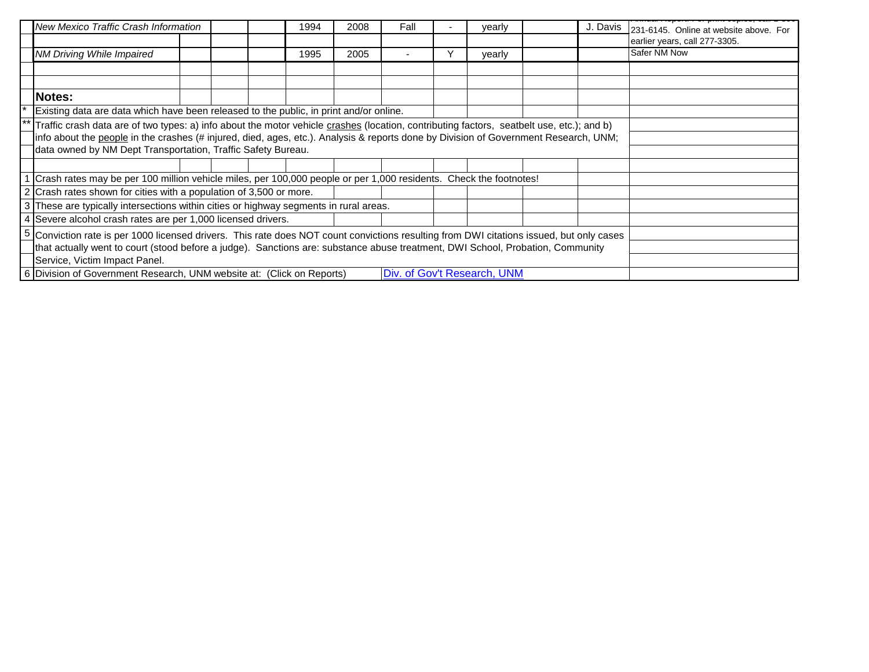|   | New Mexico Traffic Crash Information                                                                                                                                                                                                                                                                                                                                                                                                                                                                                                                                                                                                                                                                                                                                                                                                                                                                                                                                       |                                                                                                                                |  |  | 1994 | 2008 | Fall |  | yearly                      |  | J. Davis | 231-6145. Online at website above. For |  |  |  |
|---|----------------------------------------------------------------------------------------------------------------------------------------------------------------------------------------------------------------------------------------------------------------------------------------------------------------------------------------------------------------------------------------------------------------------------------------------------------------------------------------------------------------------------------------------------------------------------------------------------------------------------------------------------------------------------------------------------------------------------------------------------------------------------------------------------------------------------------------------------------------------------------------------------------------------------------------------------------------------------|--------------------------------------------------------------------------------------------------------------------------------|--|--|------|------|------|--|-----------------------------|--|----------|----------------------------------------|--|--|--|
|   | NM Driving While Impaired                                                                                                                                                                                                                                                                                                                                                                                                                                                                                                                                                                                                                                                                                                                                                                                                                                                                                                                                                  |                                                                                                                                |  |  | 1995 | 2005 |      |  | yearly                      |  |          | <b>Safer NM Now</b>                    |  |  |  |
|   |                                                                                                                                                                                                                                                                                                                                                                                                                                                                                                                                                                                                                                                                                                                                                                                                                                                                                                                                                                            |                                                                                                                                |  |  |      |      |      |  |                             |  |          |                                        |  |  |  |
|   |                                                                                                                                                                                                                                                                                                                                                                                                                                                                                                                                                                                                                                                                                                                                                                                                                                                                                                                                                                            |                                                                                                                                |  |  |      |      |      |  |                             |  |          |                                        |  |  |  |
|   | Notes:                                                                                                                                                                                                                                                                                                                                                                                                                                                                                                                                                                                                                                                                                                                                                                                                                                                                                                                                                                     |                                                                                                                                |  |  |      |      |      |  |                             |  |          |                                        |  |  |  |
|   |                                                                                                                                                                                                                                                                                                                                                                                                                                                                                                                                                                                                                                                                                                                                                                                                                                                                                                                                                                            |                                                                                                                                |  |  |      |      |      |  |                             |  |          |                                        |  |  |  |
|   |                                                                                                                                                                                                                                                                                                                                                                                                                                                                                                                                                                                                                                                                                                                                                                                                                                                                                                                                                                            |                                                                                                                                |  |  |      |      |      |  |                             |  |          |                                        |  |  |  |
|   |                                                                                                                                                                                                                                                                                                                                                                                                                                                                                                                                                                                                                                                                                                                                                                                                                                                                                                                                                                            |                                                                                                                                |  |  |      |      |      |  |                             |  |          |                                        |  |  |  |
|   | earlier years, call 277-3305.<br>Existing data are data which have been released to the public, in print and/or online.<br>Traffic crash data are of two types: a) info about the motor vehicle crashes (location, contributing factors, seatbelt use, etc.); and b)<br>info about the people in the crashes (# injured, died, ages, etc.). Analysis & reports done by Division of Government Research, UNM;<br>data owned by NM Dept Transportation, Traffic Safety Bureau.<br>Crash rates may be per 100 million vehicle miles, per 100,000 people or per 1,000 residents. Check the footnotes!<br>2 Crash rates shown for cities with a population of 3,500 or more.<br>3 These are typically intersections within cities or highway segments in rural areas.<br>4 Severe alcohol crash rates are per 1,000 licensed drivers.<br>Conviction rate is per 1000 licensed drivers. This rate does NOT count convictions resulting from DWI citations issued, but only cases |                                                                                                                                |  |  |      |      |      |  |                             |  |          |                                        |  |  |  |
|   |                                                                                                                                                                                                                                                                                                                                                                                                                                                                                                                                                                                                                                                                                                                                                                                                                                                                                                                                                                            |                                                                                                                                |  |  |      |      |      |  |                             |  |          |                                        |  |  |  |
|   |                                                                                                                                                                                                                                                                                                                                                                                                                                                                                                                                                                                                                                                                                                                                                                                                                                                                                                                                                                            |                                                                                                                                |  |  |      |      |      |  |                             |  |          |                                        |  |  |  |
|   |                                                                                                                                                                                                                                                                                                                                                                                                                                                                                                                                                                                                                                                                                                                                                                                                                                                                                                                                                                            |                                                                                                                                |  |  |      |      |      |  |                             |  |          |                                        |  |  |  |
|   |                                                                                                                                                                                                                                                                                                                                                                                                                                                                                                                                                                                                                                                                                                                                                                                                                                                                                                                                                                            |                                                                                                                                |  |  |      |      |      |  |                             |  |          |                                        |  |  |  |
|   |                                                                                                                                                                                                                                                                                                                                                                                                                                                                                                                                                                                                                                                                                                                                                                                                                                                                                                                                                                            |                                                                                                                                |  |  |      |      |      |  |                             |  |          |                                        |  |  |  |
| 5 |                                                                                                                                                                                                                                                                                                                                                                                                                                                                                                                                                                                                                                                                                                                                                                                                                                                                                                                                                                            |                                                                                                                                |  |  |      |      |      |  |                             |  |          |                                        |  |  |  |
|   |                                                                                                                                                                                                                                                                                                                                                                                                                                                                                                                                                                                                                                                                                                                                                                                                                                                                                                                                                                            | that actually went to court (stood before a judge). Sanctions are: substance abuse treatment, DWI School, Probation, Community |  |  |      |      |      |  |                             |  |          |                                        |  |  |  |
|   | Service, Victim Impact Panel.                                                                                                                                                                                                                                                                                                                                                                                                                                                                                                                                                                                                                                                                                                                                                                                                                                                                                                                                              |                                                                                                                                |  |  |      |      |      |  |                             |  |          |                                        |  |  |  |
|   | 6 Division of Government Research, UNM website at: (Click on Reports)                                                                                                                                                                                                                                                                                                                                                                                                                                                                                                                                                                                                                                                                                                                                                                                                                                                                                                      |                                                                                                                                |  |  |      |      |      |  | Div. of Gov't Research, UNM |  |          |                                        |  |  |  |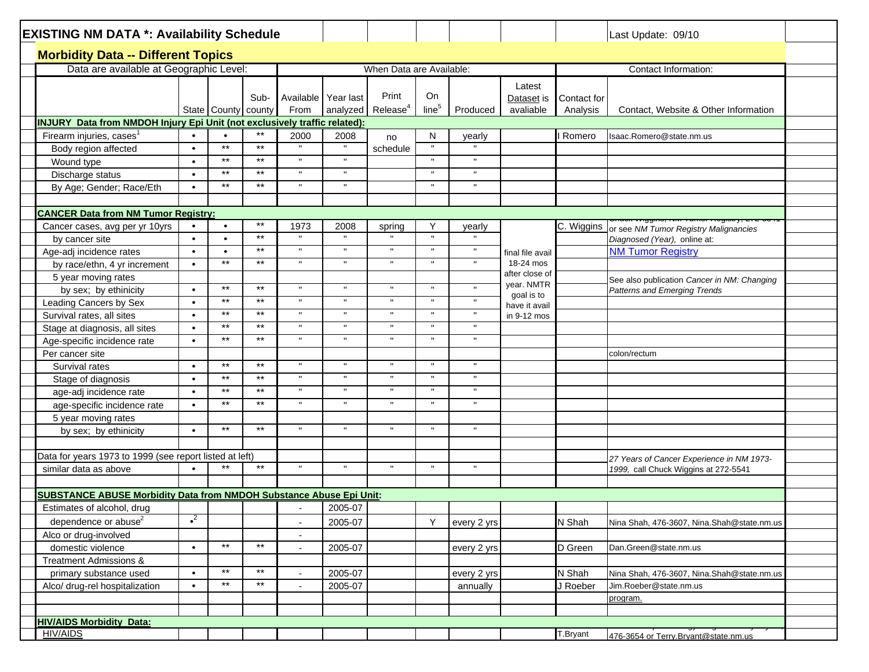| <b>EXISTING NM DATA *: Availability Schedule</b>                                 |             |                     |                 |                          |                     |                          |                   |              |                             |             | Last Update: 09/10                          |  |
|----------------------------------------------------------------------------------|-------------|---------------------|-----------------|--------------------------|---------------------|--------------------------|-------------------|--------------|-----------------------------|-------------|---------------------------------------------|--|
| <b>Morbidity Data -- Different Topics</b>                                        |             |                     |                 |                          |                     |                          |                   |              |                             |             |                                             |  |
| Data are available at Geographic Level:                                          |             |                     |                 |                          |                     | When Data are Available: |                   |              |                             |             | Contact Information:                        |  |
|                                                                                  |             |                     |                 |                          |                     |                          |                   |              |                             |             |                                             |  |
|                                                                                  |             |                     | Sub-            |                          | Available Year last | Print                    | On                |              | Latest<br>Dataset is        | Contact for |                                             |  |
|                                                                                  |             | State County county |                 | From                     | analyzed            | Release <sup>4</sup>     | line <sup>5</sup> | Produced     | avaliable                   | Analysis    | Contact, Website & Other Information        |  |
| <b>INJURY</b> Data from NMDOH Injury Epi Unit (not exclusively traffic related): |             |                     |                 |                          |                     |                          |                   |              |                             |             |                                             |  |
| Firearm injuries, cases                                                          | $\bullet$   | $\bullet$           | $^{\star\star}$ |                          |                     |                          |                   |              |                             |             | Isaac.Romero@state.nm.us                    |  |
| Body region affected                                                             | $\bullet$   | $***$               | $\star\star$    | 2000                     | 2008                | no<br>schedule           | N                 | yearly       |                             | Romero      |                                             |  |
|                                                                                  | $\bullet$   | $***$               | $\star\star$    | $\mathbf{u}$             |                     |                          |                   | $\mathbf{u}$ |                             |             |                                             |  |
| Wound type                                                                       | $\bullet$   | $***$               | $***$           | $\mathbf{u}$             |                     |                          |                   | $\mathbf{u}$ |                             |             |                                             |  |
| Discharge status                                                                 | $\bullet$   | $***$               | $\star\star$    | $\mathbf{H}$             | $\mathbf{u}$        |                          | $\mathbf{u}$      | $\mathbf{u}$ |                             |             |                                             |  |
| By Age; Gender; Race/Eth                                                         |             |                     |                 |                          |                     |                          |                   |              |                             |             |                                             |  |
|                                                                                  |             |                     |                 |                          |                     |                          |                   |              |                             |             |                                             |  |
| <b>CANCER Data from NM Tumor Registry:</b>                                       |             |                     | $\star\star$    |                          |                     |                          |                   |              |                             |             |                                             |  |
| Cancer cases, avg per yr 10yrs                                                   |             | $\bullet$           | $\star\star$    | 1973<br>$\mathbf{u}$     | 2008                | spring                   | Υ                 | yearly       |                             | C. Wiggins  | or see NM Tumor Registry Malignancies       |  |
| by cancer site                                                                   | $\bullet$   | $\bullet$           | $*$             | $\mathbf{u}$             | $\mathbf{u}$        | $\mathbf{u}$             | $\mathbf{u}$      |              |                             |             | Diagnosed (Year), online at:                |  |
| Age-adj incidence rates                                                          | $\bullet$   | $\bullet$           |                 |                          |                     |                          |                   | J.           | final file avail            |             | <b>NM Tumor Registry</b>                    |  |
| by race/ethn, 4 yr increment                                                     | $\bullet$   | $*$                 | $*$             | $\mathbf{H}$             | $\mathbf{u}$        | $\mathbf{H}$             |                   |              | 18-24 mos<br>after close of |             |                                             |  |
| 5 year moving rates                                                              |             |                     |                 |                          |                     |                          |                   |              | year. NMTR                  |             | See also publication Cancer in NM: Changing |  |
| by sex; by ethinicity                                                            | $\bullet$   | $\star\star$        | $\star\star$    | $\mathbf{H}$             | $\mathbf{u}$        | $\mathbf{H}$             |                   |              | goal is to                  |             | <b>Patterns and Emerging Trends</b>         |  |
| Leading Cancers by Sex                                                           | $\bullet$   | $***$               | $***$           | $\mathbf{H}$             | $\mathbf{H}$        | $\mathbf{u}$             |                   | $\mathbf{u}$ | have it avail               |             |                                             |  |
| Survival rates, all sites                                                        | $\bullet$   | $***$               | $*$             | $\mathbf H$              | $\pmb{\mathsf{H}}$  | $\mathbf{H}$             | $\mathbf{u}$      | $\mathbf{u}$ | in 9-12 mos                 |             |                                             |  |
| Stage at diagnosis, all sites                                                    | $\bullet$   | $***$               | $\star\star$    | $\mathbf{H}$             | $\mathbf{H}$        | $\mathbf{H}$             |                   | $\mathbf{u}$ |                             |             |                                             |  |
| Age-specific incidence rate                                                      | $\bullet$   | $\star\star$        | $***$           | $\mathbf{H}$             | $\mathbf{H}$        | $\mathbf{u}$             | $\mathbf{u}$      | $\mathbf{u}$ |                             |             |                                             |  |
| Per cancer site                                                                  |             |                     |                 |                          |                     |                          |                   |              |                             |             | colon/rectum                                |  |
| Survival rates                                                                   | $\bullet$   | $\star\star$        | $*$             | $\mathbf{u}$             | $\mathbf{u}$        | $\mathbf{u}$             | $\mathbf{u}$      | $\mathbf{u}$ |                             |             |                                             |  |
| Stage of diagnosis                                                               | $\bullet$   | $***$               | $\star\star$    | $\mathbf{H}$             | $\mathbf{u}$        | $\mathbf{H}$             | $\mathbf{u}$      | $\mathbf{u}$ |                             |             |                                             |  |
| age-adj incidence rate                                                           | $\bullet$   | $***$               | $\star\star$    | $\mathbf{u}$             |                     | $\mathbf{u}$             |                   | $\mathbf{u}$ |                             |             |                                             |  |
| age-specific incidence rate                                                      | $\bullet$   | $***$               | $***$           | $\mathbf{u}$             | $\mathbf{u}$        | $\mathbf{u}$             |                   | $\mathbf{u}$ |                             |             |                                             |  |
| 5 year moving rates                                                              |             |                     |                 |                          |                     |                          |                   |              |                             |             |                                             |  |
| by sex; by ethinicity                                                            | $\bullet$   | $***$               | $***$           | π                        | $\mathbf{u}$        | $\mathbf{H}$             |                   | $\mathbf{u}$ |                             |             |                                             |  |
|                                                                                  |             |                     |                 |                          |                     |                          |                   |              |                             |             |                                             |  |
| Data for years 1973 to 1999 (see report listed at left)                          |             |                     |                 |                          |                     |                          |                   |              |                             |             | 27 Years of Cancer Experience in NM 1973-   |  |
| similar data as above                                                            | $\bullet$   |                     | $\star\star$    | $\mathbf{u}$             | $\mathbf{u}$        | $\mathbf{u}$             | $\mathbf{u}$      | $\mathbf{u}$ |                             |             | 1999, call Chuck Wiggins at 272-5541        |  |
|                                                                                  |             |                     |                 |                          |                     |                          |                   |              |                             |             |                                             |  |
| <b>SUBSTANCE ABUSE Morbidity Data from NMDOH Substance Abuse Epi Unit:</b>       |             |                     |                 |                          |                     |                          |                   |              |                             |             |                                             |  |
| Estimates of alcohol, drug                                                       |             |                     |                 |                          | 2005-07             |                          |                   |              |                             |             |                                             |  |
| dependence or abuse <sup>2</sup>                                                 | $\bullet^2$ |                     |                 | $\blacksquare$           | 2005-07             |                          | Y                 | every 2 yrs  |                             | N Shah      | Nina Shah, 476-3607, Nina.Shah@state.nm.us  |  |
| Alco or drug-involved                                                            |             |                     |                 |                          |                     |                          |                   |              |                             |             |                                             |  |
| domestic violence                                                                | $\bullet$   | $\star\star$        | $*$             | $\overline{\phantom{a}}$ | 2005-07             |                          |                   | every 2 yrs  |                             | D Green     | Dan.Green@state.nm.us                       |  |
| Treatment Admissions &                                                           |             |                     |                 |                          |                     |                          |                   |              |                             |             |                                             |  |
| primary substance used                                                           | $\bullet$   | $\star\star$        | $\star\star$    |                          | 2005-07             |                          |                   | every 2 yrs  |                             | N Shah      | Nina Shah, 476-3607, Nina.Shah@state.nm.us  |  |
| Alco/ drug-rel hospitalization                                                   | $\bullet$   | $***$               | $\star\star$    | $\blacksquare$           | 2005-07             |                          |                   | annually     |                             | J Roeber    | Jim.Roeber@state.nm.us                      |  |
|                                                                                  |             |                     |                 |                          |                     |                          |                   |              |                             |             | program.                                    |  |
|                                                                                  |             |                     |                 |                          |                     |                          |                   |              |                             |             |                                             |  |
| <b>HIV/AIDS Morbidity Data:</b>                                                  |             |                     |                 |                          |                     |                          |                   |              |                             |             |                                             |  |
| <b>HIV/AIDS</b>                                                                  |             |                     |                 |                          |                     |                          |                   |              |                             | T.Bryant    | 476-3654 or Terry.Brvant@state.nm.us        |  |
|                                                                                  |             |                     |                 |                          |                     |                          |                   |              |                             |             |                                             |  |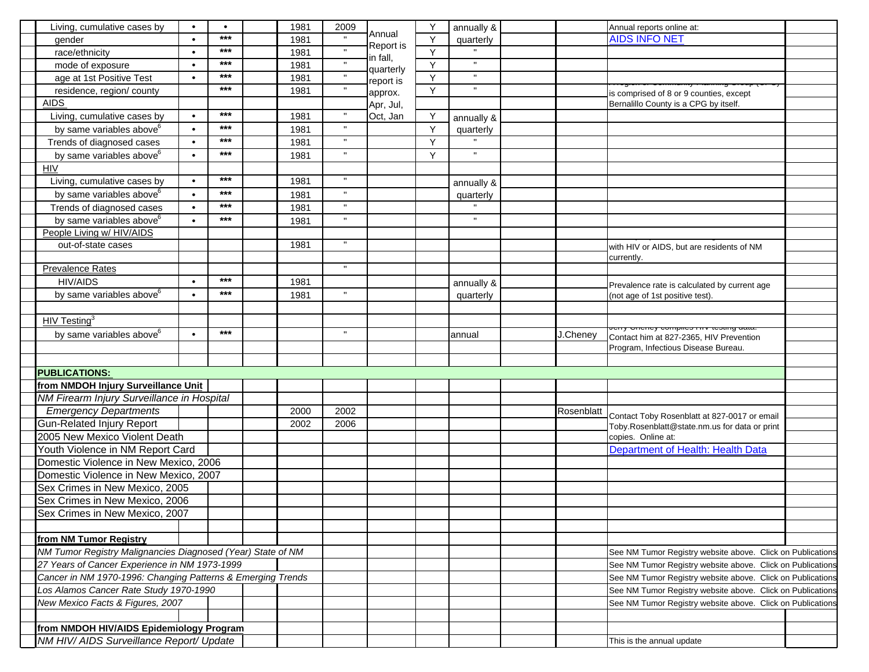| Living, cumulative cases by                                 | $\bullet$ | ***   | 1981 | 2009               | Annual    |   | annually &     |            | Annual reports online at:                                                                |
|-------------------------------------------------------------|-----------|-------|------|--------------------|-----------|---|----------------|------------|------------------------------------------------------------------------------------------|
| gender                                                      | $\bullet$ | ***   | 1981 |                    | Report is | Y | quarterly      |            | <b>AIDS INFO NET</b>                                                                     |
| race/ethnicity                                              | $\bullet$ | ***   | 1981 |                    | in fall,  | Y | $\mathbf{u}$   |            |                                                                                          |
| mode of exposure                                            | $\bullet$ |       | 1981 |                    | quarterly | Y | $\mathbf{u}$   |            |                                                                                          |
| age at 1st Positive Test                                    | $\bullet$ | ***   | 1981 |                    | report is | Y |                |            |                                                                                          |
| residence, region/ county                                   |           | ***   | 1981 |                    | approx.   | Y | $\mathbf{u}$   |            | is comprised of 8 or 9 counties, except                                                  |
| <b>AIDS</b>                                                 |           |       |      |                    | Apr, Jul, |   |                |            | Bernalillo County is a CPG by itself.                                                    |
| Living, cumulative cases by                                 | $\bullet$ | ***   | 1981 |                    | Oct, Jan  | Y | annually &     |            |                                                                                          |
| by same variables above <sup>6</sup>                        | $\bullet$ | ***   | 1981 | $\mathbf{u}$       |           | Y | quarterly      |            |                                                                                          |
| Trends of diagnosed cases                                   | $\bullet$ | ***   | 1981 |                    |           | Y |                |            |                                                                                          |
| by same variables above <sup>6</sup>                        | $\bullet$ | ***   | 1981 | $\mathbf{u}$       |           | Y | $\blacksquare$ |            |                                                                                          |
| <b>HIV</b>                                                  |           |       |      |                    |           |   |                |            |                                                                                          |
| Living, cumulative cases by                                 | $\bullet$ | ***   | 1981 | $\mathbf{H}$       |           |   | annually &     |            |                                                                                          |
| by same variables above <sup>6</sup>                        | $\bullet$ | ***   | 1981 |                    |           |   | quarterly      |            |                                                                                          |
| Trends of diagnosed cases                                   | $\bullet$ | ***   | 1981 |                    |           |   |                |            |                                                                                          |
| by same variables above <sup>6</sup>                        | $\bullet$ | ***   | 1981 | $\pmb{\mathsf{H}}$ |           |   | $\mathbf{u}$   |            |                                                                                          |
| People Living w/ HIV/AIDS                                   |           |       |      |                    |           |   |                |            |                                                                                          |
| out-of-state cases                                          |           |       | 1981 |                    |           |   |                |            | with HIV or AIDS, but are residents of NM                                                |
|                                                             |           |       |      |                    |           |   |                |            | currently.                                                                               |
| <b>Prevalence Rates</b>                                     |           |       |      | $\mathbf{u}$       |           |   |                |            |                                                                                          |
| <b>HIV/AIDS</b>                                             | $\bullet$ | $***$ | 1981 |                    |           |   | annually &     |            | Prevalence rate is calculated by current age                                             |
| by same variables above <sup>6</sup>                        | $\bullet$ | ***   | 1981 | $\mathbf{H}$       |           |   | quarterly      |            | (not age of 1st positive test).                                                          |
|                                                             |           |       |      |                    |           |   |                |            |                                                                                          |
| HIV Testing <sup>3</sup>                                    |           |       |      |                    |           |   |                |            |                                                                                          |
| by same variables above <sup>6</sup>                        | $\bullet$ | $***$ |      | $\mathbf{u}$       |           |   | annual         | J.Cheney   | <del>ny ononoy oompnoo mry tooting aatt</del><br>Contact him at 827-2365, HIV Prevention |
|                                                             |           |       |      |                    |           |   |                |            | Program, Infectious Disease Bureau.                                                      |
|                                                             |           |       |      |                    |           |   |                |            |                                                                                          |
| <b>PUBLICATIONS:</b>                                        |           |       |      |                    |           |   |                |            |                                                                                          |
| from NMDOH Injury Surveillance Unit                         |           |       |      |                    |           |   |                |            |                                                                                          |
| NM Firearm Injury Surveillance in Hospital                  |           |       |      |                    |           |   |                |            |                                                                                          |
| <b>Emergency Departments</b>                                |           |       | 2000 | 2002               |           |   |                | Rosenblatt |                                                                                          |
| <b>Gun-Related Injury Report</b>                            |           |       | 2002 | 2006               |           |   |                |            | Contact Toby Rosenblatt at 827-0017 or email                                             |
| 2005 New Mexico Violent Death                               |           |       |      |                    |           |   |                |            | Toby.Rosenblatt@state.nm.us for data or print                                            |
| Youth Violence in NM Report Card                            |           |       |      |                    |           |   |                |            | copies. Online at:<br>Department of Health: Health Data                                  |
| Domestic Violence in New Mexico, 2006                       |           |       |      |                    |           |   |                |            |                                                                                          |
|                                                             |           |       |      |                    |           |   |                |            |                                                                                          |
| Domestic Violence in New Mexico, 2007                       |           |       |      |                    |           |   |                |            |                                                                                          |
| Sex Crimes in New Mexico, 2005                              |           |       |      |                    |           |   |                |            |                                                                                          |
| Sex Crimes in New Mexico, 2006                              |           |       |      |                    |           |   |                |            |                                                                                          |
| Sex Crimes in New Mexico, 2007                              |           |       |      |                    |           |   |                |            |                                                                                          |
|                                                             |           |       |      |                    |           |   |                |            |                                                                                          |
| from NM Tumor Registry                                      |           |       |      |                    |           |   |                |            |                                                                                          |
| NM Tumor Registry Malignancies Diagnosed (Year) State of NM |           |       |      |                    |           |   |                |            | See NM Tumor Registry website above. Click on Publications                               |
| 27 Years of Cancer Experience in NM 1973-1999               |           |       |      |                    |           |   |                |            | See NM Tumor Registry website above. Click on Publications                               |
| Cancer in NM 1970-1996: Changing Patterns & Emerging Trends |           |       |      |                    |           |   |                |            | See NM Tumor Registry website above. Click on Publications                               |
| Los Alamos Cancer Rate Study 1970-1990                      |           |       |      |                    |           |   |                |            | See NM Tumor Registry website above. Click on Publications                               |
| New Mexico Facts & Figures, 2007                            |           |       |      |                    |           |   |                |            | See NM Tumor Registry website above. Click on Publications                               |
|                                                             |           |       |      |                    |           |   |                |            |                                                                                          |
| from NMDOH HIV/AIDS Epidemiology Program                    |           |       |      |                    |           |   |                |            |                                                                                          |
| NM HIV/ AIDS Surveillance Report/ Update                    |           |       |      |                    |           |   |                |            | This is the annual update                                                                |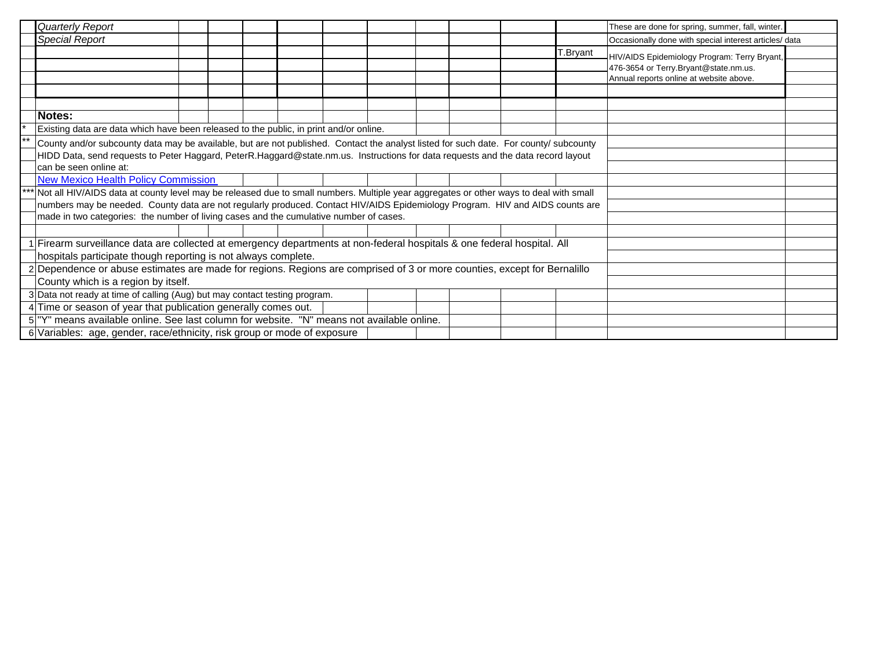| Quarterly Report                                                                                                                      |  |  |  |  |  |  |  |  |  |          | These are done for spring, summer, fall, winter.                                                                                 |  |
|---------------------------------------------------------------------------------------------------------------------------------------|--|--|--|--|--|--|--|--|--|----------|----------------------------------------------------------------------------------------------------------------------------------|--|
| Special Report                                                                                                                        |  |  |  |  |  |  |  |  |  |          | Occasionally done with special interest articles/ data                                                                           |  |
|                                                                                                                                       |  |  |  |  |  |  |  |  |  | T.Bryant | HIV/AIDS Epidemiology Program: Terry Bryant,<br>476-3654 or Terry.Bryant@state.nm.us.<br>Annual reports online at website above. |  |
|                                                                                                                                       |  |  |  |  |  |  |  |  |  |          |                                                                                                                                  |  |
|                                                                                                                                       |  |  |  |  |  |  |  |  |  |          |                                                                                                                                  |  |
| Notes:                                                                                                                                |  |  |  |  |  |  |  |  |  |          |                                                                                                                                  |  |
| Existing data are data which have been released to the public, in print and/or online.                                                |  |  |  |  |  |  |  |  |  |          |                                                                                                                                  |  |
| County and/or subcounty data may be available, but are not published. Contact the analyst listed for such date. For county/ subcounty |  |  |  |  |  |  |  |  |  |          |                                                                                                                                  |  |
| HIDD Data, send requests to Peter Haggard, PeterR.Haggard@state.nm.us. Instructions for data requests and the data record layout      |  |  |  |  |  |  |  |  |  |          |                                                                                                                                  |  |
| can be seen online at:                                                                                                                |  |  |  |  |  |  |  |  |  |          |                                                                                                                                  |  |
| <b>New Mexico Health Policy Commission</b>                                                                                            |  |  |  |  |  |  |  |  |  |          |                                                                                                                                  |  |
| Not all HIV/AIDS data at county level may be released due to small numbers. Multiple year aggregates or other ways to deal with small |  |  |  |  |  |  |  |  |  |          |                                                                                                                                  |  |
| numbers may be needed. County data are not regularly produced. Contact HIV/AIDS Epidemiology Program. HIV and AIDS counts are         |  |  |  |  |  |  |  |  |  |          |                                                                                                                                  |  |
| made in two categories: the number of living cases and the cumulative number of cases.                                                |  |  |  |  |  |  |  |  |  |          |                                                                                                                                  |  |
|                                                                                                                                       |  |  |  |  |  |  |  |  |  |          |                                                                                                                                  |  |
| 1 Firearm surveillance data are collected at emergency departments at non-federal hospitals & one federal hospital. All               |  |  |  |  |  |  |  |  |  |          |                                                                                                                                  |  |
| hospitals participate though reporting is not always complete.                                                                        |  |  |  |  |  |  |  |  |  |          |                                                                                                                                  |  |
| 2 Dependence or abuse estimates are made for regions. Regions are comprised of 3 or more counties, except for Bernalillo              |  |  |  |  |  |  |  |  |  |          |                                                                                                                                  |  |
| County which is a region by itself.                                                                                                   |  |  |  |  |  |  |  |  |  |          |                                                                                                                                  |  |
| 3 Data not ready at time of calling (Aug) but may contact testing program.                                                            |  |  |  |  |  |  |  |  |  |          |                                                                                                                                  |  |
| 4 Time or season of year that publication generally comes out.                                                                        |  |  |  |  |  |  |  |  |  |          |                                                                                                                                  |  |
| 5 <sup>"Y"</sup> means available online. See last column for website. "N" means not available online.                                 |  |  |  |  |  |  |  |  |  |          |                                                                                                                                  |  |
| 6 Variables: age, gender, race/ethnicity, risk group or mode of exposure                                                              |  |  |  |  |  |  |  |  |  |          |                                                                                                                                  |  |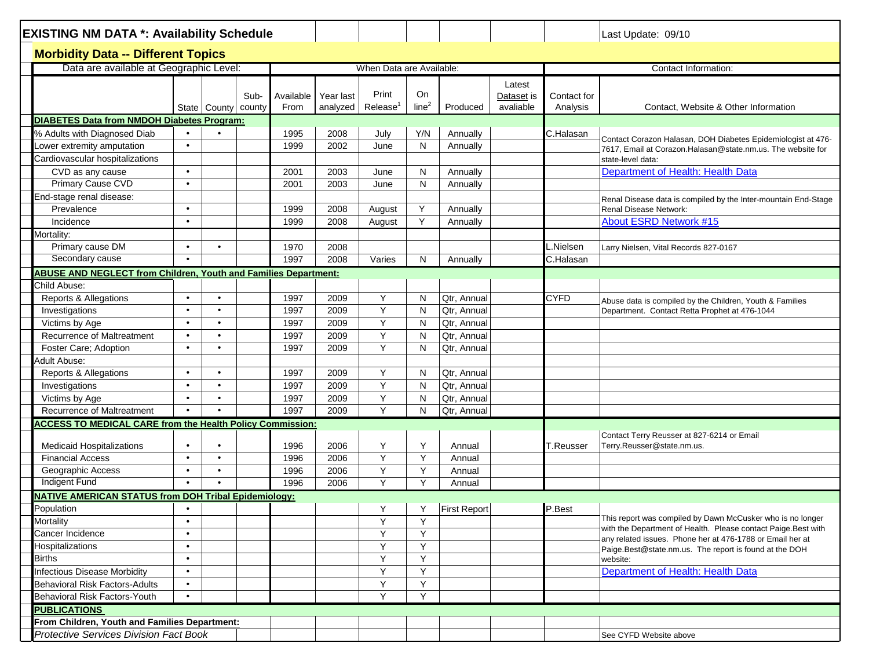| <b>EXISTING NM DATA *: Availability Schedule</b>                       |                        |                        |      |                             |              |                               |                         |                     |                                   |                         | Last Update: 09/10                                                                |  |  |
|------------------------------------------------------------------------|------------------------|------------------------|------|-----------------------------|--------------|-------------------------------|-------------------------|---------------------|-----------------------------------|-------------------------|-----------------------------------------------------------------------------------|--|--|
| <b>Morbidity Data -- Different Topics</b>                              |                        |                        |      |                             |              |                               |                         |                     |                                   |                         |                                                                                   |  |  |
| Data are available at Geographic Level:                                |                        |                        |      |                             |              | When Data are Available:      |                         |                     |                                   | Contact Information:    |                                                                                   |  |  |
|                                                                        |                        |                        | Sub- | Available Year last<br>From | analyzed     | Print<br>Release <sup>1</sup> | On<br>line <sup>2</sup> | Produced            | Latest<br>Dataset is<br>avaliable | Contact for<br>Analysis | Contact, Website & Other Information                                              |  |  |
| <b>DIABETES Data from NMDOH Diabetes Program:</b>                      |                        | State County county    |      |                             |              |                               |                         |                     |                                   |                         |                                                                                   |  |  |
| % Adults with Diagnosed Diab                                           |                        |                        |      | 1995                        | 2008         | July                          | Y/N                     | Annually            |                                   | C.Halasan               |                                                                                   |  |  |
| ower extremity amputation                                              | $\bullet$              |                        |      | 1999                        | 2002         | June                          | N                       | Annually            |                                   |                         | Contact Corazon Halasan, DOH Diabetes Epidemiologist at 476-                      |  |  |
| Cardiovascular hospitalizations                                        |                        |                        |      |                             |              |                               |                         |                     |                                   |                         | 7617. Email at Corazon. Halasan@state.nm.us. The website for<br>state-level data: |  |  |
| CVD as any cause                                                       | $\bullet$              |                        |      | 2001                        | 2003         | June                          | N                       | Annually            |                                   |                         | Department of Health: Health Data                                                 |  |  |
| Primary Cause CVD                                                      | $\bullet$              |                        |      | 2001                        | 2003         | June                          | N                       |                     |                                   |                         |                                                                                   |  |  |
|                                                                        |                        |                        |      |                             |              |                               |                         | Annually            |                                   |                         |                                                                                   |  |  |
| End-stage renal disease:                                               | $\bullet$              |                        |      |                             |              |                               |                         |                     |                                   |                         | Renal Disease data is compiled by the Inter-mountain End-Stage                    |  |  |
| Prevalence<br>Incidence                                                | $\bullet$              |                        |      | 1999<br>1999                | 2008<br>2008 | August                        | Y<br>Y                  | Annually            |                                   |                         | Renal Disease Network:<br><b>About ESRD Network #15</b>                           |  |  |
|                                                                        |                        |                        |      |                             |              | August                        |                         | Annually            |                                   |                         |                                                                                   |  |  |
| Mortality:<br>Primary cause DM                                         | $\bullet$              | $\bullet$              |      |                             |              |                               |                         |                     |                                   |                         |                                                                                   |  |  |
| Secondary cause                                                        |                        |                        |      | 1970                        | 2008         |                               |                         |                     |                                   | L.Nielsen               | Larry Nielsen, Vital Records 827-0167                                             |  |  |
|                                                                        | $\bullet$              |                        |      | 1997                        | 2008         | Varies                        | N                       | Annually            |                                   | C.Halasan               |                                                                                   |  |  |
| <b>ABUSE AND NEGLECT from Children, Youth and Families Department:</b> |                        |                        |      |                             |              |                               |                         |                     |                                   |                         |                                                                                   |  |  |
| Child Abuse:                                                           |                        |                        |      |                             |              |                               |                         |                     |                                   |                         |                                                                                   |  |  |
| Reports & Allegations                                                  | $\bullet$              | $\bullet$              |      | 1997                        | 2009         | Y                             | N                       | Qtr, Annual         |                                   | <b>CYFD</b>             | Abuse data is compiled by the Children, Youth & Families                          |  |  |
| Investigations                                                         | $\bullet$              | $\bullet$              |      | 1997                        | 2009         | Y                             | N                       | Qtr, Annual         |                                   |                         | Department. Contact Retta Prophet at 476-1044                                     |  |  |
| Victims by Age                                                         | $\bullet$              | $\bullet$              |      | 1997                        | 2009         | Y                             | N                       | Qtr, Annual         |                                   |                         |                                                                                   |  |  |
| Recurrence of Maltreatment                                             | $\bullet$              | $\bullet$              |      | 1997                        | 2009         | Y                             | N                       | Qtr, Annual         |                                   |                         |                                                                                   |  |  |
| Foster Care; Adoption                                                  | $\bullet$              | $\bullet$              |      | 1997                        | 2009         | Y                             | N                       | Qtr, Annual         |                                   |                         |                                                                                   |  |  |
| Adult Abuse:                                                           |                        |                        |      |                             |              |                               |                         |                     |                                   |                         |                                                                                   |  |  |
| Reports & Allegations                                                  | $\bullet$              | $\bullet$              |      | 1997                        | 2009         | Y                             | N                       | Qtr, Annual         |                                   |                         |                                                                                   |  |  |
| Investigations                                                         | $\bullet$              | $\bullet$              |      | 1997                        | 2009         | Y                             | N                       | Qtr, Annual         |                                   |                         |                                                                                   |  |  |
| Victims by Age                                                         | $\bullet$              | $\bullet$              |      | 1997                        | 2009         | Y                             | N                       | Qtr, Annual         |                                   |                         |                                                                                   |  |  |
| Recurrence of Maltreatment                                             | $\bullet$              | $\bullet$              |      | 1997                        | 2009         | Y                             | N                       | Qtr, Annual         |                                   |                         |                                                                                   |  |  |
| <b>ACCESS TO MEDICAL CARE from the Health Policy Commission:</b>       |                        |                        |      |                             |              |                               |                         |                     |                                   |                         |                                                                                   |  |  |
|                                                                        | $\bullet$              | $\bullet$              |      |                             |              | Y                             |                         |                     |                                   |                         | Contact Terry Reusser at 827-6214 or Email                                        |  |  |
| <b>Medicaid Hospitalizations</b>                                       | $\bullet$              | $\bullet$              |      | 1996                        | 2006         | Y                             | Y                       | Annual              |                                   | <b>T.Reusser</b>        | Terry.Reusser@state.nm.us.                                                        |  |  |
| <b>Financial Access</b>                                                |                        |                        |      | 1996                        | 2006         |                               | Y                       | Annual              |                                   |                         |                                                                                   |  |  |
| Geographic Access<br><b>Indigent Fund</b>                              | $\bullet$<br>$\bullet$ | $\bullet$<br>$\bullet$ |      | 1996<br>1996                | 2006         | Y<br>Y                        | Y<br>Y                  | Annual              |                                   |                         |                                                                                   |  |  |
|                                                                        |                        |                        |      |                             | 2006         |                               |                         | Annual              |                                   |                         |                                                                                   |  |  |
| <b>NATIVE AMERICAN STATUS from DOH Tribal Epidemiology:</b>            |                        |                        |      |                             |              |                               |                         |                     |                                   |                         |                                                                                   |  |  |
| Population                                                             | $\bullet$              |                        |      |                             |              | Υ                             | Υ                       | <b>First Report</b> |                                   | P.Best                  | This report was compiled by Dawn McCusker who is no longer                        |  |  |
| Mortality                                                              | $\bullet$              |                        |      |                             |              | Y                             | Y                       |                     |                                   |                         | with the Department of Health. Please contact Paige.Best with                     |  |  |
| Cancer Incidence                                                       | $\bullet$              |                        |      |                             |              | Y                             | Y                       |                     |                                   |                         | any related issues. Phone her at 476-1788 or Email her at                         |  |  |
| Hospitalizations                                                       | $\bullet$              |                        |      |                             |              | Y                             | Y                       |                     |                                   |                         | Paige.Best@state.nm.us. The report is found at the DOH                            |  |  |
| <b>Births</b>                                                          | $\bullet$              |                        |      |                             |              | Y                             | Y                       |                     |                                   |                         | website:                                                                          |  |  |
| <b>Infectious Disease Morbidity</b>                                    | $\bullet$              |                        |      |                             |              | Y                             | Y                       |                     |                                   |                         | Department of Health: Health Data                                                 |  |  |
| <b>Behavioral Risk Factors-Adults</b>                                  | $\bullet$              |                        |      |                             |              | Y                             | Y                       |                     |                                   |                         |                                                                                   |  |  |
| Behavioral Risk Factors-Youth                                          | $\bullet$              |                        |      |                             |              | Y                             | Y                       |                     |                                   |                         |                                                                                   |  |  |
| <b>PUBLICATIONS</b>                                                    |                        |                        |      |                             |              |                               |                         |                     |                                   |                         |                                                                                   |  |  |
| From Children, Youth and Families Department:                          |                        |                        |      |                             |              |                               |                         |                     |                                   |                         |                                                                                   |  |  |
| <b>Protective Services Division Fact Book</b>                          |                        |                        |      |                             |              |                               |                         |                     |                                   |                         | See CYFD Website above                                                            |  |  |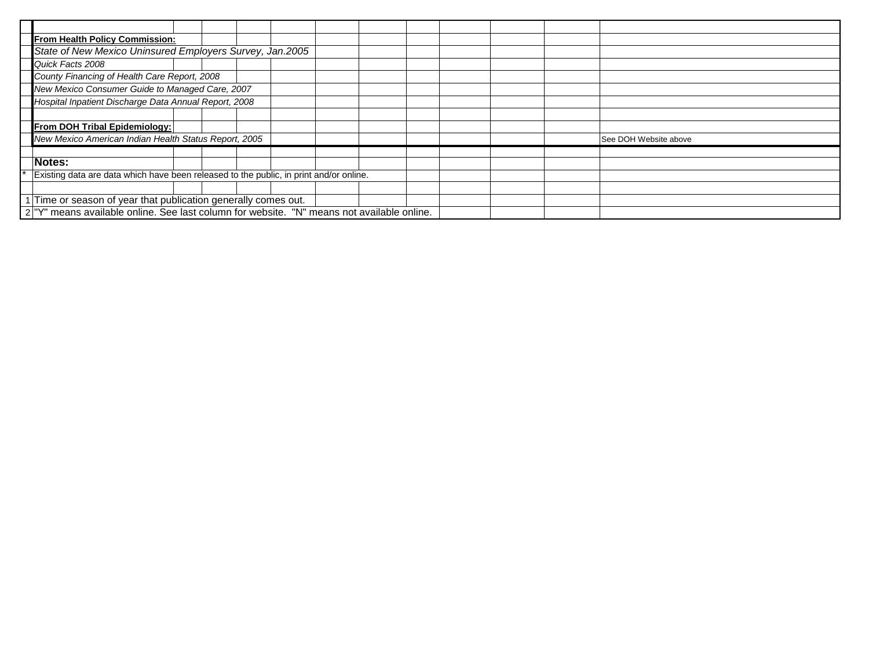| From Health Policy Commission:                                                                        |  |  |  |  |  |  |  |  |  |  |                       |
|-------------------------------------------------------------------------------------------------------|--|--|--|--|--|--|--|--|--|--|-----------------------|
| State of New Mexico Uninsured Employers Survey, Jan.2005                                              |  |  |  |  |  |  |  |  |  |  |                       |
| Quick Facts 2008                                                                                      |  |  |  |  |  |  |  |  |  |  |                       |
| County Financing of Health Care Report, 2008                                                          |  |  |  |  |  |  |  |  |  |  |                       |
| New Mexico Consumer Guide to Managed Care, 2007                                                       |  |  |  |  |  |  |  |  |  |  |                       |
| Hospital Inpatient Discharge Data Annual Report, 2008                                                 |  |  |  |  |  |  |  |  |  |  |                       |
|                                                                                                       |  |  |  |  |  |  |  |  |  |  |                       |
| From DOH Tribal Epidemiology:                                                                         |  |  |  |  |  |  |  |  |  |  |                       |
| New Mexico American Indian Health Status Report, 2005                                                 |  |  |  |  |  |  |  |  |  |  | See DOH Website above |
|                                                                                                       |  |  |  |  |  |  |  |  |  |  |                       |
| Notes:                                                                                                |  |  |  |  |  |  |  |  |  |  |                       |
| Existing data are data which have been released to the public, in print and/or online.                |  |  |  |  |  |  |  |  |  |  |                       |
|                                                                                                       |  |  |  |  |  |  |  |  |  |  |                       |
| Time or season of year that publication generally comes out.                                          |  |  |  |  |  |  |  |  |  |  |                       |
| 2 <sup>"Y"</sup> means available online. See last column for website. "N" means not available online. |  |  |  |  |  |  |  |  |  |  |                       |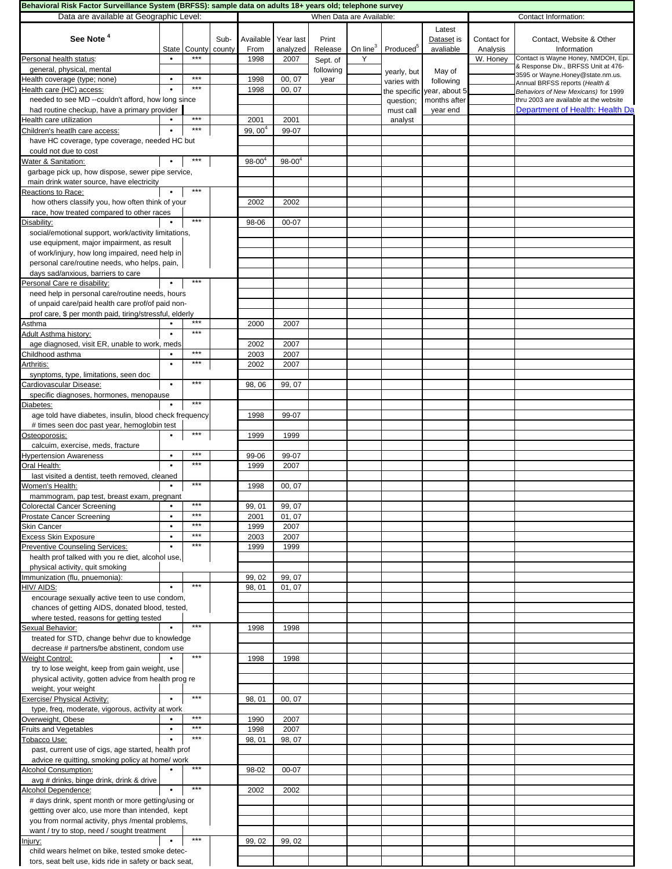| Behavioral Risk Factor Surveillance System (BRFSS): sample data on adults 18+ years old; telephone survey |           |                   |        |                   |             |           |                          |                       |                     |             |                                                                               |
|-----------------------------------------------------------------------------------------------------------|-----------|-------------------|--------|-------------------|-------------|-----------|--------------------------|-----------------------|---------------------|-------------|-------------------------------------------------------------------------------|
| Data are available at Geographic Level:                                                                   |           |                   |        |                   |             |           | When Data are Available: |                       |                     |             | Contact Information:                                                          |
|                                                                                                           |           |                   |        |                   |             |           |                          |                       | Latest              |             |                                                                               |
| See Note <sup>4</sup>                                                                                     |           |                   | Sub-   | Available         | Year last   | Print     |                          |                       | Dataset is          | Contact for | Contact, Website & Other                                                      |
|                                                                                                           |           | State County      | county | From              | analyzed    | Release   | On line $3$              | Produced <sup>5</sup> | avaliable           | Analysis    | Information                                                                   |
| Personal health status:                                                                                   |           | ***               |        | 1998              | 2007        | Sept. of  | Υ                        |                       |                     | W. Honey    | Contact is Wayne Honey, NMDOH, Epi.                                           |
| general, physical, mental                                                                                 |           |                   |        |                   |             | following |                          |                       |                     |             | & Response Div., BRFSS Unit at 476-                                           |
| Health coverage (type; none)                                                                              | $\bullet$ | $***$             |        | 1998              | 00, 07      | year      |                          | yearly, but           | May of<br>following |             | 3595 or Wayne.Honey@state.nm.us.                                              |
| Health care (HC) access:                                                                                  |           | $***$             |        | 1998              | 00, 07      |           |                          | varies with           | year, about 5       |             | Annual BRFSS reports (Health &                                                |
| needed to see MD --couldn't afford, how long since                                                        |           |                   |        |                   |             |           |                          | the specific          | months after        |             | Behaviors of New Mexicans) for 1999<br>thru 2003 are available at the website |
| had routine checkup, have a primary provider                                                              |           |                   |        |                   |             |           |                          | question;             | year end            |             | Department of Health: Health Da                                               |
| Health care utilization                                                                                   |           | $***$             |        | 2001              | 2001        |           |                          | must call             |                     |             |                                                                               |
|                                                                                                           |           | $***$             |        |                   |             |           |                          | analyst               |                     |             |                                                                               |
| Children's heatlh care access:                                                                            |           |                   |        | $99,00^{4}$       | 99-07       |           |                          |                       |                     |             |                                                                               |
| have HC coverage, type coverage, needed HC but                                                            |           |                   |        |                   |             |           |                          |                       |                     |             |                                                                               |
| could not due to cost                                                                                     |           |                   |        |                   |             |           |                          |                       |                     |             |                                                                               |
| Water & Sanitation:                                                                                       |           | ***               |        | $98 - 00^{\circ}$ | $98 - 00^4$ |           |                          |                       |                     |             |                                                                               |
| garbage pick up, how dispose, sewer pipe service,                                                         |           |                   |        |                   |             |           |                          |                       |                     |             |                                                                               |
| main drink water source, have electricity                                                                 |           |                   |        |                   |             |           |                          |                       |                     |             |                                                                               |
| Reactions to Race:                                                                                        | $\bullet$ | $\star\star\star$ |        |                   |             |           |                          |                       |                     |             |                                                                               |
| how others classify you, how often think of your                                                          |           |                   |        | 2002              | 2002        |           |                          |                       |                     |             |                                                                               |
| race, how treated compared to other races                                                                 |           |                   |        |                   |             |           |                          |                       |                     |             |                                                                               |
| Disability:                                                                                               |           | $***$             |        | 98-06             | 00-07       |           |                          |                       |                     |             |                                                                               |
| social/emotional support, work/activity limitations,                                                      |           |                   |        |                   |             |           |                          |                       |                     |             |                                                                               |
| use equipment, major impairment, as result                                                                |           |                   |        |                   |             |           |                          |                       |                     |             |                                                                               |
| of work/injury, how long impaired, need help in                                                           |           |                   |        |                   |             |           |                          |                       |                     |             |                                                                               |
| personal care/routine needs, who helps, pain,                                                             |           |                   |        |                   |             |           |                          |                       |                     |             |                                                                               |
| days sad/anxious, barriers to care                                                                        |           |                   |        |                   |             |           |                          |                       |                     |             |                                                                               |
| Personal Care re disability:                                                                              | $\bullet$ | $***$             |        |                   |             |           |                          |                       |                     |             |                                                                               |
| need help in personal care/routine needs, hours                                                           |           |                   |        |                   |             |           |                          |                       |                     |             |                                                                               |
| of unpaid care/paid health care prof/of paid non-                                                         |           |                   |        |                   |             |           |                          |                       |                     |             |                                                                               |
| prof care, \$ per month paid, tiring/stressful, elderly                                                   |           |                   |        |                   |             |           |                          |                       |                     |             |                                                                               |
| Asthma                                                                                                    | $\bullet$ | $***$             |        | 2000              | 2007        |           |                          |                       |                     |             |                                                                               |
| Adult Asthma history:                                                                                     | $\bullet$ | ***               |        |                   |             |           |                          |                       |                     |             |                                                                               |
| age diagnosed, visit ER, unable to work, meds                                                             |           |                   |        | 2002              | 2007        |           |                          |                       |                     |             |                                                                               |
| Childhood asthma                                                                                          |           | $***$             |        | 2003              | 2007        |           |                          |                       |                     |             |                                                                               |
| Arthritis:                                                                                                | $\bullet$ | $***$             |        | 2002              | 2007        |           |                          |                       |                     |             |                                                                               |
|                                                                                                           |           |                   |        |                   |             |           |                          |                       |                     |             |                                                                               |
| synptoms, type, limitations, seen doc<br>Cardiovascular Disease:                                          | $\bullet$ | $***$             |        |                   | 99, 07      |           |                          |                       |                     |             |                                                                               |
|                                                                                                           |           |                   |        | 98,06             |             |           |                          |                       |                     |             |                                                                               |
| specific diagnoses, hormones, menopause                                                                   |           | $***$             |        |                   |             |           |                          |                       |                     |             |                                                                               |
| Diabetes:                                                                                                 |           |                   |        |                   |             |           |                          |                       |                     |             |                                                                               |
| age told have diabetes, insulin, blood check frequency                                                    |           |                   |        | 1998              | 99-07       |           |                          |                       |                     |             |                                                                               |
| # times seen doc past year, hemoglobin test                                                               |           | $***$             |        |                   |             |           |                          |                       |                     |             |                                                                               |
| Osteoporosis:                                                                                             | $\bullet$ |                   |        | 1999              | 1999        |           |                          |                       |                     |             |                                                                               |
| calcuim, exercise, meds, fracture                                                                         |           |                   |        |                   |             |           |                          |                       |                     |             |                                                                               |
| <b>Hypertension Awareness</b>                                                                             | $\bullet$ | ***               |        | 99-06             | 99-07       |           |                          |                       |                     |             |                                                                               |
| Oral Health:                                                                                              | $\bullet$ | ***               |        | 1999              | 2007        |           |                          |                       |                     |             |                                                                               |
| last visited a dentist, teeth removed, cleaned                                                            |           |                   |        |                   |             |           |                          |                       |                     |             |                                                                               |
| Women's Health:                                                                                           |           | $***$             |        | 1998              | 00, 07      |           |                          |                       |                     |             |                                                                               |
| mammogram, pap test, breast exam, pregnant                                                                |           |                   |        |                   |             |           |                          |                       |                     |             |                                                                               |
| <b>Colorectal Cancer Screening</b>                                                                        |           | ***               |        | 99, 01            | 99, 07      |           |                          |                       |                     |             |                                                                               |
| Prostate Cancer Screening                                                                                 |           | ***               |        | 2001              | 01, 07      |           |                          |                       |                     |             |                                                                               |
| Skin Cancer                                                                                               | $\bullet$ | ***               |        | 1999              | 2007        |           |                          |                       |                     |             |                                                                               |
| <b>Excess Skin Exposure</b>                                                                               | $\bullet$ | ***               |        | 2003              | 2007        |           |                          |                       |                     |             |                                                                               |
| Preventive Counseling Services:                                                                           | $\bullet$ | $***$             |        | 1999              | 1999        |           |                          |                       |                     |             |                                                                               |
| health prof talked with you re diet, alcohol use,                                                         |           |                   |        |                   |             |           |                          |                       |                     |             |                                                                               |
| physical activity, quit smoking                                                                           |           |                   |        |                   |             |           |                          |                       |                     |             |                                                                               |
| Immunization (flu, pnuemonia):                                                                            |           |                   |        | 99, 02            | 99, 07      |           |                          |                       |                     |             |                                                                               |
| HIV/ AIDS:                                                                                                |           | $***$             |        | 98, 01            | 01, 07      |           |                          |                       |                     |             |                                                                               |
| encourage sexually active teen to use condom,                                                             |           |                   |        |                   |             |           |                          |                       |                     |             |                                                                               |
| chances of getting AIDS, donated blood, tested,                                                           |           |                   |        |                   |             |           |                          |                       |                     |             |                                                                               |
| where tested, reasons for getting tested                                                                  |           |                   |        |                   |             |           |                          |                       |                     |             |                                                                               |
| Sexual Behavior:                                                                                          |           | $***$             |        | 1998              | 1998        |           |                          |                       |                     |             |                                                                               |
| treated for STD, change behvr due to knowledge                                                            |           |                   |        |                   |             |           |                          |                       |                     |             |                                                                               |
| decrease # partners/be abstinent, condom use                                                              |           |                   |        |                   |             |           |                          |                       |                     |             |                                                                               |
| <b>Weight Control:</b>                                                                                    |           | $***$             |        | 1998              | 1998        |           |                          |                       |                     |             |                                                                               |
| try to lose weight, keep from gain weight, use                                                            |           |                   |        |                   |             |           |                          |                       |                     |             |                                                                               |
| physical activity, gotten advice from health prog re                                                      |           |                   |        |                   |             |           |                          |                       |                     |             |                                                                               |
| weight, your weight                                                                                       |           |                   |        |                   |             |           |                          |                       |                     |             |                                                                               |
| Exercise/ Physical Activity:                                                                              | $\bullet$ | $***$             |        | 98, 01            | 00, 07      |           |                          |                       |                     |             |                                                                               |
| type, freq, moderate, vigorous, activity at work                                                          |           |                   |        |                   |             |           |                          |                       |                     |             |                                                                               |
| Overweight, Obese                                                                                         |           | $***$             |        | 1990              | 2007        |           |                          |                       |                     |             |                                                                               |
| <b>Fruits and Vegetables</b>                                                                              | $\bullet$ | $***$             |        | 1998              | 2007        |           |                          |                       |                     |             |                                                                               |
| Tobacco Use:                                                                                              |           | ***               |        | 98, 01            | 98, 07      |           |                          |                       |                     |             |                                                                               |
| past, current use of cigs, age started, health prof                                                       |           |                   |        |                   |             |           |                          |                       |                     |             |                                                                               |
| advice re quitting, smoking policy at home/ work                                                          |           |                   |        |                   |             |           |                          |                       |                     |             |                                                                               |
| <b>Alcohol Consumption:</b>                                                                               |           | ***               |        | 98-02             | 00-07       |           |                          |                       |                     |             |                                                                               |
| avg # drinks, binge drink, drink & drive                                                                  |           |                   |        |                   |             |           |                          |                       |                     |             |                                                                               |
| Alcohol Dependence:                                                                                       | $\bullet$ | $***$             |        | 2002              | 2002        |           |                          |                       |                     |             |                                                                               |
| # days drink, spent month or more getting/using or                                                        |           |                   |        |                   |             |           |                          |                       |                     |             |                                                                               |
| gettting over alco, use more than intended, kept                                                          |           |                   |        |                   |             |           |                          |                       |                     |             |                                                                               |
|                                                                                                           |           |                   |        |                   |             |           |                          |                       |                     |             |                                                                               |
| you from normal activity, phys /mental problems,                                                          |           |                   |        |                   |             |           |                          |                       |                     |             |                                                                               |
| want / try to stop, need / sought treatment                                                               |           | $***$             |        |                   |             |           |                          |                       |                     |             |                                                                               |
| Injury:                                                                                                   |           |                   |        | 99, 02            | 99, 02      |           |                          |                       |                     |             |                                                                               |
| child wears helmet on bike, tested smoke detec-                                                           |           |                   |        |                   |             |           |                          |                       |                     |             |                                                                               |
| tors, seat belt use, kids ride in safety or back seat,                                                    |           |                   |        |                   |             |           |                          |                       |                     |             |                                                                               |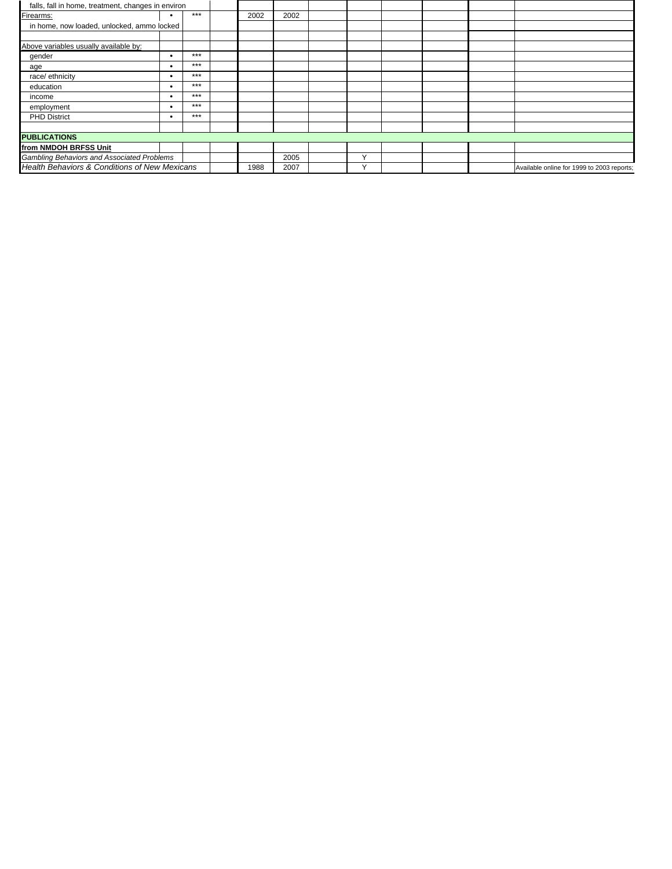| falls, fall in home, treatment, changes in environ |   |       |      |      |              |  |                                            |
|----------------------------------------------------|---|-------|------|------|--------------|--|--------------------------------------------|
| Firearms:                                          |   | $***$ | 2002 | 2002 |              |  |                                            |
| in home, now loaded, unlocked, ammo locked         |   |       |      |      |              |  |                                            |
|                                                    |   |       |      |      |              |  |                                            |
| Above variables usually available by:              |   |       |      |      |              |  |                                            |
| gender                                             | ٠ | $***$ |      |      |              |  |                                            |
| age                                                | ٠ | ***   |      |      |              |  |                                            |
| race/ ethnicity                                    | ٠ | $***$ |      |      |              |  |                                            |
| education                                          | ٠ | $***$ |      |      |              |  |                                            |
| income                                             | ٠ | ***   |      |      |              |  |                                            |
| employment                                         | ٠ | $***$ |      |      |              |  |                                            |
| <b>PHD District</b>                                | ٠ | $***$ |      |      |              |  |                                            |
|                                                    |   |       |      |      |              |  |                                            |
| <b>PUBLICATIONS</b>                                |   |       |      |      |              |  |                                            |
| from NMDOH BRFSS Unit                              |   |       |      |      |              |  |                                            |
| Gambling Behaviors and Associated Problems         |   |       |      | 2005 | $\checkmark$ |  |                                            |
| Health Behaviors & Conditions of New Mexicans      |   |       | 1988 | 2007 | $\checkmark$ |  | Available online for 1999 to 2003 reports; |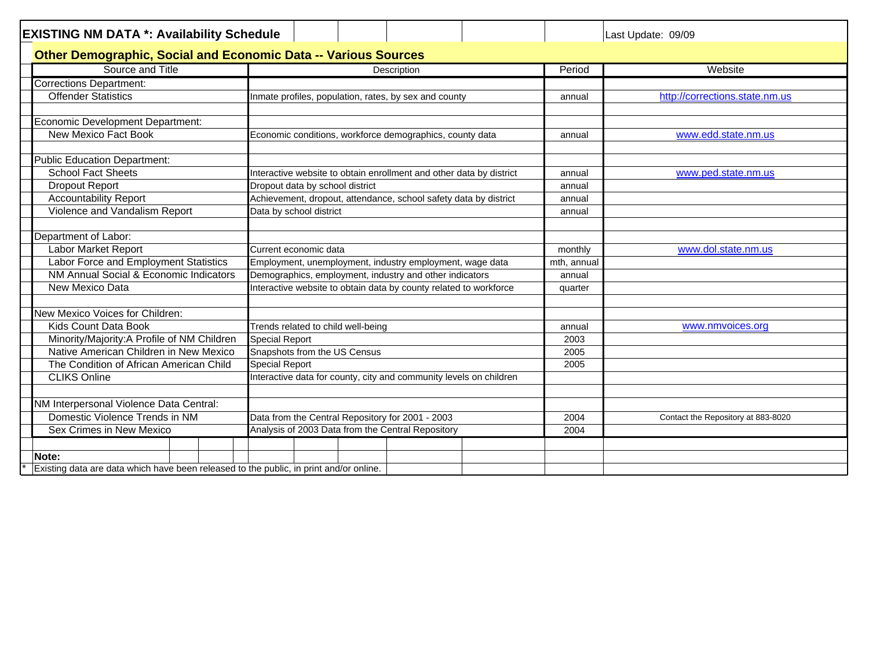| <b>EXISTING NM DATA *: Availability Schedule</b>                                       | Last Update: 09/09                                                  |                                            |  |  |
|----------------------------------------------------------------------------------------|---------------------------------------------------------------------|--------------------------------------------|--|--|
| <b>Other Demographic, Social and Economic Data -- Various Sources</b>                  |                                                                     |                                            |  |  |
| Source and Title                                                                       | Description                                                         | Website<br>Period                          |  |  |
| <b>Corrections Department:</b>                                                         |                                                                     |                                            |  |  |
| <b>Offender Statistics</b>                                                             | Inmate profiles, population, rates, by sex and county               | http://corrections.state.nm.us<br>annual   |  |  |
|                                                                                        |                                                                     |                                            |  |  |
| <b>Economic Development Department:</b>                                                |                                                                     |                                            |  |  |
| New Mexico Fact Book                                                                   | Economic conditions, workforce demographics, county data            | www.edd.state.nm.us<br>annual              |  |  |
|                                                                                        |                                                                     |                                            |  |  |
| <b>Public Education Department:</b>                                                    |                                                                     |                                            |  |  |
| <b>School Fact Sheets</b>                                                              | Interactive website to obtain enrollment and other data by district | www.ped.state.nm.us<br>annual              |  |  |
| <b>Dropout Report</b>                                                                  | Dropout data by school district                                     | annual                                     |  |  |
| <b>Accountability Report</b>                                                           | Achievement, dropout, attendance, school safety data by district    | annual                                     |  |  |
| Violence and Vandalism Report                                                          | Data by school district                                             | annual                                     |  |  |
|                                                                                        |                                                                     |                                            |  |  |
| Department of Labor:                                                                   |                                                                     |                                            |  |  |
| Labor Market Report                                                                    | Current economic data                                               | www.dol.state.nm.us<br>monthly             |  |  |
| Labor Force and Employment Statistics                                                  | Employment, unemployment, industry employment, wage data            | mth, annual                                |  |  |
| NM Annual Social & Economic Indicators                                                 | Demographics, employment, industry and other indicators             | annual                                     |  |  |
| New Mexico Data                                                                        | Interactive website to obtain data by county related to workforce   | quarter                                    |  |  |
|                                                                                        |                                                                     |                                            |  |  |
| New Mexico Voices for Children:                                                        |                                                                     |                                            |  |  |
| Kids Count Data Book                                                                   | Trends related to child well-being                                  | www.nmvoices.org<br>annual                 |  |  |
| Minority/Majority:A Profile of NM Children                                             | <b>Special Report</b>                                               | 2003                                       |  |  |
| Native American Children in New Mexico                                                 | Snapshots from the US Census                                        | 2005                                       |  |  |
| The Condition of African American Child                                                | <b>Special Report</b>                                               | 2005                                       |  |  |
| <b>CLIKS Online</b>                                                                    | Interactive data for county, city and community levels on children  |                                            |  |  |
|                                                                                        |                                                                     |                                            |  |  |
| NM Interpersonal Violence Data Central:                                                |                                                                     |                                            |  |  |
| Domestic Violence Trends in NM                                                         | Data from the Central Repository for 2001 - 2003                    | Contact the Repository at 883-8020<br>2004 |  |  |
| Sex Crimes in New Mexico                                                               | Analysis of 2003 Data from the Central Repository                   | 2004                                       |  |  |
|                                                                                        |                                                                     |                                            |  |  |
| Note:                                                                                  |                                                                     |                                            |  |  |
| Existing data are data which have been released to the public, in print and/or online. |                                                                     |                                            |  |  |